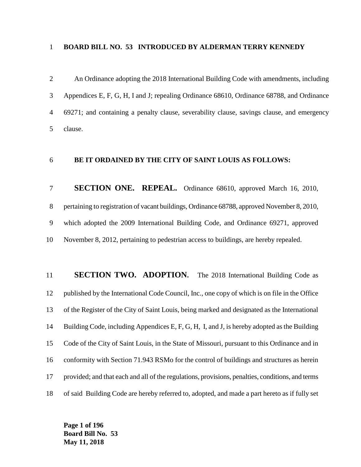## **BOARD BILL NO. 53 INTRODUCED BY ALDERMAN TERRY KENNEDY**

 An Ordinance adopting the 2018 International Building Code with amendments, including Appendices E, F, G, H, I and J; repealing Ordinance 68610, Ordinance 68788, and Ordinance 69271; and containing a penalty clause, severability clause, savings clause, and emergency clause.

# **BE IT ORDAINED BY THE CITY OF SAINT LOUIS AS FOLLOWS:**

 **SECTION ONE. REPEAL.**Ordinance 68610, approved March 16, 2010, pertaining to registration of vacant buildings, Ordinance 68788, approved November 8, 2010, which adopted the 2009 International Building Code, and Ordinance 69271, approved November 8, 2012, pertaining to pedestrian access to buildings, are hereby repealed.

**SECTION TWO. ADOPTION.** The 2018 International Building Code as published by the International Code Council, Inc., one copy of which is on file in the Office of the Register of the City of Saint Louis, being marked and designated as the International Building Code, including Appendices E, F, G, H, I, and J, is hereby adopted as the Building Code of the City of Saint Louis, in the State of Missouri, pursuant to this Ordinance and in conformity with Section 71.943 RSMo for the control of buildings and structures as herein provided; and that each and all of the regulations, provisions, penalties, conditions, and terms of said Building Code are hereby referred to, adopted, and made a part hereto as if fully set

**Page 1 of 196 Board Bill No. 53 May 11, 2018**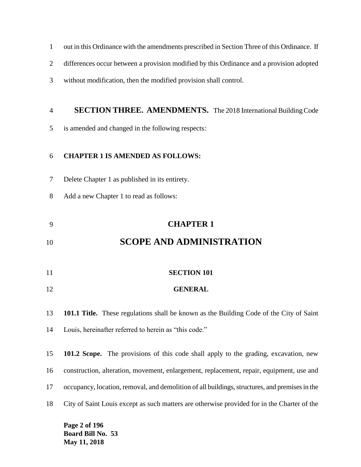- out in this Ordinance with the amendments prescribed in Section Three of this Ordinance.If
- differences occur between a provision modified by this Ordinance and a provision adopted
- without modification, then the modified provision shall control.

# **SECTION THREE. AMENDMENTS.** The 2018 International Building Code

is amended and changed in the following respects*:*

# **CHAPTER 1 IS AMENDED AS FOLLOWS:**

- Delete Chapter 1 as published in its entirety.
- Add a new Chapter 1 to read as follows:

# **CHAPTER 1**

# **SCOPE AND ADMINISTRATION**

- **SECTION 101**
- **GENERAL**

**101.1 Title.** These regulations shall be known as the Building Code of the City of Saint

Louis, hereinafter referred to herein as "this code."

 **101.2 Scope.** The provisions of this code shall apply to the grading, excavation, new construction, alteration, movement, enlargement, replacement, repair, equipment, use and occupancy, location, removal, and demolition of all buildings, structures, and premises in the City of Saint Louis except as such matters are otherwise provided for in the Charter of the

**Page 2 of 196 Board Bill No. 53 May 11, 2018**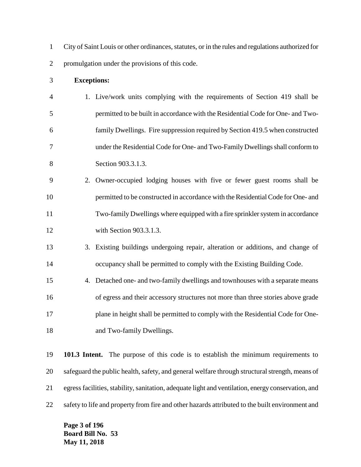City of Saint Louis or other ordinances, statutes, or in the rules and regulations authorized for promulgation under the provisions of this code.

#### **Exceptions:**

- 1. Live/work units complying with the requirements of Section 419 shall be permitted to be built in accordance with the Residential Code for One- and Two- family Dwellings. Fire suppression required by Section 419.5 when constructed under the Residential Code for One- and Two-Family Dwellings shall conform to Section 903.3.1.3.
- 2. Owner-occupied lodging houses with five or fewer guest rooms shall be permitted to be constructed in accordance with the Residential Code for One- and Two-family Dwellings where equipped with a fire sprinkler system in accordance with Section 903.3.1.3.
- 3. Existing buildings undergoing repair, alteration or additions, and change of occupancy shall be permitted to comply with the Existing Building Code.
- 4. Detached one- and two-family dwellings and townhouses with a separate means of egress and their accessory structures not more than three stories above grade plane in height shall be permitted to comply with the Residential Code for One-18 and Two-family Dwellings.

 **101.3 Intent.** The purpose of this code is to establish the minimum requirements to safeguard the public health, safety, and general welfare through structural strength, means of egress facilities, stability, sanitation, adequate light and ventilation, energy conservation, and 22 safety to life and property from fire and other hazards attributed to the built environment and

**Page 3 of 196 Board Bill No. 53 May 11, 2018**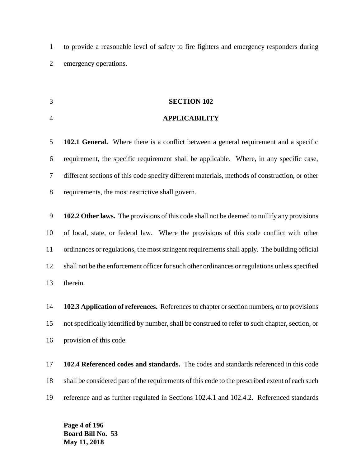to provide a reasonable level of safety to fire fighters and emergency responders during emergency operations.

## **SECTION 102**

# **APPLICABILITY**

 **102.1 General.** Where there is a conflict between a general requirement and a specific requirement, the specific requirement shall be applicable. Where, in any specific case, different sections of this code specify different materials, methods of construction, or other requirements, the most restrictive shall govern.

 **102.2 Other laws.** The provisions of this code shall not be deemed to nullify any provisions of local, state, or federal law. Where the provisions of this code conflict with other ordinances or regulations, the most stringent requirements shall apply. The building official shall not be the enforcement officer for such other ordinances or regulations unless specified therein.

 **102.3 Application of references.** References to chapter or section numbers, or to provisions not specifically identified by number, shall be construed to refer to such chapter, section, or provision of this code.

 **102.4 Referenced codes and standards.** The codes and standards referenced in this code shall be considered part of the requirements of this code to the prescribed extent of each such reference and as further regulated in Sections 102.4.1 and 102.4.2. Referenced standards

**Page 4 of 196 Board Bill No. 53 May 11, 2018**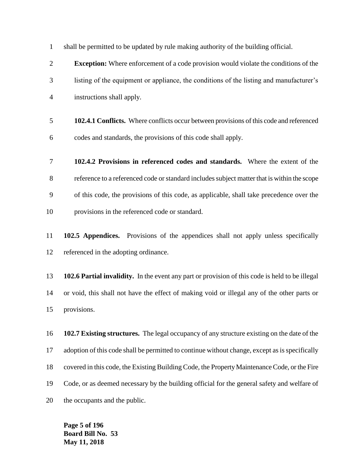shall be permitted to be updated by rule making authority of the building official.

 **Exception:** Where enforcement of a code provision would violate the conditions of the listing of the equipment or appliance, the conditions of the listing and manufacturer's instructions shall apply.

- **102.4.1 Conflicts.** Where conflicts occur between provisions of this code and referenced codes and standards, the provisions of this code shall apply.
- **102.4.2 Provisions in referenced codes and standards.** Where the extent of the reference to a referenced code or standard includes subject matter that is within the scope of this code, the provisions of this code, as applicable, shall take precedence over the provisions in the referenced code or standard.
- **102.5 Appendices.** Provisions of the appendices shall not apply unless specifically referenced in the adopting ordinance.

 **102.6 Partial invalidity.** In the event any part or provision of this code is held to be illegal or void, this shall not have the effect of making void or illegal any of the other parts or provisions.

 **102.7 Existing structures.** The legal occupancy of any structure existing on the date of the adoption of this code shall be permitted to continue without change, except as is specifically covered in this code, the Existing Building Code, the Property Maintenance Code, or the Fire Code, or as deemed necessary by the building official for the general safety and welfare of the occupants and the public.

**Page 5 of 196 Board Bill No. 53 May 11, 2018**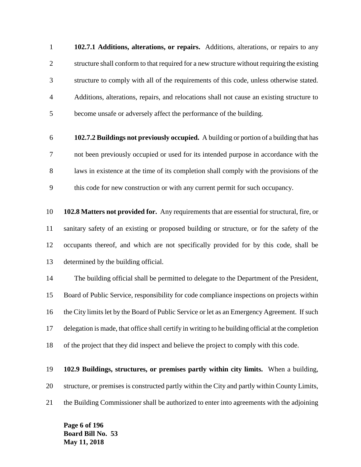**102.7.1 Additions, alterations, or repairs.** Additions, alterations, or repairs to any structure shall conform to that required for a new structure without requiring the existing structure to comply with all of the requirements of this code, unless otherwise stated. Additions, alterations, repairs, and relocations shall not cause an existing structure to become unsafe or adversely affect the performance of the building.

 **102.7.2 Buildings not previously occupied.** A building or portion of a building that has not been previously occupied or used for its intended purpose in accordance with the laws in existence at the time of its completion shall comply with the provisions of the this code for new construction or with any current permit for such occupancy.

 **102.8 Matters not provided for.** Any requirements that are essential for structural, fire, or sanitary safety of an existing or proposed building or structure, or for the safety of the occupants thereof, and which are not specifically provided for by this code, shall be determined by the building official.

 The building official shall be permitted to delegate to the Department of the President, Board of Public Service, responsibility for code compliance inspections on projects within the City limits let by the Board of Public Service or let as an Emergency Agreement. If such delegation is made, that office shall certify in writing to he building official at the completion of the project that they did inspect and believe the project to comply with this code.

 **102.9 Buildings, structures, or premises partly within city limits.** When a building, structure, or premises is constructed partly within the City and partly within County Limits, the Building Commissioner shall be authorized to enter into agreements with the adjoining

**Page 6 of 196 Board Bill No. 53 May 11, 2018**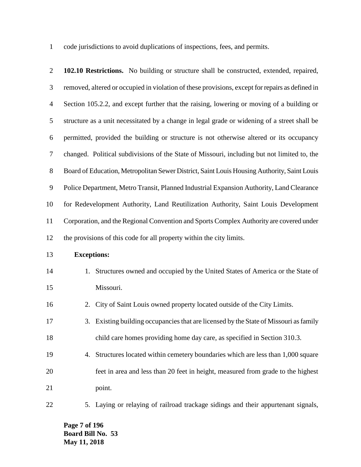code jurisdictions to avoid duplications of inspections, fees, and permits.

| $\overline{2}$ | 102.10 Restrictions. No building or structure shall be constructed, extended, repaired,         |
|----------------|-------------------------------------------------------------------------------------------------|
| 3              | removed, altered or occupied in violation of these provisions, except for repairs as defined in |
| $\overline{4}$ | Section 105.2.2, and except further that the raising, lowering or moving of a building or       |
| 5              | structure as a unit necessitated by a change in legal grade or widening of a street shall be    |
| 6              | permitted, provided the building or structure is not otherwise altered or its occupancy         |
| $\tau$         | changed. Political subdivisions of the State of Missouri, including but not limited to, the     |
| $8\,$          | Board of Education, Metropolitan Sewer District, Saint Louis Housing Authority, Saint Louis     |
| $\mathbf{9}$   | Police Department, Metro Transit, Planned Industrial Expansion Authority, Land Clearance        |
| 10             | for Redevelopment Authority, Land Reutilization Authority, Saint Louis Development              |
| 11             | Corporation, and the Regional Convention and Sports Complex Authority are covered under         |
| 12             | the provisions of this code for all property within the city limits.                            |
| 13             | <b>Exceptions:</b>                                                                              |
| 14             | Structures owned and occupied by the United States of America or the State of<br>1.             |
| 15             | Missouri.                                                                                       |
| 16             | City of Saint Louis owned property located outside of the City Limits.<br>2.                    |
| 17             | Existing building occupancies that are licensed by the State of Missouri as family<br>3.        |
| 18             | child care homes providing home day care, as specified in Section 310.3.                        |
| 19             | Structures located within cemetery boundaries which are less than 1,000 square<br>4.            |
| 20             | feet in area and less than 20 feet in height, measured from grade to the highest                |
| 21             | point.                                                                                          |
| 22             | Laying or relaying of railroad trackage sidings and their appurtenant signals,<br>5.            |

**Page 7 of 196 Board Bill No. 53 May 11, 2018**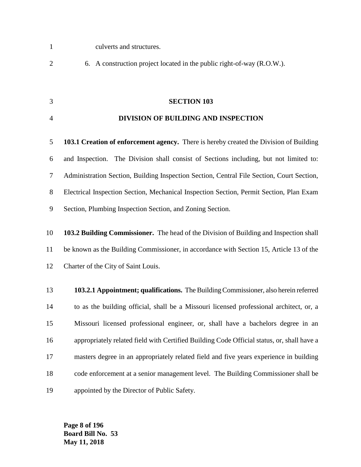- culverts and structures.
- 6. A construction project located in the public right-of-way (R.O.W.).
- **SECTION 103**

#### **DIVISION OF BUILDING AND INSPECTION**

 **103.1 Creation of enforcement agency.** There is hereby created the Division of Building and Inspection. The Division shall consist of Sections including, but not limited to: Administration Section, Building Inspection Section, Central File Section, Court Section, Electrical Inspection Section, Mechanical Inspection Section, Permit Section, Plan Exam Section, Plumbing Inspection Section, and Zoning Section.

 **103.2 Building Commissioner.** The head of the Division of Building and Inspection shall be known as the Building Commissioner, in accordance with Section 15, Article 13 of the Charter of the City of Saint Louis.

 **103.2.1 Appointment; qualifications.** The Building Commissioner, also herein referred to as the building official, shall be a Missouri licensed professional architect, or, a Missouri licensed professional engineer, or, shall have a bachelors degree in an appropriately related field with Certified Building Code Official status, or, shall have a masters degree in an appropriately related field and five years experience in building code enforcement at a senior management level. The Building Commissioner shall be appointed by the Director of Public Safety.

**Page 8 of 196 Board Bill No. 53 May 11, 2018**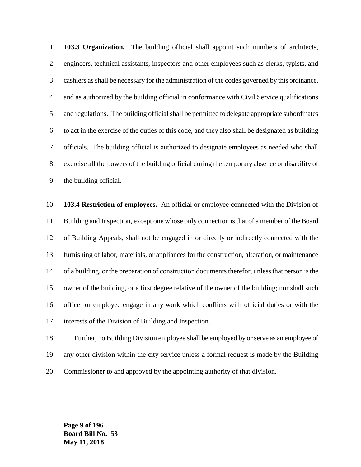**103.3 Organization.** The building official shall appoint such numbers of architects, engineers, technical assistants, inspectors and other employees such as clerks, typists, and cashiers as shall be necessary for the administration of the codes governed by this ordinance, and as authorized by the building official in conformance with Civil Service qualifications and regulations. The building official shall be permitted to delegate appropriate subordinates to act in the exercise of the duties of this code, and they also shall be designated as building officials. The building official is authorized to designate employees as needed who shall exercise all the powers of the building official during the temporary absence or disability of the building official.

 **103.4 Restriction of employees.** An official or employee connected with the Division of Building and Inspection, except one whose only connection is that of a member of the Board of Building Appeals, shall not be engaged in or directly or indirectly connected with the furnishing of labor, materials, or appliances for the construction, alteration, or maintenance of a building, or the preparation of construction documents therefor, unless that person is the owner of the building, or a first degree relative of the owner of the building; nor shall such officer or employee engage in any work which conflicts with official duties or with the interests of the Division of Building and Inspection.

 Further, no Building Division employee shall be employed by or serve as an employee of any other division within the city service unless a formal request is made by the Building Commissioner to and approved by the appointing authority of that division.

**Page 9 of 196 Board Bill No. 53 May 11, 2018**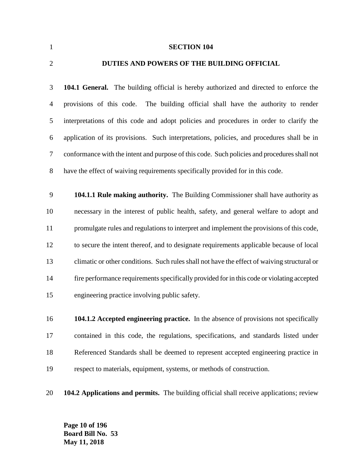**SECTION 104 DUTIES AND POWERS OF THE BUILDING OFFICIAL**

 **104.1 General.** The building official is hereby authorized and directed to enforce the provisions of this code. The building official shall have the authority to render interpretations of this code and adopt policies and procedures in order to clarify the application of its provisions. Such interpretations, policies, and procedures shall be in conformance with the intent and purpose of this code. Such policies and procedures shall not have the effect of waiving requirements specifically provided for in this code.

 **104.1.1 Rule making authority.** The Building Commissioner shall have authority as necessary in the interest of public health, safety, and general welfare to adopt and promulgate rules and regulations to interpret and implement the provisions of this code, to secure the intent thereof, and to designate requirements applicable because of local climatic or other conditions. Such rules shall not have the effect of waiving structural or fire performance requirements specifically provided for in this code or violating accepted engineering practice involving public safety.

 **104.1.2 Accepted engineering practice.** In the absence of provisions not specifically contained in this code, the regulations, specifications, and standards listed under Referenced Standards shall be deemed to represent accepted engineering practice in respect to materials, equipment, systems, or methods of construction.

**104.2 Applications and permits.** The building official shall receive applications; review

**Page 10 of 196 Board Bill No. 53 May 11, 2018**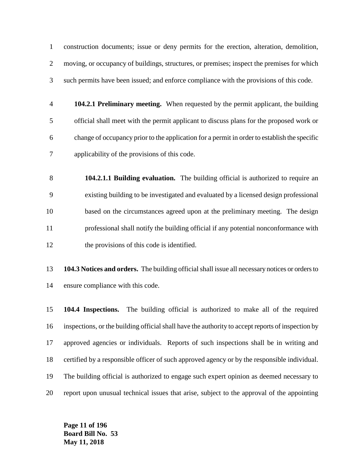construction documents; issue or deny permits for the erection, alteration, demolition, moving, or occupancy of buildings, structures, or premises; inspect the premises for which such permits have been issued; and enforce compliance with the provisions of this code.

- **104.2.1 Preliminary meeting.** When requested by the permit applicant, the building official shall meet with the permit applicant to discuss plans for the proposed work or change of occupancy prior to the application for a permit in order to establish the specific applicability of the provisions of this code.
- **104.2.1.1 Building evaluation.** The building official is authorized to require an existing building to be investigated and evaluated by a licensed design professional based on the circumstances agreed upon at the preliminary meeting. The design professional shall notify the building official if any potential nonconformance with 12 the provisions of this code is identified.
- **104.3 Notices and orders.** The building official shall issue all necessary notices or orders to ensure compliance with this code.

 **104.4 Inspections.** The building official is authorized to make all of the required inspections, or the building official shall have the authority to accept reports of inspection by approved agencies or individuals. Reports of such inspections shall be in writing and certified by a responsible officer of such approved agency or by the responsible individual. The building official is authorized to engage such expert opinion as deemed necessary to report upon unusual technical issues that arise, subject to the approval of the appointing

**Page 11 of 196 Board Bill No. 53 May 11, 2018**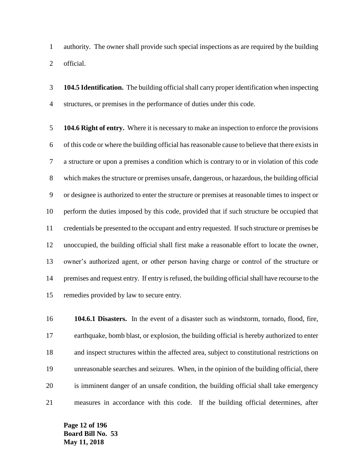authority. The owner shall provide such special inspections as are required by the building official.

 **104.5 Identification.** The building official shall carry proper identification when inspecting structures, or premises in the performance of duties under this code.

 **104.6 Right of entry.** Where it is necessary to make an inspection to enforce the provisions of this code or where the building official has reasonable cause to believe that there exists in a structure or upon a premises a condition which is contrary to or in violation of this code which makes the structure or premises unsafe, dangerous, or hazardous, the building official or designee is authorized to enter the structure or premises at reasonable times to inspect or perform the duties imposed by this code, provided that if such structure be occupied that credentials be presented to the occupant and entry requested. If such structure or premises be unoccupied, the building official shall first make a reasonable effort to locate the owner, owner's authorized agent, or other person having charge or control of the structure or premises and request entry. If entry is refused, the building official shall have recourse to the remedies provided by law to secure entry.

 **104.6.1 Disasters.** In the event of a disaster such as windstorm, tornado, flood, fire, earthquake, bomb blast, or explosion, the building official is hereby authorized to enter and inspect structures within the affected area, subject to constitutional restrictions on unreasonable searches and seizures. When, in the opinion of the building official, there is imminent danger of an unsafe condition, the building official shall take emergency measures in accordance with this code. If the building official determines, after

**Page 12 of 196 Board Bill No. 53 May 11, 2018**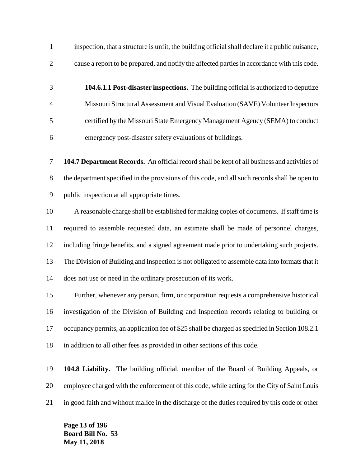inspection, that a structure is unfit, the building official shall declare it a public nuisance, cause a report to be prepared, and notify the affected parties in accordance with this code.

 **104.6.1.1 Post-disaster inspections.** The building official is authorized to deputize Missouri Structural Assessment and Visual Evaluation (SAVE) Volunteer Inspectors certified by the Missouri State Emergency Management Agency (SEMA) to conduct emergency post-disaster safety evaluations of buildings.

 **104.7 Department Records.** An official record shall be kept of all business and activities of the department specified in the provisions of this code, and all such records shall be open to public inspection at all appropriate times.

 A reasonable charge shall be established for making copies of documents. If staff time is required to assemble requested data, an estimate shall be made of personnel charges, including fringe benefits, and a signed agreement made prior to undertaking such projects. The Division of Building and Inspection is not obligated to assemble data into formats that it does not use or need in the ordinary prosecution of its work.

 Further, whenever any person, firm, or corporation requests a comprehensive historical investigation of the Division of Building and Inspection records relating to building or occupancy permits, an application fee of \$25 shall be charged as specified in Section 108.2.1 in addition to all other fees as provided in other sections of this code.

 **104.8 Liability.** The building official, member of the Board of Building Appeals, or employee charged with the enforcement of this code, while acting for the City of Saint Louis in good faith and without malice in the discharge of the duties required by this code or other

**Page 13 of 196 Board Bill No. 53 May 11, 2018**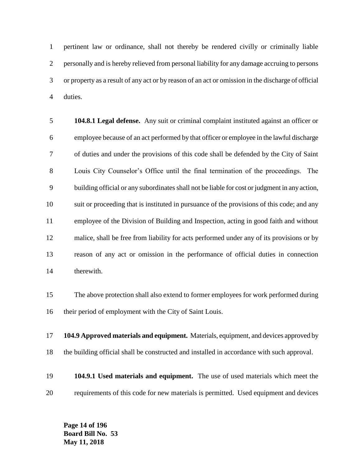pertinent law or ordinance, shall not thereby be rendered civilly or criminally liable personally and is hereby relieved from personal liability for any damage accruing to persons or property as a result of any act or by reason of an act or omission in the discharge of official duties.

 **104.8.1 Legal defense.** Any suit or criminal complaint instituted against an officer or employee because of an act performed by that officer or employee in the lawful discharge of duties and under the provisions of this code shall be defended by the City of Saint Louis City Counselor's Office until the final termination of the proceedings. The building official or any subordinates shall not be liable for cost or judgment in any action, suit or proceeding that is instituted in pursuance of the provisions of this code; and any employee of the Division of Building and Inspection, acting in good faith and without malice, shall be free from liability for acts performed under any of its provisions or by reason of any act or omission in the performance of official duties in connection therewith.

 The above protection shall also extend to former employees for work performed during their period of employment with the City of Saint Louis.

 **104.9 Approved materials and equipment.** Materials, equipment, and devices approved by the building official shall be constructed and installed in accordance with such approval.

 **104.9.1 Used materials and equipment.** The use of used materials which meet the requirements of this code for new materials is permitted. Used equipment and devices

**Page 14 of 196 Board Bill No. 53 May 11, 2018**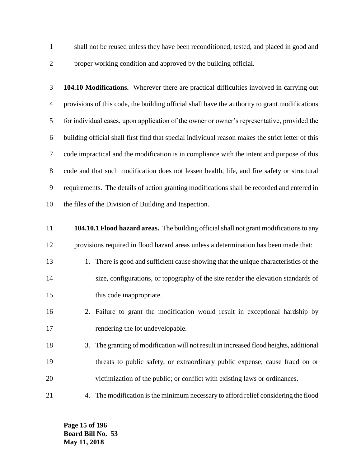- shall not be reused unless they have been reconditioned, tested, and placed in good and proper working condition and approved by the building official.
	- **104.10 Modifications.** Wherever there are practical difficulties involved in carrying out provisions of this code, the building official shall have the authority to grant modifications for individual cases, upon application of the owner or owner's representative, provided the building official shall first find that special individual reason makes the strict letter of this code impractical and the modification is in compliance with the intent and purpose of this code and that such modification does not lessen health, life, and fire safety or structural requirements. The details of action granting modifications shall be recorded and entered in the files of the Division of Building and Inspection.
	- **104.10.1 Flood hazard areas.** The building official shall not grant modifications to any provisions required in flood hazard areas unless a determination has been made that: 13 1. There is good and sufficient cause showing that the unique characteristics of the size, configurations, or topography of the site render the elevation standards of 15 this code inappropriate. 2. Failure to grant the modification would result in exceptional hardship by 17 rendering the lot undevelopable. 3. The granting of modification will not result in increased flood heights, additional threats to public safety, or extraordinary public expense; cause fraud on or victimization of the public; or conflict with existing laws or ordinances. 4. The modification is the minimum necessary to afford relief considering the flood

**Page 15 of 196 Board Bill No. 53 May 11, 2018**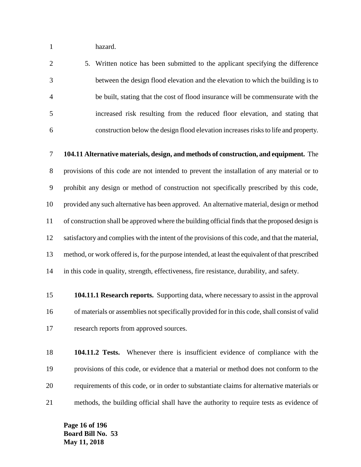hazard.

 5. Written notice has been submitted to the applicant specifying the difference between the design flood elevation and the elevation to which the building is to be built, stating that the cost of flood insurance will be commensurate with the increased risk resulting from the reduced floor elevation, and stating that construction below the design flood elevation increases risks to life and property.

 **104.11 Alternative materials, design, and methods of construction, and equipment.** The provisions of this code are not intended to prevent the installation of any material or to prohibit any design or method of construction not specifically prescribed by this code, provided any such alternative has been approved. An alternative material, design or method of construction shall be approved where the building official finds that the proposed design is satisfactory and complies with the intent of the provisions of this code, and that the material, method, or work offered is, for the purpose intended, at least the equivalent of that prescribed in this code in quality, strength, effectiveness, fire resistance, durability, and safety.

 **104.11.1 Research reports.** Supporting data, where necessary to assist in the approval of materials or assemblies not specifically provided for in this code, shall consist of valid research reports from approved sources.

 **104.11.2 Tests.** Whenever there is insufficient evidence of compliance with the provisions of this code, or evidence that a material or method does not conform to the requirements of this code, or in order to substantiate claims for alternative materials or methods, the building official shall have the authority to require tests as evidence of

**Page 16 of 196 Board Bill No. 53 May 11, 2018**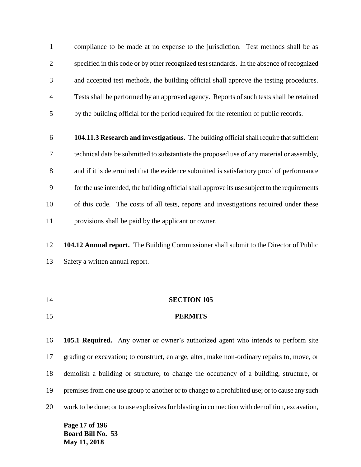compliance to be made at no expense to the jurisdiction. Test methods shall be as specified in this code or by other recognized test standards. In the absence of recognized and accepted test methods, the building official shall approve the testing procedures. Tests shall be performed by an approved agency. Reports of such tests shall be retained by the building official for the period required for the retention of public records.

- **104.11.3 Research and investigations.** The building official shall require that sufficient technical data be submitted to substantiate the proposed use of any material or assembly, and if it is determined that the evidence submitted is satisfactory proof of performance for the use intended, the building official shall approve its use subject to the requirements of this code. The costs of all tests, reports and investigations required under these provisions shall be paid by the applicant or owner.
- **104.12 Annual report.** The Building Commissioner shall submit to the Director of Public Safety a written annual report.
- **SECTION 105 PERMITS**

 **105.1 Required.** Any owner or owner's authorized agent who intends to perform site grading or excavation; to construct, enlarge, alter, make non-ordinary repairs to, move, or demolish a building or structure; to change the occupancy of a building, structure, or premises from one use group to another or to change to a prohibited use; or to cause any such work to be done; or to use explosives for blasting in connection with demolition, excavation,

**Page 17 of 196 Board Bill No. 53 May 11, 2018**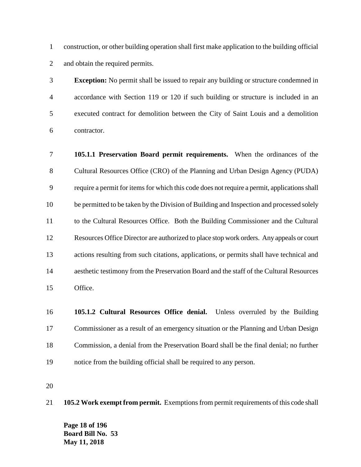construction, or other building operation shall first make application to the building official and obtain the required permits.

 **Exception:** No permit shall be issued to repair any building or structure condemned in accordance with Section 119 or 120 if such building or structure is included in an executed contract for demolition between the City of Saint Louis and a demolition contractor.

 **105.1.1 Preservation Board permit requirements.** When the ordinances of the Cultural Resources Office (CRO) of the Planning and Urban Design Agency (PUDA) require a permit for items for which this code does not require a permit, applications shall be permitted to be taken by the Division of Building and Inspection and processed solely to the Cultural Resources Office. Both the Building Commissioner and the Cultural Resources Office Director are authorized to place stop work orders. Any appeals or court actions resulting from such citations, applications, or permits shall have technical and aesthetic testimony from the Preservation Board and the staff of the Cultural Resources Office.

 **105.1.2 Cultural Resources Office denial.** Unless overruled by the Building Commissioner as a result of an emergency situation or the Planning and Urban Design Commission, a denial from the Preservation Board shall be the final denial; no further notice from the building official shall be required to any person.

**105.2 Work exempt from permit.** Exemptions from permit requirements of this code shall

**Page 18 of 196 Board Bill No. 53 May 11, 2018**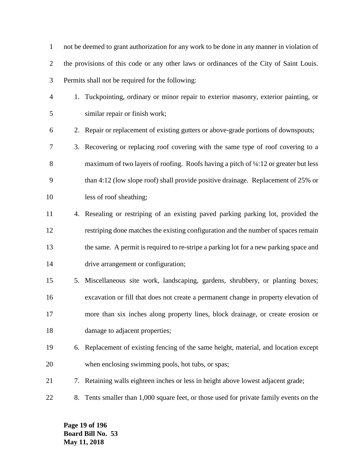not be deemed to grant authorization for any work to be done in any manner in violation of the provisions of this code or any other laws or ordinances of the City of Saint Louis. Permits shall not be required for the following:

- 1. Tuckpointing, ordinary or minor repair to exterior masonry, exterior painting, or similar repair or finish work;
- 2. Repair or replacement of existing gutters or above-grade portions of downspouts;
- 3. Recovering or replacing roof covering with the same type of roof covering to a 8 maximum of two layers of roofing. Roofs having a pitch of  $\frac{1}{4}$ :12 or greater but less than 4:12 (low slope roof) shall provide positive drainage. Replacement of 25% or less of roof sheathing;
- 4. Resealing or restriping of an existing paved parking parking lot, provided the restriping done matches the existing configuration and the number of spaces remain the same. A permit is required to re-stripe a parking lot for a new parking space and drive arrangement or configuration;
- 5. Miscellaneous site work, landscaping, gardens, shrubbery, or planting boxes; excavation or fill that does not create a permanent change in property elevation of more than six inches along property lines, block drainage, or create erosion or 18 damage to adjacent properties;
- 6. Replacement of existing fencing of the same height, material, and location except when enclosing swimming pools, hot tubs, or spas;
- 7. Retaining walls eighteen inches or less in height above lowest adjacent grade;
- 8. Tents smaller than 1,000 square feet, or those used for private family events on the

**Page 19 of 196 Board Bill No. 53 May 11, 2018**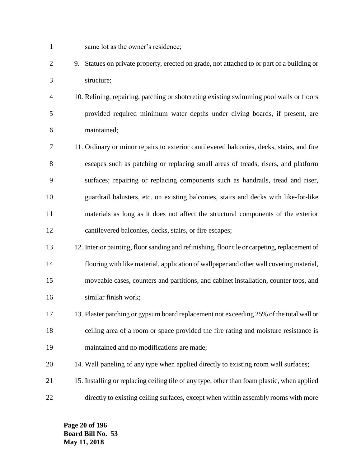- same lot as the owner's residence;
- 9. Statues on private property, erected on grade, not attached to or part of a building or structure;
- 10. Relining, repairing, patching or shotcreting existing swimming pool walls or floors provided required minimum water depths under diving boards, if present, are maintained;
- 11. Ordinary or minor repairs to exterior cantilevered balconies, decks, stairs, and fire escapes such as patching or replacing small areas of treads, risers, and platform surfaces; repairing or replacing components such as handrails, tread and riser, guardrail balusters, etc. on existing balconies, stairs and decks with like-for-like materials as long as it does not affect the structural components of the exterior cantilevered balconies, decks, stairs, or fire escapes;
- 12. Interior painting, floor sanding and refinishing, floor tile or carpeting, replacement of flooring with like material, application of wallpaper and other wall covering material, moveable cases, counters and partitions, and cabinet installation, counter tops, and similar finish work;
- 13. Plaster patching or gypsum board replacement not exceeding 25% of the total wall or ceiling area of a room or space provided the fire rating and moisture resistance is maintained and no modifications are made;
- 14. Wall paneling of any type when applied directly to existing room wall surfaces;
- 15. Installing or replacing ceiling tile of any type, other than foam plastic, when applied directly to existing ceiling surfaces, except when within assembly rooms with more

**Page 20 of 196 Board Bill No. 53 May 11, 2018**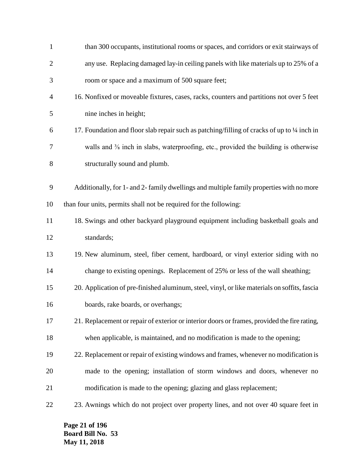| $\mathbf{1}$   | than 300 occupants, institutional rooms or spaces, and corridors or exit stairways of                        |
|----------------|--------------------------------------------------------------------------------------------------------------|
| $\overline{2}$ | any use. Replacing damaged lay-in ceiling panels with like materials up to 25% of a                          |
| 3              | room or space and a maximum of 500 square feet;                                                              |
| 4              | 16. Nonfixed or moveable fixtures, cases, racks, counters and partitions not over 5 feet                     |
| 5              | nine inches in height;                                                                                       |
| 6              | 17. Foundation and floor slab repair such as patching/filling of cracks of up to 1/4 inch in                 |
| 7              | walls and <sup>3</sup> / <sub>8</sub> inch in slabs, waterproofing, etc., provided the building is otherwise |
| 8              | structurally sound and plumb.                                                                                |
| 9              | Additionally, for 1- and 2- family dwellings and multiple family properties with no more                     |
|                |                                                                                                              |
| 10             | than four units, permits shall not be required for the following:                                            |
| 11             | 18. Swings and other backyard playground equipment including basketball goals and                            |
| 12             | standards;                                                                                                   |
| 13             | 19. New aluminum, steel, fiber cement, hardboard, or vinyl exterior siding with no                           |
| 14             | change to existing openings. Replacement of 25% or less of the wall sheathing;                               |
| 15             | 20. Application of pre-finished aluminum, steel, vinyl, or like materials on soffits, fascia                 |
| 16             | boards, rake boards, or overhangs;                                                                           |
| 17             | 21. Replacement or repair of exterior or interior doors or frames, provided the fire rating,                 |
| 18             | when applicable, is maintained, and no modification is made to the opening;                                  |
| 19             | 22. Replacement or repair of existing windows and frames, whenever no modification is                        |
| 20             | made to the opening; installation of storm windows and doors, whenever no                                    |
| 21             | modification is made to the opening; glazing and glass replacement;                                          |
| 22             | 23. Awnings which do not project over property lines, and not over 40 square feet in                         |

**Page 21 of 196 Board Bill No. 53 May 11, 2018**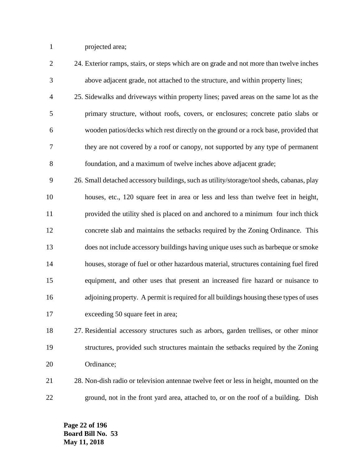projected area;

| $\overline{2}$ | 24. Exterior ramps, stairs, or steps which are on grade and not more than twelve inches   |
|----------------|-------------------------------------------------------------------------------------------|
| 3              | above adjacent grade, not attached to the structure, and within property lines;           |
| $\overline{4}$ | 25. Sidewalks and driveways within property lines; paved areas on the same lot as the     |
| 5              | primary structure, without roofs, covers, or enclosures; concrete patio slabs or          |
| 6              | wooden patios/decks which rest directly on the ground or a rock base, provided that       |
| 7              | they are not covered by a roof or canopy, not supported by any type of permanent          |
| 8              | foundation, and a maximum of twelve inches above adjacent grade;                          |
| 9              | 26. Small detached accessory buildings, such as utility/storage/tool sheds, cabanas, play |
| 10             | houses, etc., 120 square feet in area or less and less than twelve feet in height,        |
| 11             | provided the utility shed is placed on and anchored to a minimum four inch thick          |
| 12             | concrete slab and maintains the setbacks required by the Zoning Ordinance. This           |
| 13             | does not include accessory buildings having unique uses such as barbeque or smoke         |
| 14             | houses, storage of fuel or other hazardous material, structures containing fuel fired     |
| 15             | equipment, and other uses that present an increased fire hazard or nuisance to            |
| 16             | adjoining property. A permit is required for all buildings housing these types of uses    |
| 17             | exceeding 50 square feet in area;                                                         |
| 18             | 27. Residential accessory structures such as arbors, garden trellises, or other minor     |
| 19             | structures, provided such structures maintain the setbacks required by the Zoning         |

 28. Non-dish radio or television antennae twelve feet or less in height, mounted on the ground, not in the front yard area, attached to, or on the roof of a building. Dish

**Page 22 of 196 Board Bill No. 53 May 11, 2018**

Ordinance;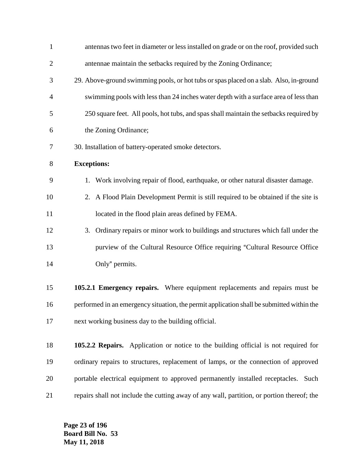| $\mathbf{1}$   | antennas two feet in diameter or less installed on grade or on the roof, provided such     |
|----------------|--------------------------------------------------------------------------------------------|
| $\overline{c}$ | antennae maintain the setbacks required by the Zoning Ordinance;                           |
| 3              | 29. Above-ground swimming pools, or hot tubs or spas placed on a slab. Also, in-ground     |
| 4              | swimming pools with less than 24 inches water depth with a surface area of less than       |
| 5              | 250 square feet. All pools, hot tubs, and spas shall maintain the setbacks required by     |
| 6              | the Zoning Ordinance;                                                                      |
| 7              | 30. Installation of battery-operated smoke detectors.                                      |
| 8              | <b>Exceptions:</b>                                                                         |
| 9              | 1. Work involving repair of flood, earthquake, or other natural disaster damage.           |
| 10             | 2. A Flood Plain Development Permit is still required to be obtained if the site is        |
| 11             | located in the flood plain areas defined by FEMA.                                          |
| 12             | 3. Ordinary repairs or minor work to buildings and structures which fall under the         |
| 13             | purview of the Cultural Resource Office requiring "Cultural Resource Office                |
| 14             | Only" permits.                                                                             |
| 15             | 105.2.1 Emergency repairs. Where equipment replacements and repairs must be                |
| 16             | performed in an emergency situation, the permit application shall be submitted within the  |
| 17             | next working business day to the building official.                                        |
| 18             | 105.2.2 Repairs. Application or notice to the building official is not required for        |
| 19             | ordinary repairs to structures, replacement of lamps, or the connection of approved        |
| 20             | portable electrical equipment to approved permanently installed receptacles. Such          |
| 21             | repairs shall not include the cutting away of any wall, partition, or portion thereof; the |
|                |                                                                                            |

**Page 23 of 196 Board Bill No. 53 May 11, 2018**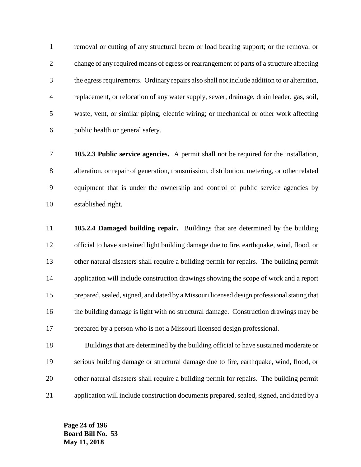removal or cutting of any structural beam or load bearing support; or the removal or change of any required means of egress or rearrangement of parts of a structure affecting the egress requirements. Ordinary repairs also shall not include addition to or alteration, replacement, or relocation of any water supply, sewer, drainage, drain leader, gas, soil, waste, vent, or similar piping; electric wiring; or mechanical or other work affecting public health or general safety.

 **105.2.3 Public service agencies.** A permit shall not be required for the installation, alteration, or repair of generation, transmission, distribution, metering, or other related equipment that is under the ownership and control of public service agencies by established right.

 **105.2.4 Damaged building repair.** Buildings that are determined by the building official to have sustained light building damage due to fire, earthquake, wind, flood, or other natural disasters shall require a building permit for repairs. The building permit application will include construction drawings showing the scope of work and a report 15 prepared, sealed, signed, and dated by a Missouri licensed design professional stating that the building damage is light with no structural damage. Construction drawings may be prepared by a person who is not a Missouri licensed design professional.

 Buildings that are determined by the building official to have sustained moderate or serious building damage or structural damage due to fire, earthquake, wind, flood, or other natural disasters shall require a building permit for repairs. The building permit application will include construction documents prepared, sealed, signed, and dated by a

**Page 24 of 196 Board Bill No. 53 May 11, 2018**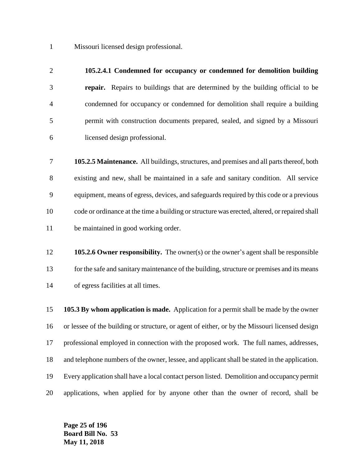Missouri licensed design professional.

# **105.2.4.1 Condemned for occupancy or condemned for demolition building**

 **repair.** Repairs to buildings that are determined by the building official to be condemned for occupancy or condemned for demolition shall require a building permit with construction documents prepared, sealed, and signed by a Missouri licensed design professional.

 **105.2.5 Maintenance.** All buildings, structures, and premises and all parts thereof, both existing and new, shall be maintained in a safe and sanitary condition. All service equipment, means of egress, devices, and safeguards required by this code or a previous code or ordinance at the time a building or structure was erected, altered, or repaired shall be maintained in good working order.

 **105.2.6 Owner responsibility.** The owner(s) or the owner's agent shall be responsible 13 for the safe and sanitary maintenance of the building, structure or premises and its means of egress facilities at all times.

 **105.3 By whom application is made.** Application for a permit shall be made by the owner or lessee of the building or structure, or agent of either, or by the Missouri licensed design professional employed in connection with the proposed work. The full names, addresses, and telephone numbers of the owner, lessee, and applicant shall be stated in the application. Every application shall have a local contact person listed. Demolition and occupancy permit applications, when applied for by anyone other than the owner of record, shall be

**Page 25 of 196 Board Bill No. 53 May 11, 2018**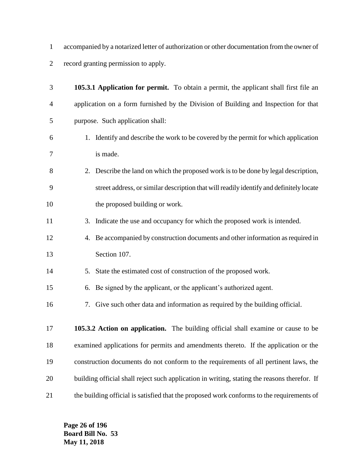accompanied by a notarized letter of authorization or other documentation from the owner of record granting permission to apply.

| 3              | 105.3.1 Application for permit. To obtain a permit, the applicant shall first file an        |
|----------------|----------------------------------------------------------------------------------------------|
| $\overline{4}$ | application on a form furnished by the Division of Building and Inspection for that          |
| 5              | purpose. Such application shall:                                                             |
| 6              | 1. Identify and describe the work to be covered by the permit for which application          |
| 7              | is made.                                                                                     |
| 8              | 2. Describe the land on which the proposed work is to be done by legal description,          |
| 9              | street address, or similar description that will readily identify and definitely locate      |
| 10             | the proposed building or work.                                                               |
| 11             | 3. Indicate the use and occupancy for which the proposed work is intended.                   |
| 12             | 4. Be accompanied by construction documents and other information as required in             |
| 13             | Section 107.                                                                                 |
| 14             | State the estimated cost of construction of the proposed work.<br>5.                         |
| 15             | 6. Be signed by the applicant, or the applicant's authorized agent.                          |
| 16             | 7. Give such other data and information as required by the building official.                |
| 17             | 105.3.2 Action on application. The building official shall examine or cause to be            |
| 18             | examined applications for permits and amendments thereto. If the application or the          |
| 19             | construction documents do not conform to the requirements of all pertinent laws, the         |
| 20             | building official shall reject such application in writing, stating the reasons therefor. If |
| 21             | the building official is satisfied that the proposed work conforms to the requirements of    |

**Page 26 of 196 Board Bill No. 53 May 11, 2018**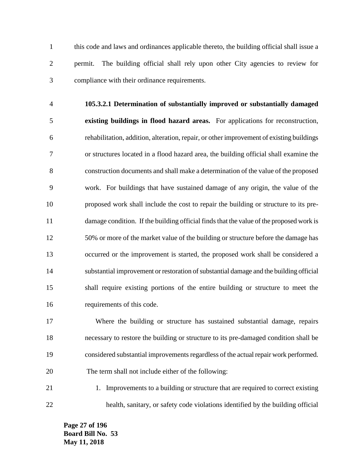this code and laws and ordinances applicable thereto, the building official shall issue a permit. The building official shall rely upon other City agencies to review for compliance with their ordinance requirements.

 **105.3.2.1 Determination of substantially improved or substantially damaged existing buildings in flood hazard areas.** For applications for reconstruction, rehabilitation, addition, alteration, repair, or other improvement of existing buildings or structures located in a flood hazard area, the building official shall examine the construction documents and shall make a determination of the value of the proposed work. For buildings that have sustained damage of any origin, the value of the proposed work shall include the cost to repair the building or structure to its pre- damage condition. If the building official finds that the value of the proposed work is 50% or more of the market value of the building or structure before the damage has occurred or the improvement is started, the proposed work shall be considered a substantial improvement or restoration of substantial damage and the building official shall require existing portions of the entire building or structure to meet the requirements of this code.

 Where the building or structure has sustained substantial damage, repairs necessary to restore the building or structure to its pre-damaged condition shall be considered substantial improvements regardless of the actual repair work performed. The term shall not include either of the following:

21 1. Improvements to a building or structure that are required to correct existing health, sanitary, or safety code violations identified by the building official

**Page 27 of 196 Board Bill No. 53 May 11, 2018**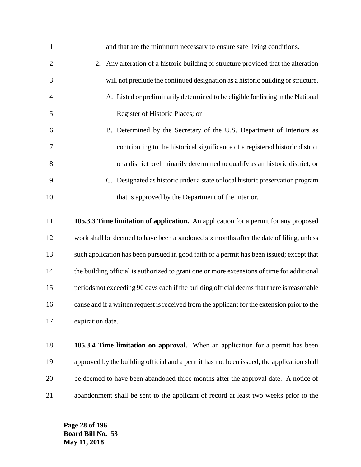| $\mathbf{1}$   | and that are the minimum necessary to ensure safe living conditions.                       |
|----------------|--------------------------------------------------------------------------------------------|
| $\overline{2}$ | 2. Any alteration of a historic building or structure provided that the alteration         |
| 3              | will not preclude the continued designation as a historic building or structure.           |
| $\overline{4}$ | A. Listed or preliminarily determined to be eligible for listing in the National           |
| 5              | Register of Historic Places; or                                                            |
| 6              | B. Determined by the Secretary of the U.S. Department of Interiors as                      |
| 7              | contributing to the historical significance of a registered historic district              |
| 8              | or a district preliminarily determined to qualify as an historic district; or              |
| 9              | C. Designated as historic under a state or local historic preservation program             |
| 10             | that is approved by the Department of the Interior.                                        |
|                |                                                                                            |
| 11             | 105.3.3 Time limitation of application. An application for a permit for any proposed       |
| 12             | work shall be deemed to have been abandoned six months after the date of filing, unless    |
| 13             | such application has been pursued in good faith or a permit has been issued; except that   |
| 14             | the building official is authorized to grant one or more extensions of time for additional |

 periods not exceeding 90 days each if the building official deems that there is reasonable cause and if a written request is received from the applicant for the extension prior to the expiration date.

 **105.3.4 Time limitation on approval.** When an application for a permit has been approved by the building official and a permit has not been issued, the application shall be deemed to have been abandoned three months after the approval date. A notice of abandonment shall be sent to the applicant of record at least two weeks prior to the

**Page 28 of 196 Board Bill No. 53 May 11, 2018**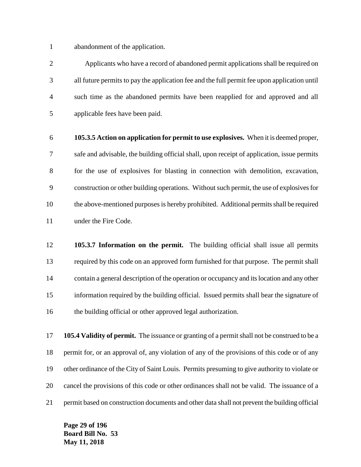abandonment of the application.

 Applicants who have a record of abandoned permit applications shall be required on all future permits to pay the application fee and the full permit fee upon application until such time as the abandoned permits have been reapplied for and approved and all applicable fees have been paid.

 **105.3.5 Action on application for permit to use explosives.** When it is deemed proper, safe and advisable, the building official shall, upon receipt of application, issue permits for the use of explosives for blasting in connection with demolition, excavation, construction or other building operations. Without such permit, the use of explosives for the above-mentioned purposes is hereby prohibited. Additional permits shall be required 11 under the Fire Code.

 **105.3.7 Information on the permit.** The building official shall issue all permits required by this code on an approved form furnished for that purpose. The permit shall contain a general description of the operation or occupancy and its location and any other information required by the building official. Issued permits shall bear the signature of the building official or other approved legal authorization.

 **105.4 Validity of permit.** The issuance or granting of a permit shall not be construed to be a permit for, or an approval of, any violation of any of the provisions of this code or of any other ordinance of the City of Saint Louis. Permits presuming to give authority to violate or cancel the provisions of this code or other ordinances shall not be valid. The issuance of a permit based on construction documents and other data shall not prevent the building official

**Page 29 of 196 Board Bill No. 53 May 11, 2018**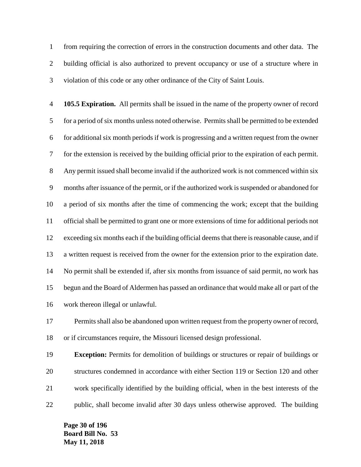from requiring the correction of errors in the construction documents and other data. The building official is also authorized to prevent occupancy or use of a structure where in violation of this code or any other ordinance of the City of Saint Louis.

 **105.5 Expiration.** All permits shall be issued in the name of the property owner of record for a period of six months unless noted otherwise. Permits shall be permitted to be extended for additional six month periods if work is progressing and a written request from the owner for the extension is received by the building official prior to the expiration of each permit. Any permit issued shall become invalid if the authorized work is not commenced within six months after issuance of the permit, or if the authorized work is suspended or abandoned for a period of six months after the time of commencing the work; except that the building official shall be permitted to grant one or more extensions of time for additional periods not exceeding six months each if the building official deems that there is reasonable cause, and if a written request is received from the owner for the extension prior to the expiration date. No permit shall be extended if, after six months from issuance of said permit, no work has begun and the Board of Aldermen has passed an ordinance that would make all or part of the work thereon illegal or unlawful.

 Permits shall also be abandoned upon written request from the property owner of record, or if circumstances require, the Missouri licensed design professional.

 **Exception:** Permits for demolition of buildings or structures or repair of buildings or structures condemned in accordance with either Section 119 or Section 120 and other work specifically identified by the building official, when in the best interests of the public, shall become invalid after 30 days unless otherwise approved. The building

**Page 30 of 196 Board Bill No. 53 May 11, 2018**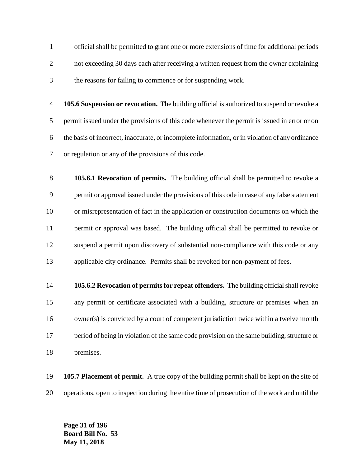official shall be permitted to grant one or more extensions of time for additional periods not exceeding 30 days each after receiving a written request from the owner explaining the reasons for failing to commence or for suspending work.

 **105.6 Suspension or revocation.** The building official is authorized to suspend or revoke a permit issued under the provisions of this code whenever the permit is issued in error or on the basis of incorrect, inaccurate, or incomplete information, or in violation of any ordinance or regulation or any of the provisions of this code.

 **105.6.1 Revocation of permits.** The building official shall be permitted to revoke a permit or approval issued under the provisions of this code in case of any false statement or misrepresentation of fact in the application or construction documents on which the permit or approval was based. The building official shall be permitted to revoke or suspend a permit upon discovery of substantial non-compliance with this code or any applicable city ordinance. Permits shall be revoked for non-payment of fees.

 **105.6.2 Revocation of permits for repeat offenders.** The building official shall revoke any permit or certificate associated with a building, structure or premises when an owner(s) is convicted by a court of competent jurisdiction twice within a twelve month period of being in violation of the same code provision on the same building, structure or premises.

 **105.7 Placement of permit.** A true copy of the building permit shall be kept on the site of operations, open to inspection during the entire time of prosecution of the work and until the

**Page 31 of 196 Board Bill No. 53 May 11, 2018**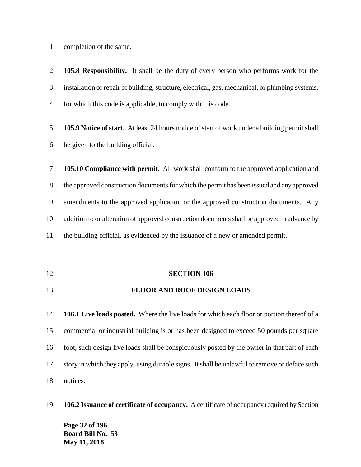completion of the same.

 **105.8 Responsibility.** It shall be the duty of every person who performs work for the installation or repair of building, structure, electrical, gas, mechanical, or plumbing systems, for which this code is applicable, to comply with this code.

 **105.9 Notice of start.** At least 24 hours notice of start of work under a building permit shall be given to the building official.

 **105.10 Compliance with permit.** All work shall conform to the approved application and the approved construction documents for which the permit has been issued and any approved amendments to the approved application or the approved construction documents. Any addition to or alteration of approved construction documents shall be approved in advance by the building official, as evidenced by the issuance of a new or amended permit.

**SECTION 106**

### **FLOOR AND ROOF DESIGN LOADS**

 **106.1 Live loads posted.** Where the live loads for which each floor or portion thereof of a commercial or industrial building is or has been designed to exceed 50 pounds per square foot, such design live loads shall be conspicuously posted by the owner in that part of each story in which they apply, using durable signs. It shall be unlawful to remove or deface such notices.

**106.2 Issuance of certificate of occupancy.** A certificate of occupancy required by Section

**Page 32 of 196 Board Bill No. 53 May 11, 2018**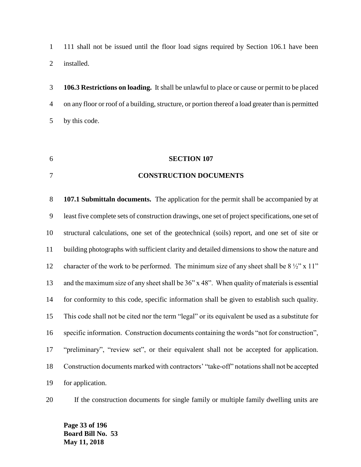111 shall not be issued until the floor load signs required by Section 106.1 have been installed.

 **106.3 Restrictions on loading.** It shall be unlawful to place or cause or permit to be placed on any floor or roof of a building, structure, or portion thereof a load greater than is permitted by this code.

### **SECTION 107**

### **CONSTRUCTION DOCUMENTS**

 **107.1 Submittaln documents.** The application for the permit shall be accompanied by at least five complete sets of construction drawings, one set of project specifications, one set of structural calculations, one set of the geotechnical (soils) report, and one set of site or building photographs with sufficient clarity and detailed dimensions to show the nature and 12 character of the work to be performed. The minimum size of any sheet shall be  $8\frac{1}{2}$ " x 11" and the maximum size of any sheet shall be 36" x 48". When quality of materials is essential for conformity to this code, specific information shall be given to establish such quality. This code shall not be cited nor the term "legal" or its equivalent be used as a substitute for specific information. Construction documents containing the words "not for construction", "preliminary", "review set", or their equivalent shall not be accepted for application. Construction documents marked with contractors' "take-off" notations shall not be accepted for application.

If the construction documents for single family or multiple family dwelling units are

**Page 33 of 196 Board Bill No. 53 May 11, 2018**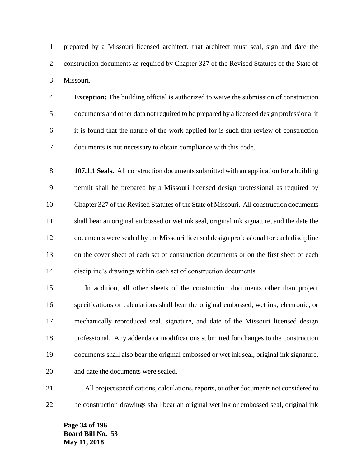prepared by a Missouri licensed architect, that architect must seal, sign and date the construction documents as required by Chapter 327 of the Revised Statutes of the State of Missouri.

 **Exception:** The building official is authorized to waive the submission of construction documents and other data not required to be prepared by a licensed design professional if it is found that the nature of the work applied for is such that review of construction documents is not necessary to obtain compliance with this code.

 **107.1.1 Seals.** All construction documents submitted with an application for a building permit shall be prepared by a Missouri licensed design professional as required by Chapter 327 of the Revised Statutes of the State of Missouri. All construction documents shall bear an original embossed or wet ink seal, original ink signature, and the date the documents were sealed by the Missouri licensed design professional for each discipline on the cover sheet of each set of construction documents or on the first sheet of each discipline's drawings within each set of construction documents.

 In addition, all other sheets of the construction documents other than project specifications or calculations shall bear the original embossed, wet ink, electronic, or mechanically reproduced seal, signature, and date of the Missouri licensed design professional. Any addenda or modifications submitted for changes to the construction documents shall also bear the original embossed or wet ink seal, original ink signature, and date the documents were sealed.

 All project specifications, calculations, reports, or other documents not considered to be construction drawings shall bear an original wet ink or embossed seal, original ink

**Page 34 of 196 Board Bill No. 53 May 11, 2018**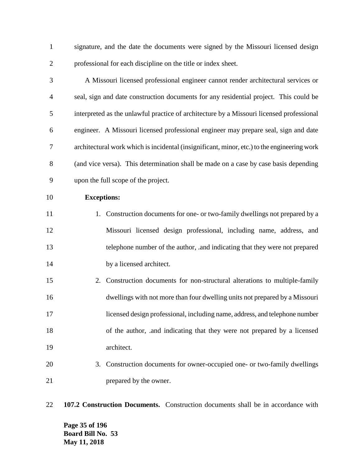signature, and the date the documents were signed by the Missouri licensed design professional for each discipline on the title or index sheet.

 A Missouri licensed professional engineer cannot render architectural services or seal, sign and date construction documents for any residential project. This could be interpreted as the unlawful practice of architecture by a Missouri licensed professional engineer. A Missouri licensed professional engineer may prepare seal, sign and date architectural work which is incidental (insignificant, minor, etc.) to the engineering work (and vice versa). This determination shall be made on a case by case basis depending upon the full scope of the project.

**Exceptions:**

11 1. Construction documents for one- or two-family dwellings not prepared by a Missouri licensed design professional, including name, address, and telephone number of the author, .and indicating that they were not prepared 14 by a licensed architect.

- 2. Construction documents for non-structural alterations to multiple-family dwellings with not more than four dwelling units not prepared by a Missouri licensed design professional, including name, address, and telephone number of the author, .and indicating that they were not prepared by a licensed architect.
- 3. Construction documents for owner-occupied one- or two-family dwellings 21 prepared by the owner.
- **107.2 Construction Documents.** Construction documents shall be in accordance with

**Page 35 of 196 Board Bill No. 53 May 11, 2018**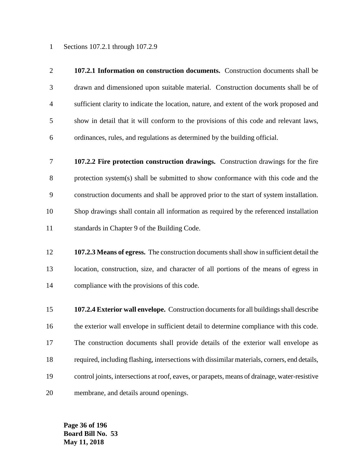Sections 107.2.1 through 107.2.9

- **107.2.1 Information on construction documents.** Construction documents shall be drawn and dimensioned upon suitable material. Construction documents shall be of sufficient clarity to indicate the location, nature, and extent of the work proposed and show in detail that it will conform to the provisions of this code and relevant laws, ordinances, rules, and regulations as determined by the building official.
- **107.2.2 Fire protection construction drawings.** Construction drawings for the fire protection system(s) shall be submitted to show conformance with this code and the construction documents and shall be approved prior to the start of system installation. Shop drawings shall contain all information as required by the referenced installation standards in Chapter 9 of the Building Code.
- **107.2.3 Means of egress.** The construction documents shall show in sufficient detail the location, construction, size, and character of all portions of the means of egress in compliance with the provisions of this code.
- **107.2.4 Exterior wall envelope.** Construction documents for all buildings shall describe the exterior wall envelope in sufficient detail to determine compliance with this code. The construction documents shall provide details of the exterior wall envelope as required, including flashing, intersections with dissimilar materials, corners, end details, control joints, intersections at roof, eaves, or parapets, means of drainage, water-resistive membrane, and details around openings.

**Page 36 of 196 Board Bill No. 53 May 11, 2018**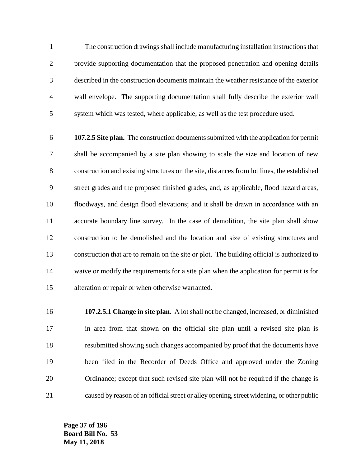The construction drawings shall include manufacturing installation instructions that provide supporting documentation that the proposed penetration and opening details described in the construction documents maintain the weather resistance of the exterior wall envelope. The supporting documentation shall fully describe the exterior wall system which was tested, where applicable, as well as the test procedure used.

 **107.2.5 Site plan.** The construction documents submitted with the application for permit shall be accompanied by a site plan showing to scale the size and location of new construction and existing structures on the site, distances from lot lines, the established street grades and the proposed finished grades, and, as applicable, flood hazard areas, floodways, and design flood elevations; and it shall be drawn in accordance with an accurate boundary line survey. In the case of demolition, the site plan shall show construction to be demolished and the location and size of existing structures and construction that are to remain on the site or plot. The building official is authorized to waive or modify the requirements for a site plan when the application for permit is for alteration or repair or when otherwise warranted.

 **107.2.5.1 Change in site plan.** A lot shall not be changed, increased, or diminished in area from that shown on the official site plan until a revised site plan is resubmitted showing such changes accompanied by proof that the documents have been filed in the Recorder of Deeds Office and approved under the Zoning Ordinance; except that such revised site plan will not be required if the change is caused by reason of an official street or alley opening, street widening, or other public

**Page 37 of 196 Board Bill No. 53 May 11, 2018**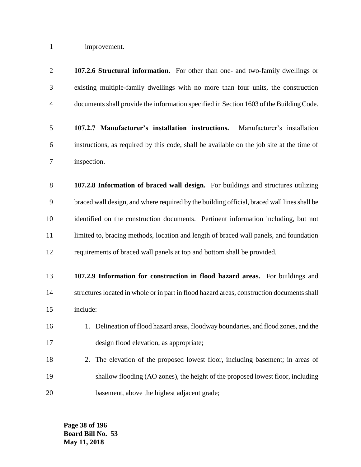improvement.

| $\mathbf{2}$ | 107.2.6 Structural information. For other than one- and two-family dwellings or             |
|--------------|---------------------------------------------------------------------------------------------|
| 3            | existing multiple-family dwellings with no more than four units, the construction           |
| 4            | documents shall provide the information specified in Section 1603 of the Building Code.     |
| 5            | 107.2.7 Manufacturer's installation instructions.<br>Manufacturer's installation            |
| 6            | instructions, as required by this code, shall be available on the job site at the time of   |
| 7            | inspection.                                                                                 |
| 8            | 107.2.8 Information of braced wall design. For buildings and structures utilizing           |
| 9            | braced wall design, and where required by the building official, braced wall lines shall be |
| 10           | identified on the construction documents. Pertinent information including, but not          |
| 11           | limited to, bracing methods, location and length of braced wall panels, and foundation      |
| 12           | requirements of braced wall panels at top and bottom shall be provided.                     |
| 13           | 107.2.9 Information for construction in flood hazard areas. For buildings and               |
| 14           | structures located in whole or in part in flood hazard areas, construction documents shall  |
| 15           | include:                                                                                    |
| 16           | 1. Delineation of flood hazard areas, floodway boundaries, and flood zones, and the         |
| 17           | design flood elevation, as appropriate;                                                     |
| 18           | The elevation of the proposed lowest floor, including basement; in areas of<br>2.           |
| 19           | shallow flooding (AO zones), the height of the proposed lowest floor, including             |
| 20           | basement, above the highest adjacent grade;                                                 |

**Page 38 of 196 Board Bill No. 53 May 11, 2018**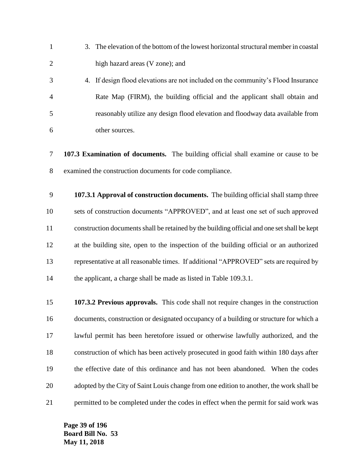- 3. The elevation of the bottom of the lowest horizontal structural member in coastal high hazard areas (V zone); and
- 4. If design flood elevations are not included on the community's Flood Insurance Rate Map (FIRM), the building official and the applicant shall obtain and reasonably utilize any design flood elevation and floodway data available from other sources.
- **107.3 Examination of documents.** The building official shall examine or cause to be examined the construction documents for code compliance.
- **107.3.1 Approval of construction documents.** The building official shall stamp three sets of construction documents "APPROVED", and at least one set of such approved construction documents shall be retained by the building official and one set shall be kept at the building site, open to the inspection of the building official or an authorized representative at all reasonable times. If additional "APPROVED" sets are required by 14 the applicant, a charge shall be made as listed in Table 109.3.1.
- **107.3.2 Previous approvals.** This code shall not require changes in the construction documents, construction or designated occupancy of a building or structure for which a lawful permit has been heretofore issued or otherwise lawfully authorized, and the construction of which has been actively prosecuted in good faith within 180 days after the effective date of this ordinance and has not been abandoned. When the codes adopted by the City of Saint Louis change from one edition to another, the work shall be 21 permitted to be completed under the codes in effect when the permit for said work was

**Page 39 of 196 Board Bill No. 53 May 11, 2018**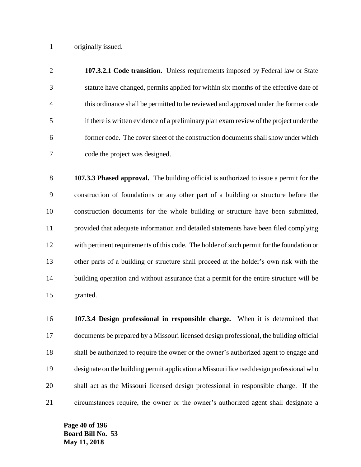originally issued.

 **107.3.2.1 Code transition.** Unless requirements imposed by Federal law or State statute have changed, permits applied for within six months of the effective date of this ordinance shall be permitted to be reviewed and approved under the former code if there is written evidence of a preliminary plan exam review of the project under the former code. The cover sheet of the construction documents shall show under which code the project was designed.

 **107.3.3 Phased approval.** The building official is authorized to issue a permit for the construction of foundations or any other part of a building or structure before the construction documents for the whole building or structure have been submitted, provided that adequate information and detailed statements have been filed complying with pertinent requirements of this code. The holder of such permit for the foundation or other parts of a building or structure shall proceed at the holder's own risk with the building operation and without assurance that a permit for the entire structure will be granted.

 **107.3.4 Design professional in responsible charge.** When it is determined that documents be prepared by a Missouri licensed design professional, the building official shall be authorized to require the owner or the owner's authorized agent to engage and designate on the building permit application a Missouri licensed design professional who shall act as the Missouri licensed design professional in responsible charge. If the circumstances require, the owner or the owner's authorized agent shall designate a

**Page 40 of 196 Board Bill No. 53 May 11, 2018**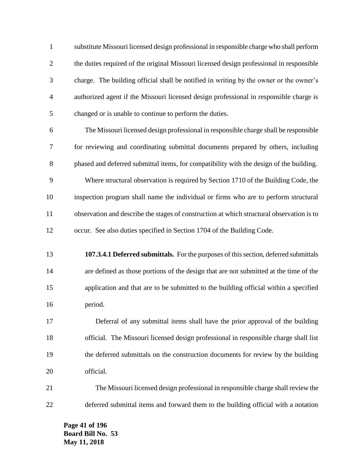substitute Missouri licensed design professional in responsible charge who shall perform the duties required of the original Missouri licensed design professional in responsible charge. The building official shall be notified in writing by the owner or the owner's authorized agent if the Missouri licensed design professional in responsible charge is changed or is unable to continue to perform the duties.

 The Missouri licensed design professional in responsible charge shall be responsible for reviewing and coordinating submittal documents prepared by others, including phased and deferred submittal items, for compatibility with the design of the building. Where structural observation is required by Section 1710 of the Building Code, the inspection program shall name the individual or firms who are to perform structural observation and describe the stages of construction at which structural observation is to occur. See also duties specified in Section 1704 of the Building Code.

 **107.3.4.1 Deferred submittals.** For the purposes of this section, deferred submittals are defined as those portions of the design that are not submitted at the time of the application and that are to be submitted to the building official within a specified period.

 Deferral of any submittal items shall have the prior approval of the building official. The Missouri licensed design professional in responsible charge shall list the deferred submittals on the construction documents for review by the building official.

 The Missouri licensed design professional in responsible charge shall review the deferred submittal items and forward them to the building official with a notation

**Page 41 of 196 Board Bill No. 53 May 11, 2018**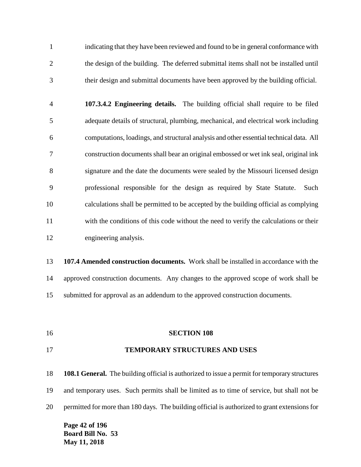indicating that they have been reviewed and found to be in general conformance with the design of the building. The deferred submittal items shall not be installed until their design and submittal documents have been approved by the building official.

 **107.3.4.2 Engineering details.** The building official shall require to be filed adequate details of structural, plumbing, mechanical, and electrical work including computations, loadings, and structural analysis and other essential technical data. All construction documents shall bear an original embossed or wet ink seal, original ink signature and the date the documents were sealed by the Missouri licensed design professional responsible for the design as required by State Statute. Such calculations shall be permitted to be accepted by the building official as complying with the conditions of this code without the need to verify the calculations or their engineering analysis.

 **107.4 Amended construction documents.** Work shall be installed in accordance with the approved construction documents. Any changes to the approved scope of work shall be submitted for approval as an addendum to the approved construction documents.

**SECTION 108**

### **TEMPORARY STRUCTURES AND USES**

 **108.1 General.** The building official is authorized to issue a permit for temporary structures and temporary uses. Such permits shall be limited as to time of service, but shall not be permitted for more than 180 days. The building official is authorized to grant extensions for

**Page 42 of 196 Board Bill No. 53 May 11, 2018**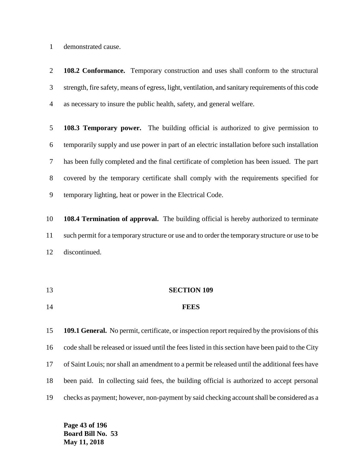demonstrated cause.

 **108.2 Conformance.** Temporary construction and uses shall conform to the structural strength, fire safety, means of egress, light, ventilation, and sanitary requirements of this code as necessary to insure the public health, safety, and general welfare.

 **108.3 Temporary power.** The building official is authorized to give permission to temporarily supply and use power in part of an electric installation before such installation has been fully completed and the final certificate of completion has been issued. The part covered by the temporary certificate shall comply with the requirements specified for temporary lighting, heat or power in the Electrical Code.

 **108.4 Termination of approval.** The building official is hereby authorized to terminate such permit for a temporary structure or use and to order the temporary structure or use to be discontinued.

 **SECTION 109 FEES**

 **109.1 General.** No permit, certificate, or inspection report required by the provisions of this code shall be released or issued until the fees listed in this section have been paid to the City of Saint Louis; nor shall an amendment to a permit be released until the additional fees have been paid. In collecting said fees, the building official is authorized to accept personal checks as payment; however, non-payment by said checking account shall be considered as a

**Page 43 of 196 Board Bill No. 53 May 11, 2018**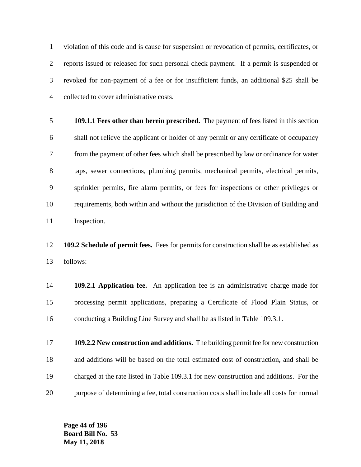violation of this code and is cause for suspension or revocation of permits, certificates, or reports issued or released for such personal check payment. If a permit is suspended or revoked for non-payment of a fee or for insufficient funds, an additional \$25 shall be collected to cover administrative costs.

 **109.1.1 Fees other than herein prescribed.** The payment of fees listed in this section shall not relieve the applicant or holder of any permit or any certificate of occupancy from the payment of other fees which shall be prescribed by law or ordinance for water taps, sewer connections, plumbing permits, mechanical permits, electrical permits, sprinkler permits, fire alarm permits, or fees for inspections or other privileges or requirements, both within and without the jurisdiction of the Division of Building and Inspection.

 **109.2 Schedule of permit fees.** Fees for permits for construction shall be as established as follows:

 **109.2.1 Application fee.** An application fee is an administrative charge made for processing permit applications, preparing a Certificate of Flood Plain Status, or conducting a Building Line Survey and shall be as listed in Table 109.3.1.

 **109.2.2 New construction and additions.** The building permit fee for new construction and additions will be based on the total estimated cost of construction, and shall be charged at the rate listed in Table 109.3.1 for new construction and additions. For the purpose of determining a fee, total construction costs shall include all costs for normal

**Page 44 of 196 Board Bill No. 53 May 11, 2018**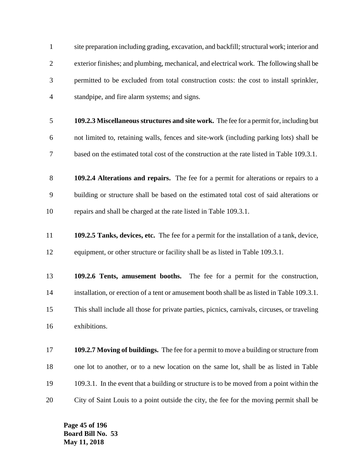site preparation including grading, excavation, and backfill; structural work; interior and exterior finishes; and plumbing, mechanical, and electrical work. The following shall be permitted to be excluded from total construction costs: the cost to install sprinkler, standpipe, and fire alarm systems; and signs. **109.2.3 Miscellaneous structures and site work.** The fee for a permit for, including but not limited to, retaining walls, fences and site-work (including parking lots) shall be based on the estimated total cost of the construction at the rate listed in Table 109.3.1. **109.2.4 Alterations and repairs.** The fee for a permit for alterations or repairs to a building or structure shall be based on the estimated total cost of said alterations or repairs and shall be charged at the rate listed in Table 109.3.1. **109.2.5 Tanks, devices, etc.** The fee for a permit for the installation of a tank, device, 12 equipment, or other structure or facility shall be as listed in Table 109.3.1. **109.2.6 Tents, amusement booths.** The fee for a permit for the construction, installation, or erection of a tent or amusement booth shall be as listed in Table 109.3.1. This shall include all those for private parties, picnics, carnivals, circuses, or traveling exhibitions. **109.2.7 Moving of buildings.** The fee for a permit to move a building or structure from one lot to another, or to a new location on the same lot, shall be as listed in Table 109.3.1. In the event that a building or structure is to be moved from a point within the City of Saint Louis to a point outside the city, the fee for the moving permit shall be

**Page 45 of 196 Board Bill No. 53 May 11, 2018**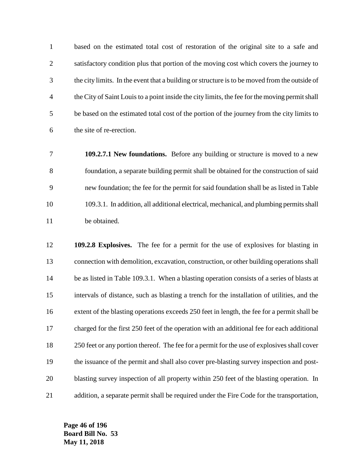based on the estimated total cost of restoration of the original site to a safe and satisfactory condition plus that portion of the moving cost which covers the journey to the city limits. In the event that a building or structure is to be moved from the outside of the City of Saint Louis to a point inside the city limits, the fee for the moving permit shall be based on the estimated total cost of the portion of the journey from the city limits to the site of re-erection.

- **109.2.7.1 New foundations.** Before any building or structure is moved to a new foundation, a separate building permit shall be obtained for the construction of said new foundation; the fee for the permit for said foundation shall be as listed in Table 109.3.1. In addition, all additional electrical, mechanical, and plumbing permits shall be obtained.
- **109.2.8 Explosives.** The fee for a permit for the use of explosives for blasting in connection with demolition, excavation, construction, or other building operations shall 14 be as listed in Table 109.3.1. When a blasting operation consists of a series of blasts at intervals of distance, such as blasting a trench for the installation of utilities, and the 16 extent of the blasting operations exceeds 250 feet in length, the fee for a permit shall be charged for the first 250 feet of the operation with an additional fee for each additional 18 250 feet or any portion thereof. The fee for a permit for the use of explosives shall cover the issuance of the permit and shall also cover pre-blasting survey inspection and post- blasting survey inspection of all property within 250 feet of the blasting operation. In addition, a separate permit shall be required under the Fire Code for the transportation,

**Page 46 of 196 Board Bill No. 53 May 11, 2018**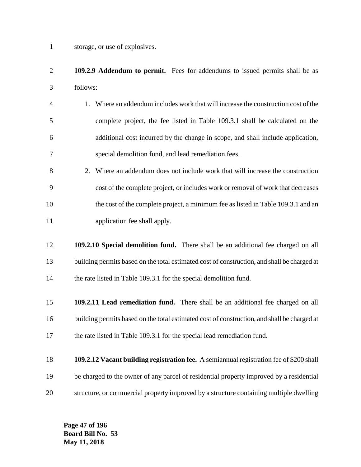storage, or use of explosives.

- **109.2.9 Addendum to permit.** Fees for addendums to issued permits shall be as follows:
- 1. Where an addendum includes work that will increase the construction cost of the complete project, the fee listed in Table 109.3.1 shall be calculated on the additional cost incurred by the change in scope, and shall include application, special demolition fund, and lead remediation fees.
- 2. Where an addendum does not include work that will increase the construction cost of the complete project, or includes work or removal of work that decreases 10 the cost of the complete project, a minimum fee as listed in Table 109.3.1 and an application fee shall apply.
- **109.2.10 Special demolition fund.** There shall be an additional fee charged on all building permits based on the total estimated cost of construction, and shall be charged at 14 the rate listed in Table 109.3.1 for the special demolition fund.
- **109.2.11 Lead remediation fund.** There shall be an additional fee charged on all building permits based on the total estimated cost of construction, and shall be charged at 17 the rate listed in Table 109.3.1 for the special lead remediation fund.
- **109.2.12 Vacant building registration fee.** A semiannual registration fee of \$200 shall be charged to the owner of any parcel of residential property improved by a residential structure, or commercial property improved by a structure containing multiple dwelling

**Page 47 of 196 Board Bill No. 53 May 11, 2018**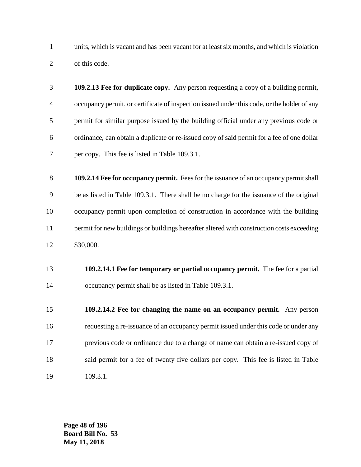units, which is vacant and has been vacant for at least six months, and which is violation of this code.

- **109.2.13 Fee for duplicate copy.** Any person requesting a copy of a building permit, occupancy permit, or certificate of inspection issued under this code, or the holder of any permit for similar purpose issued by the building official under any previous code or ordinance, can obtain a duplicate or re-issued copy of said permit for a fee of one dollar per copy. This fee is listed in Table 109.3.1.
- **109.2.14 Fee for occupancy permit.** Fees for the issuance of an occupancy permit shall be as listed in Table 109.3.1. There shall be no charge for the issuance of the original occupancy permit upon completion of construction in accordance with the building permit for new buildings or buildings hereafter altered with construction costs exceeding \$30,000.
- **109.2.14.1 Fee for temporary or partial occupancy permit.** The fee for a partial occupancy permit shall be as listed in Table 109.3.1.
- **109.2.14.2 Fee for changing the name on an occupancy permit.** Any person requesting a re-issuance of an occupancy permit issued under this code or under any previous code or ordinance due to a change of name can obtain a re-issued copy of said permit for a fee of twenty five dollars per copy. This fee is listed in Table 109.3.1.

**Page 48 of 196 Board Bill No. 53 May 11, 2018**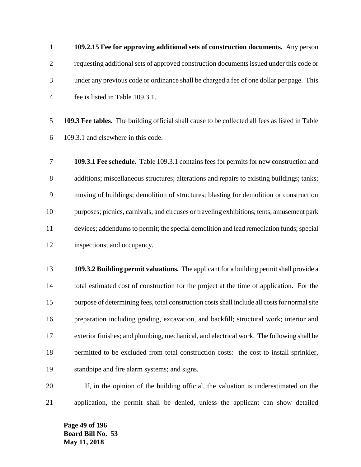**109.2.15 Fee for approving additional sets of construction documents.** Any person requesting additional sets of approved construction documents issued under this code or under any previous code or ordinance shall be charged a fee of one dollar per page. This fee is listed in Table 109.3.1.

 **109.3 Fee tables.** The building official shall cause to be collected all fees as listed in Table 109.3.1 and elsewhere in this code.

 **109.3.1 Fee schedule.** Table 109.3.1 contains fees for permits for new construction and additions; miscellaneous structures; alterations and repairs to existing buildings; tanks; moving of buildings; demolition of structures; blasting for demolition or construction purposes; picnics, carnivals, and circuses or traveling exhibitions; tents; amusement park devices; addendums to permit; the special demolition and lead remediation funds; special inspections; and occupancy.

 **109.3.2 Building permit valuations.** The applicant for a building permit shall provide a total estimated cost of construction for the project at the time of application. For the purpose of determining fees, total construction costs shall include all costs for normal site preparation including grading, excavation, and backfill; structural work; interior and exterior finishes; and plumbing, mechanical, and electrical work. The following shall be permitted to be excluded from total construction costs: the cost to install sprinkler, standpipe and fire alarm systems; and signs.

 If, in the opinion of the building official, the valuation is underestimated on the application, the permit shall be denied, unless the applicant can show detailed

**Page 49 of 196 Board Bill No. 53 May 11, 2018**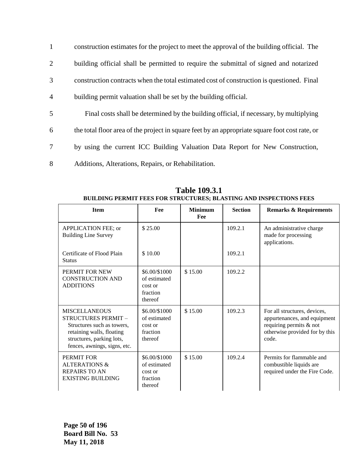| $\mathbf{1}$   | construction estimates for the project to meet the approval of the building official. The      |
|----------------|------------------------------------------------------------------------------------------------|
| $\overline{2}$ | building official shall be permitted to require the submittal of signed and notarized          |
| 3              | construction contracts when the total estimated cost of construction is questioned. Final      |
| $\overline{4}$ | building permit valuation shall be set by the building official.                               |
| 5              | Final costs shall be determined by the building official, if necessary, by multiplying         |
| 6              | the total floor area of the project in square feet by an appropriate square foot cost rate, or |
| 7              | by using the current ICC Building Valuation Data Report for New Construction,                  |
| 8              | Additions, Alterations, Repairs, or Rehabilitation.                                            |

| <b>Item</b>                                                                                                                                                         | Fee                                                             | <b>Minimum</b><br>Fee | <b>Section</b> | <b>Remarks &amp; Requirements</b>                                                                                                  |
|---------------------------------------------------------------------------------------------------------------------------------------------------------------------|-----------------------------------------------------------------|-----------------------|----------------|------------------------------------------------------------------------------------------------------------------------------------|
| APPLICATION FEE; or<br><b>Building Line Survey</b>                                                                                                                  | \$25.00                                                         |                       | 109.2.1        | An administrative charge<br>made for processing<br>applications.                                                                   |
| Certificate of Flood Plain<br><b>Status</b>                                                                                                                         | \$10.00                                                         |                       | 109.2.1        |                                                                                                                                    |
| PERMIT FOR NEW<br><b>CONSTRUCTION AND</b><br><b>ADDITIONS</b>                                                                                                       | \$6.00/\$1000<br>of estimated<br>cost or<br>fraction<br>thereof | \$15.00               | 109.2.2        |                                                                                                                                    |
| <b>MISCELLANEOUS</b><br>STRUCTURES PERMIT -<br>Structures such as towers,<br>retaining walls, floating<br>structures, parking lots,<br>fences, awnings, signs, etc. | \$6.00/\$1000<br>of estimated<br>cost or<br>fraction<br>thereof | \$15.00               | 109.2.3        | For all structures, devices,<br>appurtenances, and equipment<br>requiring permits & not<br>otherwise provided for by this<br>code. |
| PERMIT FOR<br><b>ALTERATIONS &amp;</b><br><b>REPAIRS TO AN</b><br><b>EXISTING BUILDING</b>                                                                          | \$6.00/\$1000<br>of estimated<br>cost or<br>fraction<br>thereof | \$15.00               | 109.2.4        | Permits for flammable and<br>combustible liquids are<br>required under the Fire Code.                                              |

**Table 109.3.1 BUILDING PERMIT FEES FOR STRUCTURES; BLASTING AND INSPECTIONS FEES**

**Page 50 of 196 Board Bill No. 53 May 11, 2018**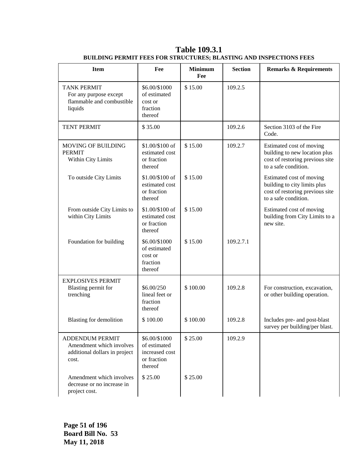| <b>Item</b>                                                                                  | Fee                                                                       | <b>Minimum</b><br>Fee | <b>Section</b> | <b>Remarks &amp; Requirements</b>                                                                                    |
|----------------------------------------------------------------------------------------------|---------------------------------------------------------------------------|-----------------------|----------------|----------------------------------------------------------------------------------------------------------------------|
| <b>TANK PERMIT</b><br>For any purpose except<br>flammable and combustible<br>liquids         | \$6.00/\$1000<br>of estimated<br>cost or<br>fraction<br>thereof           | \$15.00               | 109.2.5        |                                                                                                                      |
| <b>TENT PERMIT</b>                                                                           | \$35.00                                                                   |                       | 109.2.6        | Section 3103 of the Fire<br>Code.                                                                                    |
| <b>MOVING OF BUILDING</b><br><b>PERMIT</b><br>Within City Limits                             | \$1.00/\$100 of<br>estimated cost<br>or fraction<br>thereof               | \$15.00               | 109.2.7        | Estimated cost of moving<br>building to new location plus<br>cost of restoring previous site<br>to a safe condition. |
| To outside City Limits                                                                       | \$1.00/\$100 of<br>estimated cost<br>or fraction<br>thereof               | \$15.00               |                | Estimated cost of moving<br>building to city limits plus<br>cost of restoring previous site<br>to a safe condition.  |
| From outside City Limits to<br>within City Limits                                            | \$1.00/\$100 of<br>estimated cost<br>or fraction<br>thereof               | \$15.00               |                | Estimated cost of moving<br>building from City Limits to a<br>new site.                                              |
| Foundation for building                                                                      | \$6.00/\$1000<br>of estimated<br>cost or<br>fraction<br>thereof           | \$15.00               | 109.2.7.1      |                                                                                                                      |
| <b>EXPLOSIVES PERMIT</b><br>Blasting permit for<br>trenching                                 | \$6.00/250<br>lineal feet or<br>fraction<br>thereof                       | \$100.00              | 109.2.8        | For construction, excavation,<br>or other building operation.                                                        |
| <b>Blasting for demolition</b>                                                               | \$100.00                                                                  | \$100.00              | 109.2.8        | Includes pre- and post-blast<br>survey per building/per blast.                                                       |
| <b>ADDENDUM PERMIT</b><br>Amendment which involves<br>additional dollars in project<br>cost. | \$6.00/\$1000<br>of estimated<br>increased cost<br>or fraction<br>thereof | \$25.00               | 109.2.9        |                                                                                                                      |
| Amendment which involves<br>decrease or no increase in<br>project cost.                      | \$25.00                                                                   | \$25.00               |                |                                                                                                                      |

**Table 109.3.1 BUILDING PERMIT FEES FOR STRUCTURES; BLASTING AND INSPECTIONS FEES**

**Page 51 of 196 Board Bill No. 53 May 11, 2018**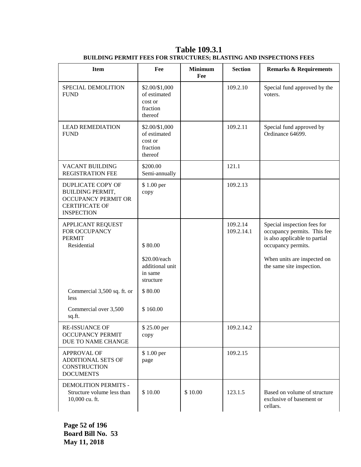| <b>Item</b>                                                                                                                     | Fee                                                                | <b>Minimum</b><br>Fee | <b>Section</b>         | <b>Remarks &amp; Requirements</b>                                                                                                                                             |
|---------------------------------------------------------------------------------------------------------------------------------|--------------------------------------------------------------------|-----------------------|------------------------|-------------------------------------------------------------------------------------------------------------------------------------------------------------------------------|
| SPECIAL DEMOLITION<br><b>FUND</b>                                                                                               | \$2.00/\$1,000<br>of estimated<br>cost or<br>fraction<br>thereof   |                       | 109.2.10               | Special fund approved by the<br>voters.                                                                                                                                       |
| <b>LEAD REMEDIATION</b><br><b>FUND</b>                                                                                          | \$2.00/\$1,000<br>of estimated<br>cost or<br>fraction<br>thereof   |                       | 109.2.11               | Special fund approved by<br>Ordinance 64699.                                                                                                                                  |
| VACANT BUILDING<br><b>REGISTRATION FEE</b>                                                                                      | \$200.00<br>Semi-annually                                          |                       | 121.1                  |                                                                                                                                                                               |
| <b>DUPLICATE COPY OF</b><br><b>BUILDING PERMIT,</b><br><b>OCCUPANCY PERMIT OR</b><br><b>CERTIFICATE OF</b><br><b>INSPECTION</b> | \$1.00 per<br>copy                                                 |                       | 109.2.13               |                                                                                                                                                                               |
| <b>APPLICANT REQUEST</b><br>FOR OCCUPANCY<br><b>PERMIT</b><br>Residential                                                       | \$80.00<br>\$20.00/each<br>additional unit<br>in same<br>structure |                       | 109.2.14<br>109.2.14.1 | Special inspection fees for<br>occupancy permits. This fee<br>is also applicable to partial<br>occupancy permits.<br>When units are inspected on<br>the same site inspection. |
| Commercial 3,500 sq. ft. or<br>less                                                                                             | \$80.00                                                            |                       |                        |                                                                                                                                                                               |
| Commercial over 3,500<br>sq.ft.                                                                                                 | \$160.00                                                           |                       |                        |                                                                                                                                                                               |
| RE-ISSUANCE OF<br><b>OCCUPANCY PERMIT</b><br>DUE TO NAME CHANGE                                                                 | \$25.00 per<br>copy                                                |                       | 109.2.14.2             |                                                                                                                                                                               |
| <b>APPROVAL OF</b><br>ADDITIONAL SETS OF<br><b>CONSTRUCTION</b><br><b>DOCUMENTS</b>                                             | \$1.00 per<br>page                                                 |                       | 109.2.15               |                                                                                                                                                                               |
| DEMOLITION PERMITS -<br>Structure volume less than<br>10,000 cu. ft.                                                            | \$10.00                                                            | \$10.00               | 123.1.5                | Based on volume of structure<br>exclusive of basement or<br>cellars.                                                                                                          |

**Table 109.3.1 BUILDING PERMIT FEES FOR STRUCTURES; BLASTING AND INSPECTIONS FEES**

**Page 52 of 196 Board Bill No. 53 May 11, 2018**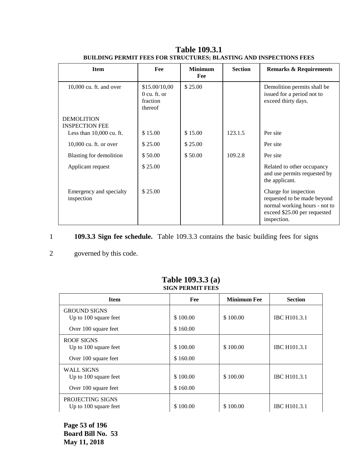| <b>Item</b>                                | Fee                                                    | <b>Minimum</b><br>Fee | <b>Section</b> | <b>Remarks &amp; Requirements</b>                                                                                                    |
|--------------------------------------------|--------------------------------------------------------|-----------------------|----------------|--------------------------------------------------------------------------------------------------------------------------------------|
| $10,000$ cu. ft. and over                  | \$15.00/10,00<br>$0$ cu. ft. or<br>fraction<br>thereof | \$25.00               |                | Demolition permits shall be<br>issued for a period not to<br>exceed thirty days.                                                     |
| <b>DEMOLITION</b><br><b>INSPECTION FEE</b> |                                                        |                       |                |                                                                                                                                      |
| Less than $10,000$ cu. ft.                 | \$15.00                                                | \$15.00               | 123.1.5        | Per site                                                                                                                             |
| 10,000 cu. ft. or over                     | \$25.00                                                | \$25.00               |                | Per site                                                                                                                             |
| Blasting for demolition                    | \$50.00                                                | \$50.00               | 109.2.8        | Per site                                                                                                                             |
| Applicant request                          | \$25.00                                                |                       |                | Related to other occupancy<br>and use permits requested by<br>the applicant.                                                         |
| Emergency and specialty<br>inspection      | \$25.00                                                |                       |                | Charge for inspection<br>requested to be made beyond<br>normal working hours - not to<br>exceed \$25.00 per requested<br>inspection. |

**Table 109.3.1 BUILDING PERMIT FEES FOR STRUCTURES; BLASTING AND INSPECTIONS FEES**

## 1 **109.3.3 Sign fee schedule.** Table 109.3.3 contains the basic building fees for signs

## 2 governed by this code.

| эктерский герм                                                       |                      |                    |                     |  |  |  |
|----------------------------------------------------------------------|----------------------|--------------------|---------------------|--|--|--|
| <b>Item</b>                                                          | Fee                  | <b>Minimum Fee</b> | <b>Section</b>      |  |  |  |
| <b>GROUND SIGNS</b><br>Up to 100 square feet<br>Over 100 square feet | \$100.00<br>\$160.00 | \$100.00           | <b>IBC H101.3.1</b> |  |  |  |
| ROOF SIGNS<br>Up to 100 square feet<br>Over 100 square feet          | \$100.00<br>\$160.00 | \$100.00           | <b>IBC H101.3.1</b> |  |  |  |
| <b>WALL SIGNS</b><br>Up to 100 square feet<br>Over 100 square feet   | \$100.00<br>\$160.00 | \$100.00           | <b>IBC H101.3.1</b> |  |  |  |
| PROJECTING SIGNS<br>Up to 100 square feet                            | \$100.00             | \$100.00           | <b>IBC H101.3.1</b> |  |  |  |

#### **Table 109.3.3 (a) SIGN PERMIT FEES**

**Page 53 of 196 Board Bill No. 53 May 11, 2018**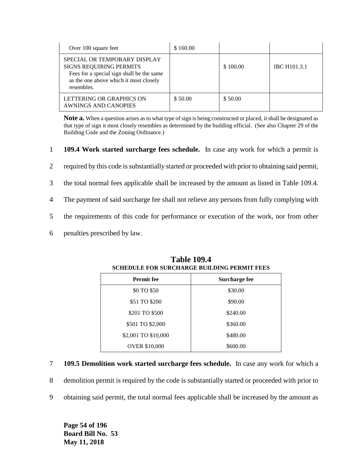| Over 100 square feet                                                                                                                                                | \$160.00 |          |                     |
|---------------------------------------------------------------------------------------------------------------------------------------------------------------------|----------|----------|---------------------|
| SPECIAL OR TEMPORARY DISPLAY<br><b>SIGNS REQUIRING PERMITS</b><br>Fees for a special sign shall be the same<br>as the one above which it most closely<br>resembles. |          | \$100.00 | <b>IBC H101.3.1</b> |
| LETTERING OR GRAPHICS ON<br>AWNINGS AND CANOPIES                                                                                                                    | \$50.00  | \$50.00  |                     |

**Note a.** When a question arises as to what type of sign is being constructed or placed, it shall be designated as that type of sign it most closely resembles as determined by the building official. (See also Chapter 29 of the Building Code and the Zoning Ordinance.)

- 1 **109.4 Work started surcharge fees schedule.** In case any work for which a permit is
- 2 required by this code is substantially started or proceeded with prior to obtaining said permit,
- 3 the total normal fees applicable shall be increased by the amount as listed in Table 109.4.
- 4 The payment of said surcharge fee shall not relieve any persons from fully complying with
- 5 the requirements of this code for performance or execution of the work, nor from other
- 6 penalties prescribed by law.

| <b>Permit fee</b>    | Surcharge fee |
|----------------------|---------------|
| \$0 TO \$50          | \$30.00       |
| \$51 TO \$200        | \$90.00       |
| \$201 TO \$500       | \$240.00      |
| \$501 TO \$2,000     | \$360.00      |
| \$2,001 TO \$10,000  | \$480.00      |
| <b>OVER \$10,000</b> | \$600.00      |

#### **Table 109.4 SCHEDULE FOR SURCHARGE BUILDING PERMIT FEES**

- 7 **109.5 Demolition work started surcharge fees schedule.** In case any work for which a
- 8 demolition permit is required by the code is substantially started or proceeded with prior to
- 9 obtaining said permit, the total normal fees applicable shall be increased by the amount as

**Page 54 of 196 Board Bill No. 53 May 11, 2018**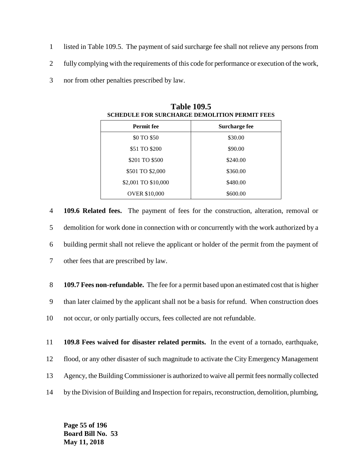- 1 listed in Table 109.5. The payment of said surcharge fee shall not relieve any persons from
- 2 fully complying with the requirements of this code for performance or execution of the work,
- 3 nor from other penalties prescribed by law.

| <b>Permit fee</b>    | Surcharge fee |  |  |
|----------------------|---------------|--|--|
| \$0 TO \$50          | \$30.00       |  |  |
| \$51 TO \$200        | \$90.00       |  |  |
| \$201 TO \$500       | \$240.00      |  |  |
| \$501 TO \$2,000     | \$360.00      |  |  |
| \$2,001 TO \$10,000  | \$480.00      |  |  |
| <b>OVER \$10,000</b> | \$600.00      |  |  |

**Table 109.5 SCHEDULE FOR SURCHARGE DEMOLITION PERMIT FEES**

 **109.6 Related fees.** The payment of fees for the construction, alteration, removal or demolition for work done in connection with or concurrently with the work authorized by a building permit shall not relieve the applicant or holder of the permit from the payment of other fees that are prescribed by law.

8 **109.7 Fees non-refundable.** The fee for a permit based upon an estimated cost that is higher 9 than later claimed by the applicant shall not be a basis for refund. When construction does 10 not occur, or only partially occurs, fees collected are not refundable.

11 **109.8 Fees waived for disaster related permits.** In the event of a tornado, earthquake, 12 flood, or any other disaster of such magnitude to activate the City Emergency Management 13 Agency, the Building Commissioner is authorized to waive all permit fees normally collected

14 by the Division of Building and Inspection for repairs, reconstruction, demolition, plumbing,

**Page 55 of 196 Board Bill No. 53 May 11, 2018**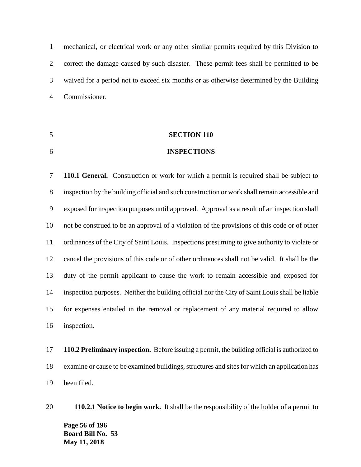mechanical, or electrical work or any other similar permits required by this Division to correct the damage caused by such disaster. These permit fees shall be permitted to be waived for a period not to exceed six months or as otherwise determined by the Building Commissioner.

# **SECTION 110**

#### **INSPECTIONS**

 **110.1 General.** Construction or work for which a permit is required shall be subject to inspection by the building official and such construction or work shall remain accessible and exposed for inspection purposes until approved. Approval as a result of an inspection shall not be construed to be an approval of a violation of the provisions of this code or of other ordinances of the City of Saint Louis. Inspections presuming to give authority to violate or cancel the provisions of this code or of other ordinances shall not be valid. It shall be the duty of the permit applicant to cause the work to remain accessible and exposed for inspection purposes. Neither the building official nor the City of Saint Louis shall be liable for expenses entailed in the removal or replacement of any material required to allow inspection.

 **110.2 Preliminary inspection.** Before issuing a permit, the building official is authorized to examine or cause to be examined buildings, structures and sites for which an application has been filed.

**Page 56 of 196 Board Bill No. 53 May 11, 2018 110.2.1 Notice to begin work.** It shall be the responsibility of the holder of a permit to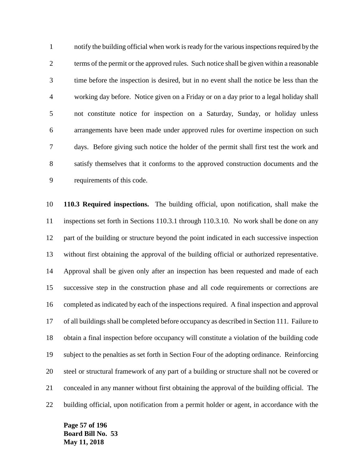notify the building official when work is ready for the various inspections required by the terms of the permit or the approved rules. Such notice shall be given within a reasonable time before the inspection is desired, but in no event shall the notice be less than the working day before. Notice given on a Friday or on a day prior to a legal holiday shall not constitute notice for inspection on a Saturday, Sunday, or holiday unless arrangements have been made under approved rules for overtime inspection on such days. Before giving such notice the holder of the permit shall first test the work and satisfy themselves that it conforms to the approved construction documents and the requirements of this code.

 **110.3 Required inspections.** The building official, upon notification, shall make the inspections set forth in Sections 110.3.1 through 110.3.10. No work shall be done on any part of the building or structure beyond the point indicated in each successive inspection without first obtaining the approval of the building official or authorized representative. Approval shall be given only after an inspection has been requested and made of each successive step in the construction phase and all code requirements or corrections are completed as indicated by each of the inspections required. A final inspection and approval of all buildings shall be completed before occupancy as described in Section 111. Failure to obtain a final inspection before occupancy will constitute a violation of the building code subject to the penalties as set forth in Section Four of the adopting ordinance. Reinforcing steel or structural framework of any part of a building or structure shall not be covered or concealed in any manner without first obtaining the approval of the building official. The building official, upon notification from a permit holder or agent, in accordance with the

**Page 57 of 196 Board Bill No. 53 May 11, 2018**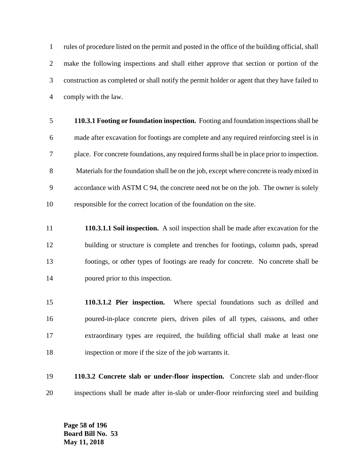rules of procedure listed on the permit and posted in the office of the building official, shall make the following inspections and shall either approve that section or portion of the construction as completed or shall notify the permit holder or agent that they have failed to comply with the law.

- **110.3.1 Footing or foundation inspection.** Footing and foundation inspections shall be made after excavation for footings are complete and any required reinforcing steel is in place. For concrete foundations, any required forms shall be in place prior to inspection. Materials for the foundation shall be on the job, except where concrete is ready mixed in accordance with ASTM C 94, the concrete need not be on the job. The owner is solely responsible for the correct location of the foundation on the site.
- **110.3.1.1 Soil inspection.** A soil inspection shall be made after excavation for the building or structure is complete and trenches for footings, column pads, spread footings, or other types of footings are ready for concrete. No concrete shall be poured prior to this inspection.
- **110.3.1.2 Pier inspection.** Where special foundations such as drilled and poured-in-place concrete piers, driven piles of all types, caissons, and other extraordinary types are required, the building official shall make at least one inspection or more if the size of the job warrants it.
- **110.3.2 Concrete slab or under-floor inspection.** Concrete slab and under-floor inspections shall be made after in-slab or under-floor reinforcing steel and building

**Page 58 of 196 Board Bill No. 53 May 11, 2018**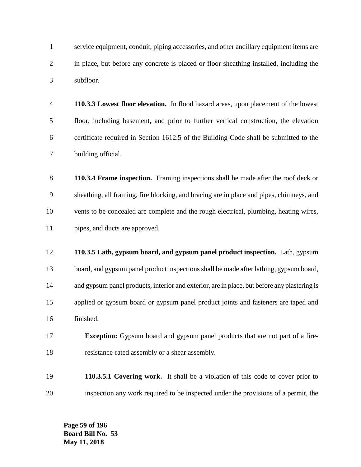service equipment, conduit, piping accessories, and other ancillary equipment items are in place, but before any concrete is placed or floor sheathing installed, including the subfloor.

- **110.3.3 Lowest floor elevation.** In flood hazard areas, upon placement of the lowest floor, including basement, and prior to further vertical construction, the elevation certificate required in Section 1612.5 of the Building Code shall be submitted to the building official.
- **110.3.4 Frame inspection.** Framing inspections shall be made after the roof deck or sheathing, all framing, fire blocking, and bracing are in place and pipes, chimneys, and vents to be concealed are complete and the rough electrical, plumbing, heating wires, pipes, and ducts are approved.
- **110.3.5 Lath, gypsum board, and gypsum panel product inspection.** Lath, gypsum board, and gypsum panel product inspections shall be made after lathing, gypsum board, and gypsum panel products, interior and exterior, are in place, but before any plastering is applied or gypsum board or gypsum panel product joints and fasteners are taped and finished.
- **Exception:** Gypsum board and gypsum panel products that are not part of a fire-resistance-rated assembly or a shear assembly.
- **110.3.5.1 Covering work.** It shall be a violation of this code to cover prior to inspection any work required to be inspected under the provisions of a permit, the

**Page 59 of 196 Board Bill No. 53 May 11, 2018**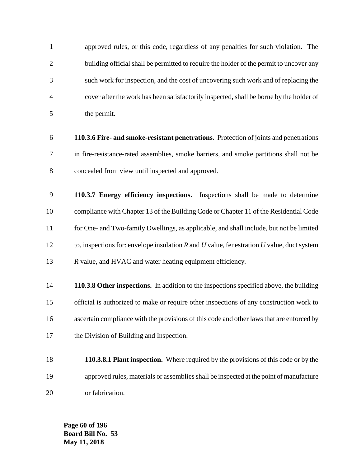approved rules, or this code, regardless of any penalties for such violation. The 2 building official shall be permitted to require the holder of the permit to uncover any such work for inspection, and the cost of uncovering such work and of replacing the cover after the work has been satisfactorily inspected, shall be borne by the holder of the permit.

 **110.3.6 Fire- and smoke-resistant penetrations.** Protection of joints and penetrations in fire-resistance-rated assemblies, smoke barriers, and smoke partitions shall not be concealed from view until inspected and approved.

 **110.3.7 Energy efficiency inspections.** Inspections shall be made to determine compliance with Chapter 13 of the Building Code or Chapter 11 of the Residential Code for One- and Two-family Dwellings, as applicable, and shall include, but not be limited to, inspections for: envelope insulation *R* and *U* value, fenestration *U* value, duct system *R* value, and HVAC and water heating equipment efficiency.

 **110.3.8 Other inspections.** In addition to the inspections specified above, the building official is authorized to make or require other inspections of any construction work to ascertain compliance with the provisions of this code and other laws that are enforced by the Division of Building and Inspection.

 **110.3.8.1 Plant inspection.** Where required by the provisions of this code or by the approved rules, materials or assemblies shall be inspected at the point of manufacture or fabrication.

**Page 60 of 196 Board Bill No. 53 May 11, 2018**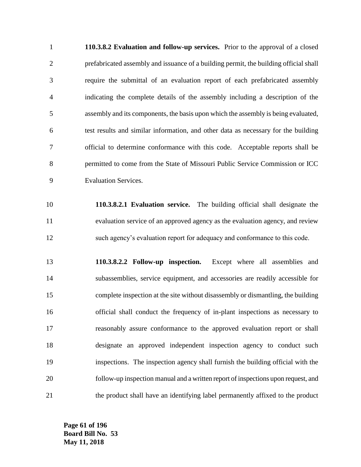**110.3.8.2 Evaluation and follow-up services.** Prior to the approval of a closed prefabricated assembly and issuance of a building permit, the building official shall require the submittal of an evaluation report of each prefabricated assembly indicating the complete details of the assembly including a description of the assembly and its components, the basis upon which the assembly is being evaluated, test results and similar information, and other data as necessary for the building official to determine conformance with this code. Acceptable reports shall be permitted to come from the State of Missouri Public Service Commission or ICC Evaluation Services.

 **110.3.8.2.1 Evaluation service.** The building official shall designate the evaluation service of an approved agency as the evaluation agency, and review such agency's evaluation report for adequacy and conformance to this code.

 **110.3.8.2.2 Follow-up inspection.** Except where all assemblies and subassemblies, service equipment, and accessories are readily accessible for complete inspection at the site without disassembly or dismantling, the building official shall conduct the frequency of in-plant inspections as necessary to reasonably assure conformance to the approved evaluation report or shall designate an approved independent inspection agency to conduct such inspections. The inspection agency shall furnish the building official with the follow-up inspection manual and a written report of inspections upon request, and the product shall have an identifying label permanently affixed to the product

**Page 61 of 196 Board Bill No. 53 May 11, 2018**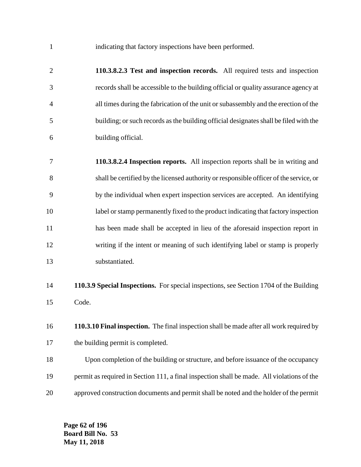indicating that factory inspections have been performed.

 **110.3.8.2.3 Test and inspection records.** All required tests and inspection records shall be accessible to the building official or quality assurance agency at all times during the fabrication of the unit or subassembly and the erection of the building; or such records as the building official designates shall be filed with the building official.

 **110.3.8.2.4 Inspection reports.** All inspection reports shall be in writing and shall be certified by the licensed authority or responsible officer of the service, or by the individual when expert inspection services are accepted. An identifying label or stamp permanently fixed to the product indicating that factory inspection has been made shall be accepted in lieu of the aforesaid inspection report in writing if the intent or meaning of such identifying label or stamp is properly substantiated.

 **110.3.9 Special Inspections.** For special inspections, see Section 1704 of the Building Code.

 **110.3.10 Final inspection.** The final inspection shall be made after all work required by 17 the building permit is completed.

 Upon completion of the building or structure, and before issuance of the occupancy permit as required in Section 111, a final inspection shall be made. All violations of the approved construction documents and permit shall be noted and the holder of the permit

**Page 62 of 196 Board Bill No. 53 May 11, 2018**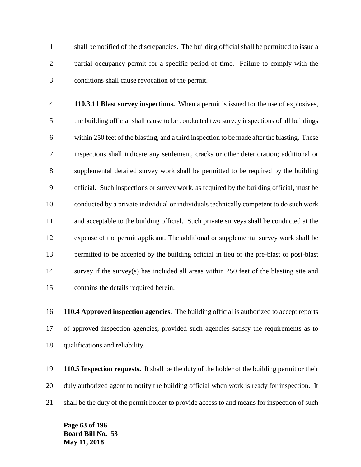shall be notified of the discrepancies. The building official shall be permitted to issue a partial occupancy permit for a specific period of time. Failure to comply with the conditions shall cause revocation of the permit.

 **110.3.11 Blast survey inspections.** When a permit is issued for the use of explosives, the building official shall cause to be conducted two survey inspections of all buildings within 250 feet of the blasting, and a third inspection to be made after the blasting. These inspections shall indicate any settlement, cracks or other deterioration; additional or supplemental detailed survey work shall be permitted to be required by the building official. Such inspections or survey work, as required by the building official, must be conducted by a private individual or individuals technically competent to do such work and acceptable to the building official. Such private surveys shall be conducted at the expense of the permit applicant. The additional or supplemental survey work shall be permitted to be accepted by the building official in lieu of the pre-blast or post-blast survey if the survey(s) has included all areas within 250 feet of the blasting site and contains the details required herein.

 **110.4 Approved inspection agencies.** The building official is authorized to accept reports of approved inspection agencies, provided such agencies satisfy the requirements as to qualifications and reliability.

 **110.5 Inspection requests.** It shall be the duty of the holder of the building permit or their duly authorized agent to notify the building official when work is ready for inspection. It 21 shall be the duty of the permit holder to provide access to and means for inspection of such

**Page 63 of 196 Board Bill No. 53 May 11, 2018**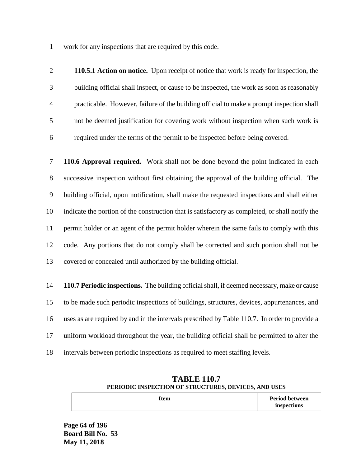work for any inspections that are required by this code.

 **110.5.1 Action on notice.** Upon receipt of notice that work is ready for inspection, the building official shall inspect, or cause to be inspected, the work as soon as reasonably practicable. However, failure of the building official to make a prompt inspection shall not be deemed justification for covering work without inspection when such work is required under the terms of the permit to be inspected before being covered.

 **110.6 Approval required.** Work shall not be done beyond the point indicated in each successive inspection without first obtaining the approval of the building official. The building official, upon notification, shall make the requested inspections and shall either indicate the portion of the construction that is satisfactory as completed, or shall notify the permit holder or an agent of the permit holder wherein the same fails to comply with this code. Any portions that do not comply shall be corrected and such portion shall not be covered or concealed until authorized by the building official.

 **110.7 Periodic inspections.** The building official shall, if deemed necessary, make or cause to be made such periodic inspections of buildings, structures, devices, appurtenances, and uses as are required by and in the intervals prescribed by Table 110.7. In order to provide a uniform workload throughout the year, the building official shall be permitted to alter the intervals between periodic inspections as required to meet staffing levels.

| <b>TABLE 110.7</b>                                   |                       |  |  |  |
|------------------------------------------------------|-----------------------|--|--|--|
| PERIODIC INSPECTION OF STRUCTURES, DEVICES, AND USES |                       |  |  |  |
| Item                                                 | <b>Period between</b> |  |  |  |

**inspections**

**Page 64 of 196 Board Bill No. 53 May 11, 2018**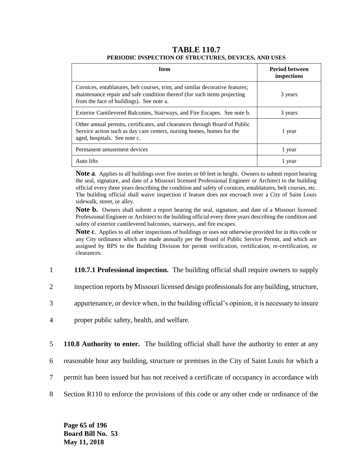#### **TABLE 110.7 PERIODIC INSPECTION OF STRUCTURES, DEVICES, AND USES**

| <b>Item</b>                                                                                                                                                                                          | <b>Period between</b><br>inspections |
|------------------------------------------------------------------------------------------------------------------------------------------------------------------------------------------------------|--------------------------------------|
| Cornices, entablatures, belt courses, trim, and similar decorative features;<br>maintenance repair and safe condition thereof (for such items projecting<br>from the face of buildings). See note a. | 3 years                              |
| Exterior Cantilevered Balconies, Stairways, and Fire Escapes. See note b.                                                                                                                            | 3 years                              |
| Other annual permits, certificates, and clearances through Board of Public<br>Service action such as day care centers, nursing homes, homes for the<br>aged, hospitals. See note c.                  | 1 year                               |
| Permanent amusement devices                                                                                                                                                                          | 1 year                               |
| Auto lifts                                                                                                                                                                                           | l year                               |

**Note a**. Applies to all buildings over five stories or 60 feet in height. Owners to submit report bearing the seal, signature, and date of a Missouri licensed Professional Engineer or Architect to the building official every three years describing the condition and safety of cornices, entablatures, belt courses, etc. The building official shall waive inspection if feature does not encroach over a City of Saint Louis sidewalk, street, or alley.

Note **b.** Owners shall submit a report bearing the seal, signature, and date of a Missouri licensed Professional Engineer or Architect to the building official every three years describing the condition and safety of exterior cantilevered balconies, stairways, and fire escapes.

**Note c**. Applies to all other inspections of buildings or uses not otherwise provided for in this code or any City ordinance which are made annually per the Board of Public Service Permit, and which are assigned by BPS to the Building Division for permit verification, certification, re-certification, or clearances.

- 1 **110.7.1 Professional inspection.** The building official shall require owners to supply
- 2 inspection reports by Missouri licensed design professionals for any building, structure,
- 3 appurtenance, or device when, in the building official's opinion, it is necessary to insure
- 4 proper public safety, health, and welfare.
- 5 **110.8 Authority to enter.** The building official shall have the authority to enter at any
- 6 reasonable hour any building, structure or premises in the City of Saint Louis for which a
- 7 permit has been issued but has not received a certificate of occupancy in accordance with
- 8 Section R110 to enforce the provisions of this code or any other code or ordinance of the

**Page 65 of 196 Board Bill No. 53 May 11, 2018**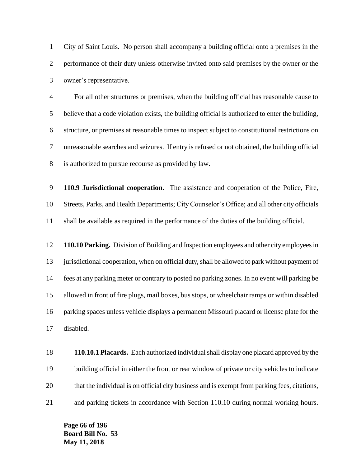City of Saint Louis. No person shall accompany a building official onto a premises in the performance of their duty unless otherwise invited onto said premises by the owner or the owner's representative.

 For all other structures or premises, when the building official has reasonable cause to believe that a code violation exists, the building official is authorized to enter the building, structure, or premises at reasonable times to inspect subject to constitutional restrictions on unreasonable searches and seizures. If entry is refused or not obtained, the building official is authorized to pursue recourse as provided by law.

 **110.9 Jurisdictional cooperation.** The assistance and cooperation of the Police, Fire, Streets, Parks, and Health Departments; City Counselor's Office; and all other city officials shall be available as required in the performance of the duties of the building official.

 **110.10 Parking.** Division of Building and Inspection employees and other city employees in 13 jurisdictional cooperation, when on official duty, shall be allowed to park without payment of fees at any parking meter or contrary to posted no parking zones. In no event will parking be allowed in front of fire plugs, mail boxes, bus stops, or wheelchair ramps or within disabled parking spaces unless vehicle displays a permanent Missouri placard or license plate for the disabled.

 **110.10.1 Placards.** Each authorized individual shall display one placard approved by the building official in either the front or rear window of private or city vehicles to indicate that the individual is on official city business and is exempt from parking fees, citations, and parking tickets in accordance with Section 110.10 during normal working hours.

**Page 66 of 196 Board Bill No. 53 May 11, 2018**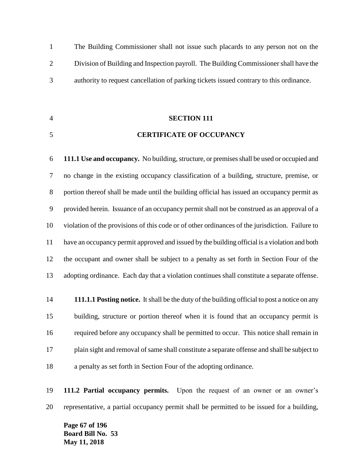The Building Commissioner shall not issue such placards to any person not on the Division of Building and Inspection payroll. The Building Commissioner shall have the authority to request cancellation of parking tickets issued contrary to this ordinance.

# **SECTION 111**

### **CERTIFICATE OF OCCUPANCY**

 **111.1 Use and occupancy.** No building, structure, or premises shall be used or occupied and no change in the existing occupancy classification of a building, structure, premise, or portion thereof shall be made until the building official has issued an occupancy permit as provided herein. Issuance of an occupancy permit shall not be construed as an approval of a violation of the provisions of this code or of other ordinances of the jurisdiction. Failure to have an occupancy permit approved and issued by the building official is a violation and both the occupant and owner shall be subject to a penalty as set forth in Section Four of the adopting ordinance. Each day that a violation continues shall constitute a separate offense.

 **111.1.1 Posting notice.** It shall be the duty of the building official to post a notice on any building, structure or portion thereof when it is found that an occupancy permit is required before any occupancy shall be permitted to occur. This notice shall remain in plain sight and removal of same shall constitute a separate offense and shall be subject to a penalty as set forth in Section Four of the adopting ordinance.

 **111.2 Partial occupancy permits.** Upon the request of an owner or an owner's representative, a partial occupancy permit shall be permitted to be issued for a building,

**Page 67 of 196 Board Bill No. 53 May 11, 2018**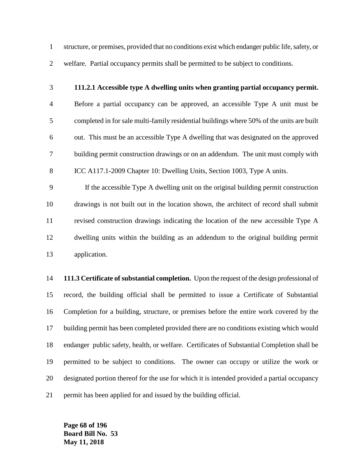structure, or premises, provided that no conditions exist which endanger public life, safety, or welfare. Partial occupancy permits shall be permitted to be subject to conditions.

## **111.2.1 Accessible type A dwelling units when granting partial occupancy permit.**

 Before a partial occupancy can be approved, an accessible Type A unit must be completed in for sale multi-family residential buildings where 50% of the units are built out. This must be an accessible Type A dwelling that was designated on the approved building permit construction drawings or on an addendum. The unit must comply with ICC A117.1-2009 Chapter 10: Dwelling Units, Section 1003, Type A units.

 If the accessible Type A dwelling unit on the original building permit construction drawings is not built out in the location shown, the architect of record shall submit revised construction drawings indicating the location of the new accessible Type A dwelling units within the building as an addendum to the original building permit application.

 **111.3 Certificate of substantial completion.** Upon the request of the design professional of record, the building official shall be permitted to issue a Certificate of Substantial Completion for a building, structure, or premises before the entire work covered by the building permit has been completed provided there are no conditions existing which would endanger public safety, health, or welfare. Certificates of Substantial Completion shall be permitted to be subject to conditions. The owner can occupy or utilize the work or designated portion thereof for the use for which it is intended provided a partial occupancy permit has been applied for and issued by the building official.

**Page 68 of 196 Board Bill No. 53 May 11, 2018**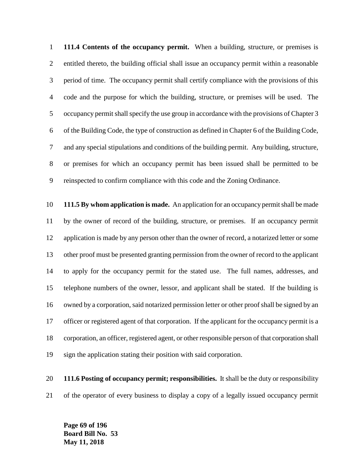**111.4 Contents of the occupancy permit.** When a building, structure, or premises is entitled thereto, the building official shall issue an occupancy permit within a reasonable period of time. The occupancy permit shall certify compliance with the provisions of this code and the purpose for which the building, structure, or premises will be used. The occupancy permit shall specify the use group in accordance with the provisions of Chapter 3 of the Building Code, the type of construction as defined in Chapter 6 of the Building Code, and any special stipulations and conditions of the building permit. Any building, structure, or premises for which an occupancy permit has been issued shall be permitted to be reinspected to confirm compliance with this code and the Zoning Ordinance.

 **111.5 By whom application is made.** An application for an occupancy permit shall be made by the owner of record of the building, structure, or premises. If an occupancy permit application is made by any person other than the owner of record, a notarized letter or some other proof must be presented granting permission from the owner of record to the applicant to apply for the occupancy permit for the stated use. The full names, addresses, and telephone numbers of the owner, lessor, and applicant shall be stated. If the building is owned by a corporation, said notarized permission letter or other proof shall be signed by an officer or registered agent of that corporation. If the applicant for the occupancy permit is a corporation, an officer, registered agent, or other responsible person of that corporation shall sign the application stating their position with said corporation.

 **111.6 Posting of occupancy permit; responsibilities.** It shall be the duty or responsibility of the operator of every business to display a copy of a legally issued occupancy permit

**Page 69 of 196 Board Bill No. 53 May 11, 2018**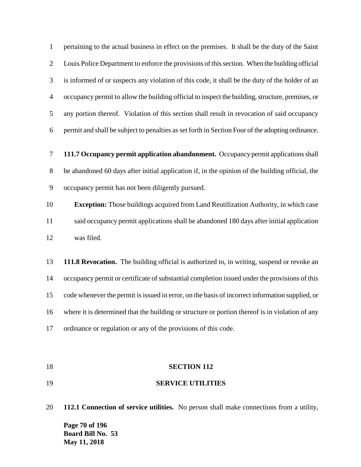pertaining to the actual business in effect on the premises. It shall be the duty of the Saint Louis Police Department to enforce the provisions of this section. When the building official is informed of or suspects any violation of this code, it shall be the duty of the holder of an occupancy permit to allow the building official to inspect the building, structure, premises, or any portion thereof. Violation of this section shall result in revocation of said occupancy permit and shall be subject to penalties as set forth in Section Four of the adopting ordinance.

 **111.7 Occupancy permit application abandonment.** Occupancy permit applications shall be abandoned 60 days after initial application if, in the opinion of the building official, the occupancy permit has not been diligently pursued.

 **Exception:** Those buildings acquired from Land Reutilization Authority, in which case said occupancy permit applications shall be abandoned 180 days after initial application was filed.

 **111.8 Revocation.** The building official is authorized to, in writing, suspend or revoke an occupancy permit or certificate of substantial completion issued under the provisions of this code whenever the permit is issued in error, on the basis of incorrect information supplied, or where it is determined that the building or structure or portion thereof is in violation of any ordinance or regulation or any of the provisions of this code.

### **SECTION 112**

**SERVICE UTILITIES**

**Page 70 of 196 Board Bill No. 53 May 11, 2018 112.1 Connection of service utilities.** No person shall make connections from a utility,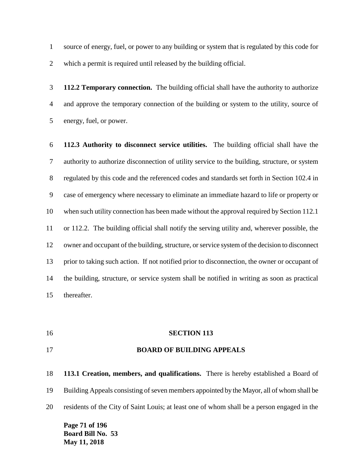source of energy, fuel, or power to any building or system that is regulated by this code for which a permit is required until released by the building official.

 **112.2 Temporary connection.** The building official shall have the authority to authorize and approve the temporary connection of the building or system to the utility, source of energy, fuel, or power.

 **112.3 Authority to disconnect service utilities.** The building official shall have the authority to authorize disconnection of utility service to the building, structure, or system regulated by this code and the referenced codes and standards set forth in Section 102.4 in case of emergency where necessary to eliminate an immediate hazard to life or property or when such utility connection has been made without the approval required by Section 112.1 or 112.2. The building official shall notify the serving utility and, wherever possible, the owner and occupant of the building, structure, or service system of the decision to disconnect prior to taking such action. If not notified prior to disconnection, the owner or occupant of the building, structure, or service system shall be notified in writing as soon as practical thereafter.

**SECTION 113**

### **BOARD OF BUILDING APPEALS**

 **113.1 Creation, members, and qualifications.** There is hereby established a Board of Building Appeals consisting of seven members appointed by the Mayor, all of whom shall be residents of the City of Saint Louis; at least one of whom shall be a person engaged in the

**Page 71 of 196 Board Bill No. 53 May 11, 2018**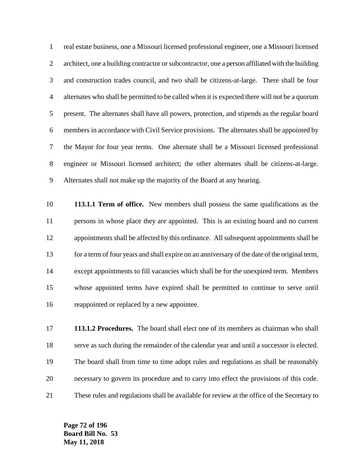real estate business, one a Missouri licensed professional engineer, one a Missouri licensed architect, one a building contractor or subcontractor, one a person affiliated with the building and construction trades council, and two shall be citizens-at-large. There shall be four alternates who shall be permitted to be called when it is expected there will not be a quorum present. The alternates shall have all powers, protection, and stipends as the regular board members in accordance with Civil Service provisions. The alternates shall be appointed by the Mayor for four year terms. One alternate shall be a Missouri licensed professional engineer or Missouri licensed architect; the other alternates shall be citizens-at-large. Alternates shall not make up the majority of the Board at any hearing.

 **113.1.1 Term of office.** New members shall possess the same qualifications as the persons in whose place they are appointed. This is an existing board and no current appointments shall be affected by this ordinance. All subsequent appointments shall be for a term of four years and shall expire on an anniversary of the date of the original term, except appointments to fill vacancies which shall be for the unexpired term. Members whose appointed terms have expired shall be permitted to continue to serve until reappointed or replaced by a new appointee.

 **113.1.2 Procedures.** The board shall elect one of its members as chairman who shall serve as such during the remainder of the calendar year and until a successor is elected. The board shall from time to time adopt rules and regulations as shall be reasonably necessary to govern its procedure and to carry into effect the provisions of this code. These rules and regulations shall be available for review at the office of the Secretary to

**Page 72 of 196 Board Bill No. 53 May 11, 2018**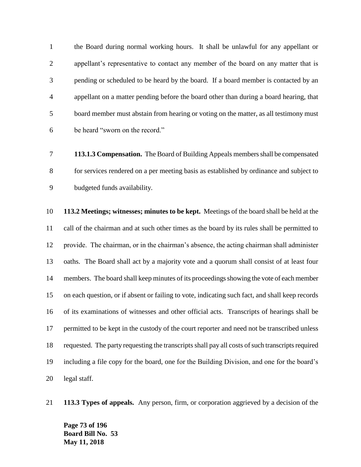the Board during normal working hours. It shall be unlawful for any appellant or appellant's representative to contact any member of the board on any matter that is pending or scheduled to be heard by the board. If a board member is contacted by an appellant on a matter pending before the board other than during a board hearing, that board member must abstain from hearing or voting on the matter, as all testimony must be heard "sworn on the record."

 **113.1.3 Compensation.** The Board of Building Appeals members shall be compensated for services rendered on a per meeting basis as established by ordinance and subject to budgeted funds availability.

 **113.2 Meetings; witnesses; minutes to be kept.** Meetings of the board shall be held at the call of the chairman and at such other times as the board by its rules shall be permitted to provide. The chairman, or in the chairman's absence, the acting chairman shall administer oaths. The Board shall act by a majority vote and a quorum shall consist of at least four members. The board shall keep minutes of its proceedings showing the vote of each member on each question, or if absent or failing to vote, indicating such fact, and shall keep records of its examinations of witnesses and other official acts. Transcripts of hearings shall be permitted to be kept in the custody of the court reporter and need not be transcribed unless requested. The party requesting the transcripts shall pay all costs of such transcripts required including a file copy for the board, one for the Building Division, and one for the board's legal staff.

**113.3 Types of appeals.** Any person, firm, or corporation aggrieved by a decision of the

**Page 73 of 196 Board Bill No. 53 May 11, 2018**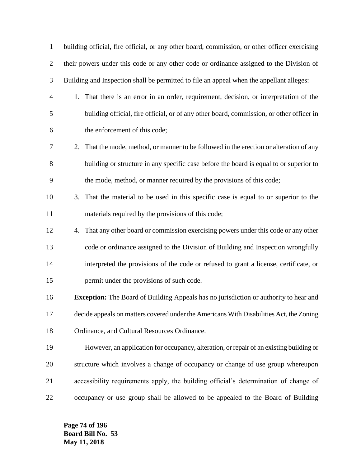| $\mathbf{1}$   | building official, fire official, or any other board, commission, or other officer exercising |
|----------------|-----------------------------------------------------------------------------------------------|
| $\overline{2}$ | their powers under this code or any other code or ordinance assigned to the Division of       |
| 3              | Building and Inspection shall be permitted to file an appeal when the appellant alleges:      |
| $\overline{4}$ | 1. That there is an error in an order, requirement, decision, or interpretation of the        |
| 5              | building official, fire official, or of any other board, commission, or other officer in      |
| 6              | the enforcement of this code;                                                                 |
| 7              | 2. That the mode, method, or manner to be followed in the erection or alteration of any       |
| 8              | building or structure in any specific case before the board is equal to or superior to        |
| 9              | the mode, method, or manner required by the provisions of this code;                          |
| 10             | That the material to be used in this specific case is equal to or superior to the<br>3.       |
| 11             | materials required by the provisions of this code;                                            |
| 12             | That any other board or commission exercising powers under this code or any other<br>4.       |
| 13             | code or ordinance assigned to the Division of Building and Inspection wrongfully              |
| 14             | interpreted the provisions of the code or refused to grant a license, certificate, or         |
| 15             | permit under the provisions of such code.                                                     |
| 16             | <b>Exception:</b> The Board of Building Appeals has no jurisdiction or authority to hear and  |
| 17             | decide appeals on matters covered under the Americans With Disabilities Act, the Zoning       |
| 18             | Ordinance, and Cultural Resources Ordinance.                                                  |
| 19             | However, an application for occupancy, alteration, or repair of an existing building or       |
| 20             | structure which involves a change of occupancy or change of use group whereupon               |
| 21             | accessibility requirements apply, the building official's determination of change of          |
| 22             | occupancy or use group shall be allowed to be appealed to the Board of Building               |

**Page 74 of 196 Board Bill No. 53 May 11, 2018**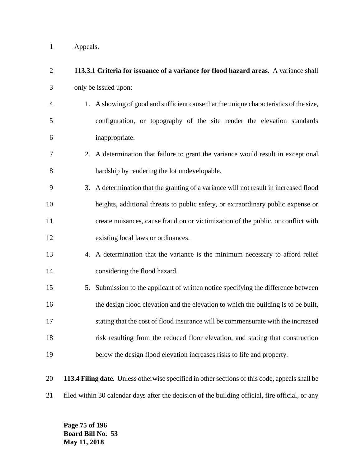Appeals.

| $\overline{2}$ | 113.3.1 Criteria for issuance of a variance for flood hazard areas. A variance shall             |
|----------------|--------------------------------------------------------------------------------------------------|
| 3              | only be issued upon:                                                                             |
| $\overline{4}$ | 1. A showing of good and sufficient cause that the unique characteristics of the size,           |
| 5              | configuration, or topography of the site render the elevation standards                          |
| 6              | inappropriate.                                                                                   |
| 7              | 2. A determination that failure to grant the variance would result in exceptional                |
| $8\,$          | hardship by rendering the lot undevelopable.                                                     |
| 9              | 3. A determination that the granting of a variance will not result in increased flood            |
| 10             | heights, additional threats to public safety, or extraordinary public expense or                 |
| 11             | create nuisances, cause fraud on or victimization of the public, or conflict with                |
| 12             | existing local laws or ordinances.                                                               |
| 13             | 4. A determination that the variance is the minimum necessary to afford relief                   |
| 14             | considering the flood hazard.                                                                    |
| 15             | 5. Submission to the applicant of written notice specifying the difference between               |
| 16             | the design flood elevation and the elevation to which the building is to be built,               |
| 17             | stating that the cost of flood insurance will be commensurate with the increased                 |
| 18             | risk resulting from the reduced floor elevation, and stating that construction                   |
| 19             | below the design flood elevation increases risks to life and property.                           |
| 20             | 113.4 Filing date. Unless otherwise specified in other sections of this code, appeals shall be   |
| 21             | filed within 30 calendar days after the decision of the building official, fire official, or any |

**Page 75 of 196 Board Bill No. 53 May 11, 2018**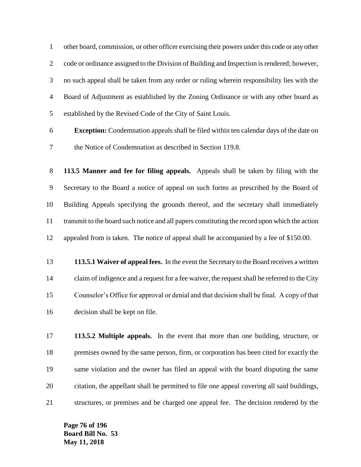other board, commission, or other officer exercising their powers under this code or any other code or ordinance assigned to the Division of Building and Inspection is rendered; however, no such appeal shall be taken from any order or ruling wherein responsibility lies with the Board of Adjustment as established by the Zoning Ordinance or with any other board as established by the Revised Code of the City of Saint Louis.

 **Exception:** Condemnation appeals shall be filed within ten calendar days of the date on the Notice of Condemnation as described in Section 119.8.

 **113.5 Manner and fee for filing appeals.** Appeals shall be taken by filing with the Secretary to the Board a notice of appeal on such forms as prescribed by the Board of Building Appeals specifying the grounds thereof, and the secretary shall immediately transmit to the board such notice and all papers constituting the record upon which the action appealed from is taken. The notice of appeal shall be accompanied by a fee of \$150.00.

 **113.5.1 Waiver of appeal fees.** In the event the Secretary to the Board receives a written claim of indigence and a request for a fee waiver, the request shall be referred to the City Counselor's Office for approval or denial and that decision shall be final. A copy of that decision shall be kept on file.

 **113.5.2 Multiple appeals.** In the event that more than one building, structure, or premises owned by the same person, firm, or corporation has been cited for exactly the same violation and the owner has filed an appeal with the board disputing the same citation, the appellant shall be permitted to file one appeal covering all said buildings, structures, or premises and be charged one appeal fee. The decision rendered by the

**Page 76 of 196 Board Bill No. 53 May 11, 2018**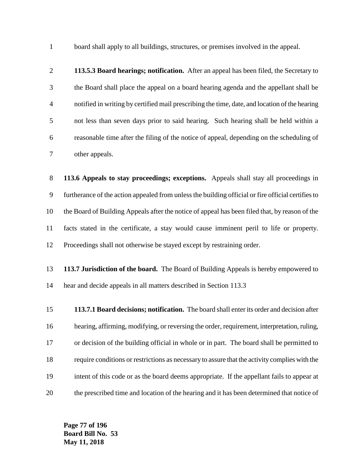board shall apply to all buildings, structures, or premises involved in the appeal.

 **113.5.3 Board hearings; notification.** After an appeal has been filed, the Secretary to the Board shall place the appeal on a board hearing agenda and the appellant shall be notified in writing by certified mail prescribing the time, date, and location of the hearing not less than seven days prior to said hearing. Such hearing shall be held within a reasonable time after the filing of the notice of appeal, depending on the scheduling of other appeals.

 **113.6 Appeals to stay proceedings; exceptions.** Appeals shall stay all proceedings in furtherance of the action appealed from unless the building official or fire official certifies to the Board of Building Appeals after the notice of appeal has been filed that, by reason of the facts stated in the certificate, a stay would cause imminent peril to life or property. Proceedings shall not otherwise be stayed except by restraining order.

- **113.7 Jurisdiction of the board.** The Board of Building Appeals is hereby empowered to hear and decide appeals in all matters described in Section 113.3
- **113.7.1 Board decisions; notification.** The board shall enter its order and decision after hearing, affirming, modifying, or reversing the order, requirement, interpretation, ruling, or decision of the building official in whole or in part. The board shall be permitted to require conditions or restrictions as necessary to assure that the activity complies with the intent of this code or as the board deems appropriate. If the appellant fails to appear at the prescribed time and location of the hearing and it has been determined that notice of

**Page 77 of 196 Board Bill No. 53 May 11, 2018**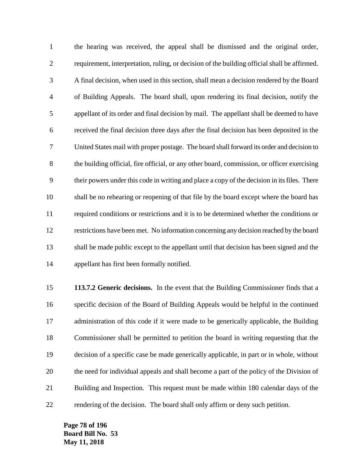the hearing was received, the appeal shall be dismissed and the original order, requirement, interpretation, ruling, or decision of the building official shall be affirmed. A final decision, when used in this section, shall mean a decision rendered by the Board of Building Appeals. The board shall, upon rendering its final decision, notify the appellant of its order and final decision by mail. The appellant shall be deemed to have received the final decision three days after the final decision has been deposited in the United States mail with proper postage. The board shall forward its order and decision to the building official, fire official, or any other board, commission, or officer exercising their powers under this code in writing and place a copy of the decision in its files. There shall be no rehearing or reopening of that file by the board except where the board has required conditions or restrictions and it is to be determined whether the conditions or restrictions have been met. No information concerning any decision reached by the board shall be made public except to the appellant until that decision has been signed and the appellant has first been formally notified.

 **113.7.2 Generic decisions.** In the event that the Building Commissioner finds that a specific decision of the Board of Building Appeals would be helpful in the continued administration of this code if it were made to be generically applicable, the Building Commissioner shall be permitted to petition the board in writing requesting that the decision of a specific case be made generically applicable, in part or in whole, without the need for individual appeals and shall become a part of the policy of the Division of Building and Inspection. This request must be made within 180 calendar days of the rendering of the decision. The board shall only affirm or deny such petition.

**Page 78 of 196 Board Bill No. 53 May 11, 2018**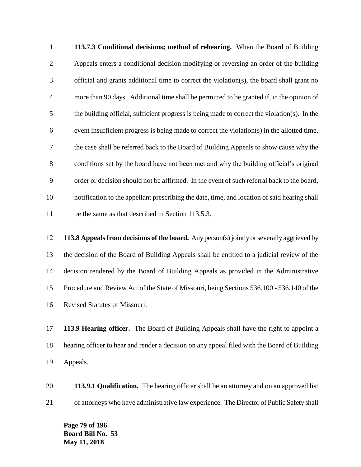**113.7.3 Conditional decisions; method of rehearing.** When the Board of Building Appeals enters a conditional decision modifying or reversing an order of the building official and grants additional time to correct the violation(s), the board shall grant no more than 90 days. Additional time shall be permitted to be granted if, in the opinion of the building official, sufficient progress is being made to correct the violation(s). In the event insufficient progress is being made to correct the violation(s) in the allotted time, the case shall be referred back to the Board of Building Appeals to show cause why the conditions set by the board have not been met and why the building official's original order or decision should not be affirmed. In the event of such referral back to the board, notification to the appellant prescribing the date, time, and location of said hearing shall be the same as that described in Section 113.5.3.

 **113.8 Appeals from decisions of the board.** Any person(s) jointly or severally aggrieved by the decision of the Board of Building Appeals shall be entitled to a judicial review of the decision rendered by the Board of Building Appeals as provided in the Administrative Procedure and Review Act of the State of Missouri, being Sections 536.100 - 536.140 of the Revised Statutes of Missouri.

 **113.9 Hearing officer.** The Board of Building Appeals shall have the right to appoint a hearing officer to hear and render a decision on any appeal filed with the Board of Building Appeals.

 **113.9.1 Qualification.** The hearing officer shall be an attorney and on an approved list of attorneys who have administrative law experience. The Director of Public Safety shall

**Page 79 of 196 Board Bill No. 53 May 11, 2018**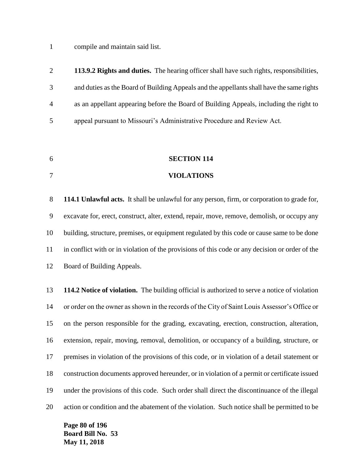compile and maintain said list.

|                | 113.9.2 Rights and duties. The hearing officer shall have such rights, responsibilities,  |
|----------------|-------------------------------------------------------------------------------------------|
| 3              | and duties as the Board of Building Appeals and the appellants shall have the same rights |
| $\overline{4}$ | as an appellant appearing before the Board of Building Appeals, including the right to    |
| 5              | appeal pursuant to Missouri's Administrative Procedure and Review Act.                    |

- **SECTION 114**
- **VIOLATIONS**

 **114.1 Unlawful acts.** It shall be unlawful for any person, firm, or corporation to grade for, excavate for, erect, construct, alter, extend, repair, move, remove, demolish, or occupy any building, structure, premises, or equipment regulated by this code or cause same to be done in conflict with or in violation of the provisions of this code or any decision or order of the Board of Building Appeals.

 **114.2 Notice of violation.** The building official is authorized to serve a notice of violation or order on the owner as shown in the records of the City of Saint Louis Assessor's Office or on the person responsible for the grading, excavating, erection, construction, alteration, extension, repair, moving, removal, demolition, or occupancy of a building, structure, or premises in violation of the provisions of this code, or in violation of a detail statement or construction documents approved hereunder, or in violation of a permit or certificate issued under the provisions of this code. Such order shall direct the discontinuance of the illegal action or condition and the abatement of the violation. Such notice shall be permitted to be

**Page 80 of 196 Board Bill No. 53 May 11, 2018**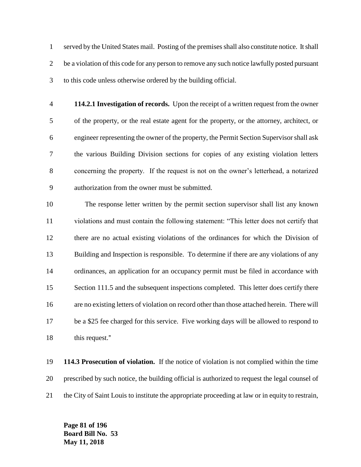served by the United States mail. Posting of the premises shall also constitute notice. It shall 2 be a violation of this code for any person to remove any such notice lawfully posted pursuant to this code unless otherwise ordered by the building official.

 **114.2.1 Investigation of records.** Upon the receipt of a written request from the owner of the property, or the real estate agent for the property, or the attorney, architect, or engineer representing the owner of the property, the Permit Section Supervisor shall ask the various Building Division sections for copies of any existing violation letters concerning the property. If the request is not on the owner's letterhead, a notarized authorization from the owner must be submitted.

 The response letter written by the permit section supervisor shall list any known violations and must contain the following statement: "This letter does not certify that there are no actual existing violations of the ordinances for which the Division of Building and Inspection is responsible. To determine if there are any violations of any ordinances, an application for an occupancy permit must be filed in accordance with 15 Section 111.5 and the subsequent inspections completed. This letter does certify there are no existing letters of violation on record other than those attached herein. There will be a \$25 fee charged for this service. Five working days will be allowed to respond to 18 this request."

 **114.3 Prosecution of violation.** If the notice of violation is not complied within the time prescribed by such notice, the building official is authorized to request the legal counsel of the City of Saint Louis to institute the appropriate proceeding at law or in equity to restrain,

**Page 81 of 196 Board Bill No. 53 May 11, 2018**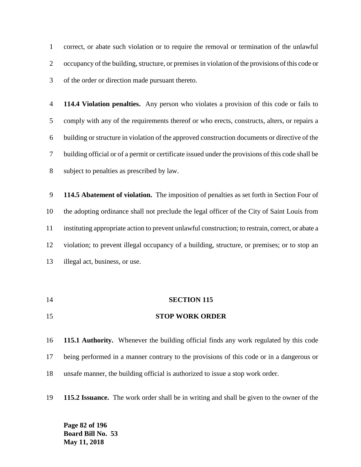correct, or abate such violation or to require the removal or termination of the unlawful occupancy of the building, structure, or premises in violation of the provisions of this code or of the order or direction made pursuant thereto.

 **114.4 Violation penalties.** Any person who violates a provision of this code or fails to comply with any of the requirements thereof or who erects, constructs, alters, or repairs a building or structure in violation of the approved construction documents or directive of the building official or of a permit or certificate issued under the provisions of this code shall be subject to penalties as prescribed by law.

 **114.5 Abatement of violation.** The imposition of penalties as set forth in Section Four of the adopting ordinance shall not preclude the legal officer of the City of Saint Louis from instituting appropriate action to prevent unlawful construction; to restrain, correct, or abate a violation; to prevent illegal occupancy of a building, structure, or premises; or to stop an illegal act, business, or use.

 **SECTION 115 STOP WORK ORDER**

 **115.1 Authority.** Whenever the building official finds any work regulated by this code being performed in a manner contrary to the provisions of this code or in a dangerous or unsafe manner, the building official is authorized to issue a stop work order.

**115.2 Issuance.** The work order shall be in writing and shall be given to the owner of the

**Page 82 of 196 Board Bill No. 53 May 11, 2018**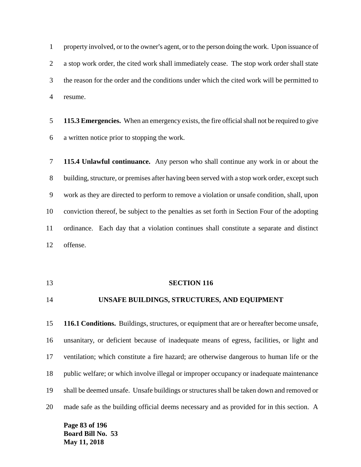1 property involved, or to the owner's agent, or to the person doing the work. Upon issuance of a stop work order, the cited work shall immediately cease. The stop work order shall state the reason for the order and the conditions under which the cited work will be permitted to resume.

 **115.3 Emergencies.** When an emergency exists, the fire official shall not be required to give a written notice prior to stopping the work.

 **115.4 Unlawful continuance.** Any person who shall continue any work in or about the building, structure, or premises after having been served with a stop work order, except such work as they are directed to perform to remove a violation or unsafe condition, shall, upon conviction thereof, be subject to the penalties as set forth in Section Four of the adopting ordinance. Each day that a violation continues shall constitute a separate and distinct offense.

#### **SECTION 116**

# **UNSAFE BUILDINGS, STRUCTURES, AND EQUIPMENT**

 **116.1 Conditions.** Buildings, structures, or equipment that are or hereafter become unsafe, unsanitary, or deficient because of inadequate means of egress, facilities, or light and ventilation; which constitute a fire hazard; are otherwise dangerous to human life or the public welfare; or which involve illegal or improper occupancy or inadequate maintenance shall be deemed unsafe. Unsafe buildings or structures shall be taken down and removed or made safe as the building official deems necessary and as provided for in this section. A

**Page 83 of 196 Board Bill No. 53 May 11, 2018**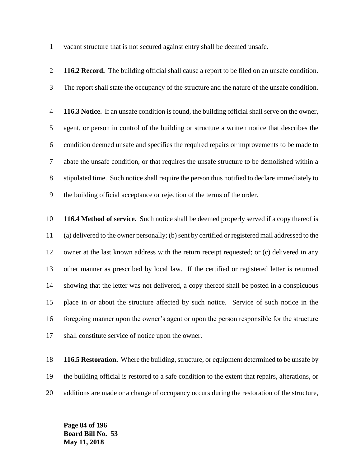vacant structure that is not secured against entry shall be deemed unsafe.

 **116.2 Record.** The building official shall cause a report to be filed on an unsafe condition. The report shall state the occupancy of the structure and the nature of the unsafe condition. **116.3 Notice.** If an unsafe condition is found, the building official shall serve on the owner, agent, or person in control of the building or structure a written notice that describes the condition deemed unsafe and specifies the required repairs or improvements to be made to abate the unsafe condition, or that requires the unsafe structure to be demolished within a stipulated time. Such notice shall require the person thus notified to declare immediately to the building official acceptance or rejection of the terms of the order. **116.4 Method of service.** Such notice shall be deemed properly served if a copy thereof is (a) delivered to the owner personally; (b) sent by certified or registered mail addressed to the owner at the last known address with the return receipt requested; or (c) delivered in any other manner as prescribed by local law. If the certified or registered letter is returned showing that the letter was not delivered, a copy thereof shall be posted in a conspicuous place in or about the structure affected by such notice. Service of such notice in the foregoing manner upon the owner's agent or upon the person responsible for the structure shall constitute service of notice upon the owner.

 **116.5 Restoration.** Where the building, structure, or equipment determined to be unsafe by the building official is restored to a safe condition to the extent that repairs, alterations, or additions are made or a change of occupancy occurs during the restoration of the structure,

**Page 84 of 196 Board Bill No. 53 May 11, 2018**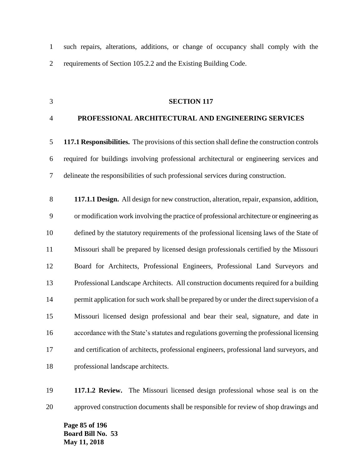such repairs, alterations, additions, or change of occupancy shall comply with the requirements of Section 105.2.2 and the Existing Building Code.

### **SECTION 117**

### **PROFESSIONAL ARCHITECTURAL AND ENGINEERING SERVICES**

 **117.1 Responsibilities.** The provisions of this section shall define the construction controls required for buildings involving professional architectural or engineering services and delineate the responsibilities of such professional services during construction.

 **117.1.1 Design.** All design for new construction, alteration, repair, expansion, addition, or modification work involving the practice of professional architecture or engineering as defined by the statutory requirements of the professional licensing laws of the State of Missouri shall be prepared by licensed design professionals certified by the Missouri Board for Architects, Professional Engineers, Professional Land Surveyors and Professional Landscape Architects. All construction documents required for a building 14 permit application for such work shall be prepared by or under the direct supervision of a Missouri licensed design professional and bear their seal, signature, and date in accordance with the State's statutes and regulations governing the professional licensing and certification of architects, professional engineers, professional land surveyors, and professional landscape architects.

 **117.1.2 Review.** The Missouri licensed design professional whose seal is on the approved construction documents shall be responsible for review of shop drawings and

**Page 85 of 196 Board Bill No. 53 May 11, 2018**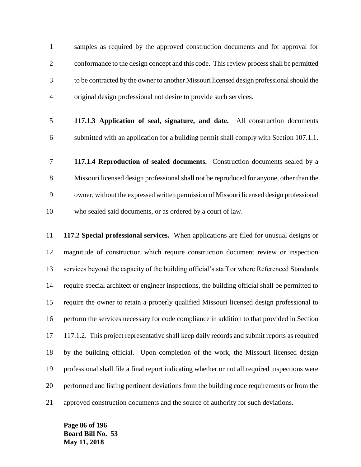samples as required by the approved construction documents and for approval for conformance to the design concept and this code. This review process shall be permitted to be contracted by the owner to another Missouri licensed design professional should the original design professional not desire to provide such services.

- **117.1.3 Application of seal, signature, and date.** All construction documents submitted with an application for a building permit shall comply with Section 107.1.1.
- **117.1.4 Reproduction of sealed documents.** Construction documents sealed by a Missouri licensed design professional shall not be reproduced for anyone, other than the owner, without the expressed written permission of Missouri licensed design professional who sealed said documents, or as ordered by a court of law.

 **117.2 Special professional services.** When applications are filed for unusual designs or magnitude of construction which require construction document review or inspection services beyond the capacity of the building official's staff or where Referenced Standards require special architect or engineer inspections, the building official shall be permitted to require the owner to retain a properly qualified Missouri licensed design professional to perform the services necessary for code compliance in addition to that provided in Section 117.1.2. This project representative shall keep daily records and submit reports as required by the building official. Upon completion of the work, the Missouri licensed design professional shall file a final report indicating whether or not all required inspections were performed and listing pertinent deviations from the building code requirements or from the approved construction documents and the source of authority for such deviations.

**Page 86 of 196 Board Bill No. 53 May 11, 2018**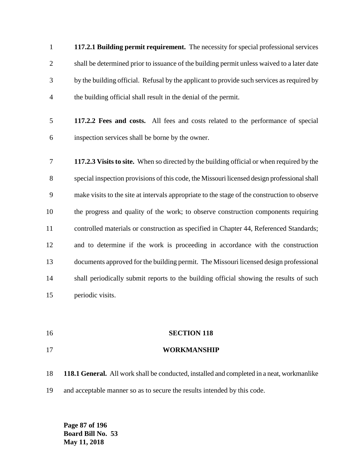**117.2.1 Building permit requirement.** The necessity for special professional services shall be determined prior to issuance of the building permit unless waived to a later date by the building official. Refusal by the applicant to provide such services as required by the building official shall result in the denial of the permit.

- **117.2.2 Fees and costs.** All fees and costs related to the performance of special inspection services shall be borne by the owner.
- **117.2.3 Visits to site.** When so directed by the building official or when required by the special inspection provisions of this code, the Missouri licensed design professional shall make visits to the site at intervals appropriate to the stage of the construction to observe the progress and quality of the work; to observe construction components requiring controlled materials or construction as specified in Chapter 44, Referenced Standards; and to determine if the work is proceeding in accordance with the construction documents approved for the building permit. The Missouri licensed design professional 14 shall periodically submit reports to the building official showing the results of such periodic visits.
- **SECTION 118**
- **WORKMANSHIP**
- **118.1 General.** All work shall be conducted, installed and completed in a neat, workmanlike and acceptable manner so as to secure the results intended by this code.

**Page 87 of 196 Board Bill No. 53 May 11, 2018**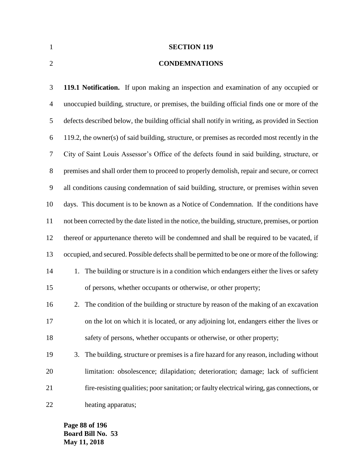**SECTION 119**

## **CONDEMNATIONS**

 **119.1 Notification.** If upon making an inspection and examination of any occupied or unoccupied building, structure, or premises, the building official finds one or more of the defects described below, the building official shall notify in writing, as provided in Section 119.2, the owner(s) of said building, structure, or premises as recorded most recently in the City of Saint Louis Assessor's Office of the defects found in said building, structure, or premises and shall order them to proceed to properly demolish, repair and secure, or correct all conditions causing condemnation of said building, structure, or premises within seven days. This document is to be known as a Notice of Condemnation. If the conditions have not been corrected by the date listed in the notice, the building, structure, premises, or portion thereof or appurtenance thereto will be condemned and shall be required to be vacated, if occupied, and secured. Possible defects shall be permitted to be one or more of the following: 14 1. The building or structure is in a condition which endangers either the lives or safety of persons, whether occupants or otherwise, or other property; 2. The condition of the building or structure by reason of the making of an excavation on the lot on which it is located, or any adjoining lot, endangers either the lives or safety of persons, whether occupants or otherwise, or other property; 3. The building, structure or premises is a fire hazard for any reason, including without limitation: obsolescence; dilapidation; deterioration; damage; lack of sufficient fire-resisting qualities; poor sanitation; or faulty electrical wiring, gas connections, or heating apparatus;

**Page 88 of 196 Board Bill No. 53 May 11, 2018**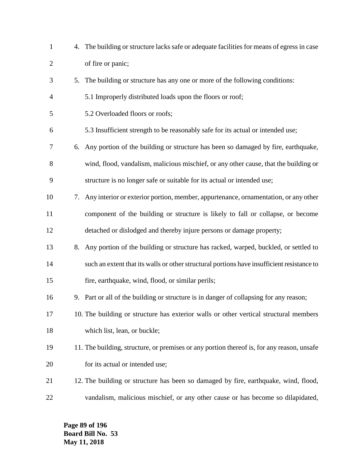| $\mathbf{1}$   |    | 4. The building or structure lacks safe or adequate facilities for means of egress in case |
|----------------|----|--------------------------------------------------------------------------------------------|
| $\overline{2}$ |    | of fire or panic;                                                                          |
| 3              |    | 5. The building or structure has any one or more of the following conditions:              |
| 4              |    | 5.1 Improperly distributed loads upon the floors or roof;                                  |
| 5              |    | 5.2 Overloaded floors or roofs;                                                            |
| 6              |    | 5.3 Insufficient strength to be reasonably safe for its actual or intended use;            |
| 7              | 6. | Any portion of the building or structure has been so damaged by fire, earthquake,          |
| 8              |    | wind, flood, vandalism, malicious mischief, or any other cause, that the building or       |
| 9              |    | structure is no longer safe or suitable for its actual or intended use;                    |
| 10             |    | 7. Any interior or exterior portion, member, appurtenance, ornamentation, or any other     |
| 11             |    | component of the building or structure is likely to fall or collapse, or become            |
| 12             |    | detached or dislodged and thereby injure persons or damage property;                       |
| 13             | 8. | Any portion of the building or structure has racked, warped, buckled, or settled to        |
| 14             |    | such an extent that its walls or other structural portions have insufficient resistance to |
| 15             |    | fire, earthquake, wind, flood, or similar perils;                                          |
| 16             |    | 9. Part or all of the building or structure is in danger of collapsing for any reason;     |
| 17             |    | 10. The building or structure has exterior walls or other vertical structural members      |
| 18             |    | which list, lean, or buckle;                                                               |
| 19             |    | 11. The building, structure, or premises or any portion thereof is, for any reason, unsafe |
| 20             |    | for its actual or intended use;                                                            |
| 21             |    | 12. The building or structure has been so damaged by fire, earthquake, wind, flood,        |
| 22             |    | vandalism, malicious mischief, or any other cause or has become so dilapidated,            |

**Page 89 of 196 Board Bill No. 53 May 11, 2018**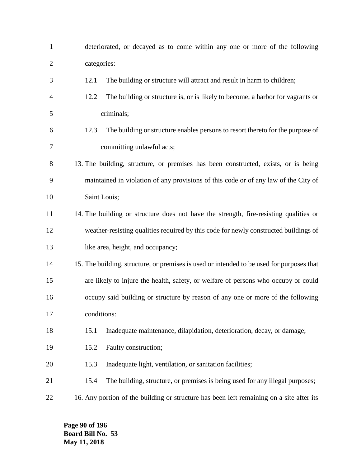| $\mathbf{1}$   | deteriorated, or decayed as to come within any one or more of the following               |
|----------------|-------------------------------------------------------------------------------------------|
| $\overline{c}$ | categories:                                                                               |
| 3              | The building or structure will attract and result in harm to children;<br>12.1            |
| 4              | 12.2<br>The building or structure is, or is likely to become, a harbor for vagrants or    |
| 5              | criminals;                                                                                |
| 6              | The building or structure enables persons to resort thereto for the purpose of<br>12.3    |
| 7              | committing unlawful acts;                                                                 |
| 8              | 13. The building, structure, or premises has been constructed, exists, or is being        |
| 9              | maintained in violation of any provisions of this code or of any law of the City of       |
| 10             | Saint Louis;                                                                              |
| 11             | 14. The building or structure does not have the strength, fire-resisting qualities or     |
| 12             | weather-resisting qualities required by this code for newly constructed buildings of      |
| 13             | like area, height, and occupancy;                                                         |
| 14             | 15. The building, structure, or premises is used or intended to be used for purposes that |
| 15             | are likely to injure the health, safety, or welfare of persons who occupy or could        |
| 16             | occupy said building or structure by reason of any one or more of the following           |
| 17             | conditions:                                                                               |
| 18             | Inadequate maintenance, dilapidation, deterioration, decay, or damage;<br>15.1            |
| 19             | Faulty construction;<br>15.2                                                              |
| 20             | 15.3<br>Inadequate light, ventilation, or sanitation facilities;                          |
| 21             | The building, structure, or premises is being used for any illegal purposes;<br>15.4      |
| 22             | 16. Any portion of the building or structure has been left remaining on a site after its  |

**Page 90 of 196 Board Bill No. 53 May 11, 2018**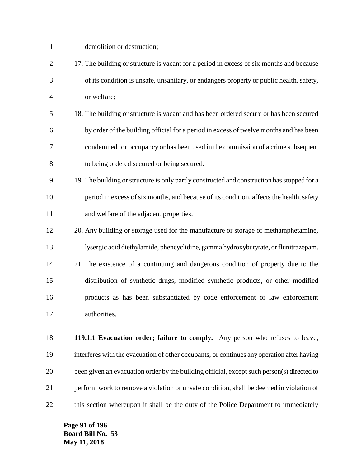| $\mathbf{1}$   | demolition or destruction;                                                                  |
|----------------|---------------------------------------------------------------------------------------------|
| $\overline{2}$ | 17. The building or structure is vacant for a period in excess of six months and because    |
| 3              | of its condition is unsafe, unsanitary, or endangers property or public health, safety,     |
| 4              | or welfare;                                                                                 |
| 5              | 18. The building or structure is vacant and has been ordered secure or has been secured     |
| 6              | by order of the building official for a period in excess of twelve months and has been      |
| 7              | condemned for occupancy or has been used in the commission of a crime subsequent            |
| 8              | to being ordered secured or being secured.                                                  |
| 9              | 19. The building or structure is only partly constructed and construction has stopped for a |
| 10             | period in excess of six months, and because of its condition, affects the health, safety    |
| 11             | and welfare of the adjacent properties.                                                     |
| 12             | 20. Any building or storage used for the manufacture or storage of methamphetamine,         |
| 13             | lysergic acid diethylamide, phencyclidine, gamma hydroxybutyrate, or flunitrazepam.         |
| 14             | 21. The existence of a continuing and dangerous condition of property due to the            |
| 15             | distribution of synthetic drugs, modified synthetic products, or other modified             |
| 16             | products as has been substantiated by code enforcement or law enforcement                   |
| 17             | authorities.                                                                                |
| 18             | 119.1.1 Evacuation order; failure to comply. Any person who refuses to leave,               |
| 19             | interferes with the evacuation of other occupants, or continues any operation after having  |
| 20             | been given an evacuation order by the building official, except such person(s) directed to  |
| 21             | perform work to remove a violation or unsafe condition, shall be deemed in violation of     |

this section whereupon it shall be the duty of the Police Department to immediately

**Page 91 of 196 Board Bill No. 53 May 11, 2018**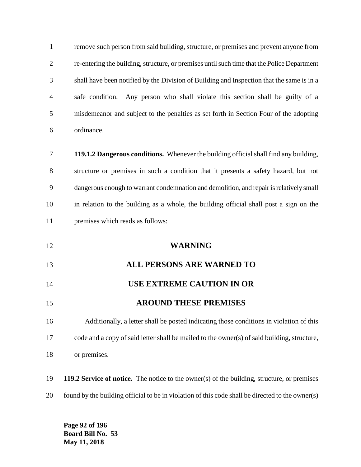| $\mathbf{1}$   | remove such person from said building, structure, or premises and prevent anyone from              |
|----------------|----------------------------------------------------------------------------------------------------|
| $\overline{c}$ | re-entering the building, structure, or premises until such time that the Police Department        |
| 3              | shall have been notified by the Division of Building and Inspection that the same is in a          |
| 4              | safe condition. Any person who shall violate this section shall be guilty of a                     |
| 5              | misdemeanor and subject to the penalties as set forth in Section Four of the adopting              |
| 6              | ordinance.                                                                                         |
| 7              | 119.1.2 Dangerous conditions. Whenever the building official shall find any building,              |
| 8              | structure or premises in such a condition that it presents a safety hazard, but not                |
| 9              | dangerous enough to warrant condemnation and demolition, and repair is relatively small            |
| 10             | in relation to the building as a whole, the building official shall post a sign on the             |
| 11             | premises which reads as follows:                                                                   |
| 12             | <b>WARNING</b>                                                                                     |
| 13             | <b>ALL PERSONS ARE WARNED TO</b>                                                                   |
| 14             | <b>USE EXTREME CAUTION IN OR</b>                                                                   |
| 15             | <b>AROUND THESE PREMISES</b>                                                                       |
| 16             | Additionally, a letter shall be posted indicating those conditions in violation of this            |
| 17             | code and a copy of said letter shall be mailed to the owner(s) of said building, structure,        |
| 18             | or premises.                                                                                       |
| 19             | <b>119.2 Service of notice.</b> The notice to the owner(s) of the building, structure, or premises |
| 20             |                                                                                                    |

**Page 92 of 196 Board Bill No. 53 May 11, 2018**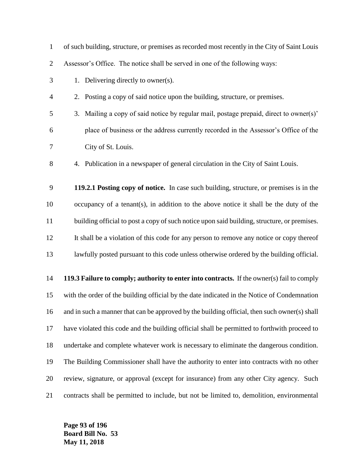| $\mathbf{1}$   | of such building, structure, or premises as recorded most recently in the City of Saint Louis |
|----------------|-----------------------------------------------------------------------------------------------|
| $\overline{2}$ | Assessor's Office. The notice shall be served in one of the following ways:                   |
| 3              | 1. Delivering directly to owner(s).                                                           |
| $\overline{4}$ | 2. Posting a copy of said notice upon the building, structure, or premises.                   |
| 5              | Mailing a copy of said notice by regular mail, postage prepaid, direct to owner(s)'<br>3.     |
| 6              | place of business or the address currently recorded in the Assessor's Office of the           |
| 7              | City of St. Louis.                                                                            |
| 8              | 4. Publication in a newspaper of general circulation in the City of Saint Louis.              |
| 9              | 119.2.1 Posting copy of notice. In case such building, structure, or premises is in the       |
| 10             | occupancy of a tenant(s), in addition to the above notice it shall be the duty of the         |
| 11             | building official to post a copy of such notice upon said building, structure, or premises.   |
| 12             | It shall be a violation of this code for any person to remove any notice or copy thereof      |
| 13             | lawfully posted pursuant to this code unless otherwise ordered by the building official.      |
| 14             | 119.3 Failure to comply; authority to enter into contracts. If the owner(s) fail to comply    |
| 15             | with the order of the building official by the date indicated in the Notice of Condemnation   |
| 16             | and in such a manner that can be approved by the building official, then such owner(s) shall  |
| 17             | have violated this code and the building official shall be permitted to forthwith proceed to  |
| 18             | undertake and complete whatever work is necessary to eliminate the dangerous condition.       |
| 19             | The Building Commissioner shall have the authority to enter into contracts with no other      |
| 20             | review, signature, or approval (except for insurance) from any other City agency. Such        |
| 21             | contracts shall be permitted to include, but not be limited to, demolition, environmental     |

**Page 93 of 196 Board Bill No. 53 May 11, 2018**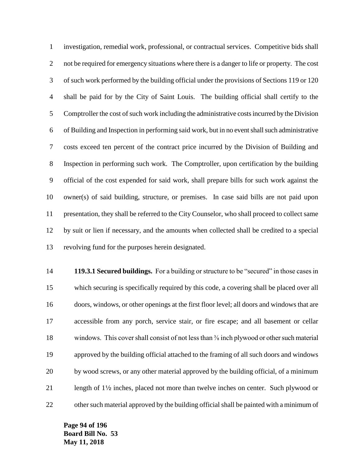investigation, remedial work, professional, or contractual services. Competitive bids shall 2 not be required for emergency situations where there is a danger to life or property. The cost of such work performed by the building official under the provisions of Sections 119 or 120 shall be paid for by the City of Saint Louis. The building official shall certify to the Comptroller the cost of such work including the administrative costs incurred by the Division of Building and Inspection in performing said work, but in no event shall such administrative costs exceed ten percent of the contract price incurred by the Division of Building and Inspection in performing such work. The Comptroller, upon certification by the building official of the cost expended for said work, shall prepare bills for such work against the owner(s) of said building, structure, or premises. In case said bills are not paid upon presentation, they shall be referred to the City Counselor, who shall proceed to collect same by suit or lien if necessary, and the amounts when collected shall be credited to a special revolving fund for the purposes herein designated.

 **119.3.1 Secured buildings.** For a building or structure to be "secured" in those cases in which securing is specifically required by this code, a covering shall be placed over all doors, windows, or other openings at the first floor level; all doors and windows that are accessible from any porch, service stair, or fire escape; and all basement or cellar 18 windows. This cover shall consist of not less than <sup>3</sup>/<sub>8</sub> inch plywood or other such material approved by the building official attached to the framing of all such doors and windows by wood screws, or any other material approved by the building official, of a minimum length of 12 inches, placed not more than twelve inches on center. Such plywood or other such material approved by the building official shall be painted with a minimum of

**Page 94 of 196 Board Bill No. 53 May 11, 2018**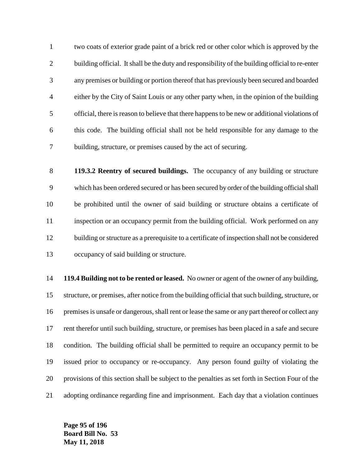two coats of exterior grade paint of a brick red or other color which is approved by the 2 building official. It shall be the duty and responsibility of the building official to re-enter any premises or building or portion thereof that has previously been secured and boarded either by the City of Saint Louis or any other party when, in the opinion of the building official, there is reason to believe that there happens to be new or additional violations of this code. The building official shall not be held responsible for any damage to the building, structure, or premises caused by the act of securing.

 **119.3.2 Reentry of secured buildings.** The occupancy of any building or structure which has been ordered secured or has been secured by order of the building official shall be prohibited until the owner of said building or structure obtains a certificate of inspection or an occupancy permit from the building official. Work performed on any building or structure as a prerequisite to a certificate of inspection shall not be considered occupancy of said building or structure.

 **119.4 Building not to be rented or leased.** No owner or agent of the owner of any building, structure, or premises, after notice from the building official that such building, structure, or 16 premises is unsafe or dangerous, shall rent or lease the same or any part thereof or collect any rent therefor until such building, structure, or premises has been placed in a safe and secure condition. The building official shall be permitted to require an occupancy permit to be issued prior to occupancy or re-occupancy. Any person found guilty of violating the provisions of this section shall be subject to the penalties as set forth in Section Four of the adopting ordinance regarding fine and imprisonment. Each day that a violation continues

**Page 95 of 196 Board Bill No. 53 May 11, 2018**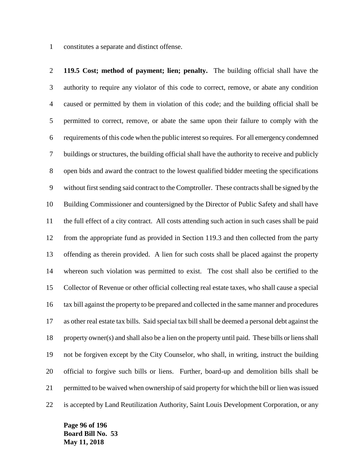constitutes a separate and distinct offense.

 **119.5 Cost; method of payment; lien; penalty.** The building official shall have the authority to require any violator of this code to correct, remove, or abate any condition caused or permitted by them in violation of this code; and the building official shall be permitted to correct, remove, or abate the same upon their failure to comply with the requirements of this code when the public interest so requires. For all emergency condemned buildings or structures, the building official shall have the authority to receive and publicly open bids and award the contract to the lowest qualified bidder meeting the specifications without first sending said contract to the Comptroller. These contracts shall be signed by the Building Commissioner and countersigned by the Director of Public Safety and shall have the full effect of a city contract. All costs attending such action in such cases shall be paid from the appropriate fund as provided in Section 119.3 and then collected from the party offending as therein provided. A lien for such costs shall be placed against the property whereon such violation was permitted to exist. The cost shall also be certified to the Collector of Revenue or other official collecting real estate taxes, who shall cause a special tax bill against the property to be prepared and collected in the same manner and procedures as other real estate tax bills. Said special tax bill shall be deemed a personal debt against the property owner(s) and shall also be a lien on the property until paid. These bills or liens shall not be forgiven except by the City Counselor, who shall, in writing, instruct the building official to forgive such bills or liens. Further, board-up and demolition bills shall be permitted to be waived when ownership of said property for which the bill or lien was issued is accepted by Land Reutilization Authority, Saint Louis Development Corporation, or any

**Page 96 of 196 Board Bill No. 53 May 11, 2018**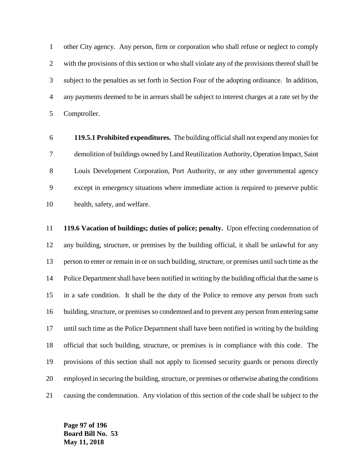other City agency. Any person, firm or corporation who shall refuse or neglect to comply with the provisions of this section or who shall violate any of the provisions thereof shall be subject to the penalties as set forth in Section Four of the adopting ordinance. In addition, any payments deemed to be in arrears shall be subject to interest charges at a rate set by the Comptroller.

 **119.5.1 Prohibited expenditures.** The building official shall not expend any monies for demolition of buildings owned by Land Reutilization Authority, Operation Impact, Saint Louis Development Corporation, Port Authority, or any other governmental agency except in emergency situations where immediate action is required to preserve public health, safety, and welfare.

 **119.6 Vacation of buildings; duties of police; penalty.** Upon effecting condemnation of any building, structure, or premises by the building official, it shall be unlawful for any person to enter or remain in or on such building, structure, or premises until such time as the Police Department shall have been notified in writing by the building official that the same is in a safe condition. It shall be the duty of the Police to remove any person from such building, structure, or premises so condemned and to prevent any person from entering same until such time as the Police Department shall have been notified in writing by the building official that such building, structure, or premises is in compliance with this code. The provisions of this section shall not apply to licensed security guards or persons directly employed in securing the building, structure, or premises or otherwise abating the conditions causing the condemnation. Any violation of this section of the code shall be subject to the

**Page 97 of 196 Board Bill No. 53 May 11, 2018**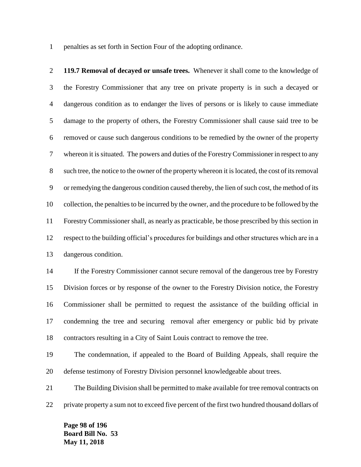penalties as set forth in Section Four of the adopting ordinance.

 **119.7 Removal of decayed or unsafe trees.** Whenever it shall come to the knowledge of the Forestry Commissioner that any tree on private property is in such a decayed or dangerous condition as to endanger the lives of persons or is likely to cause immediate damage to the property of others, the Forestry Commissioner shall cause said tree to be removed or cause such dangerous conditions to be remedied by the owner of the property whereon it is situated. The powers and duties of the Forestry Commissioner in respect to any such tree, the notice to the owner of the property whereon it is located, the cost of its removal or remedying the dangerous condition caused thereby, the lien of such cost, the method of its collection, the penalties to be incurred by the owner, and the procedure to be followed by the Forestry Commissioner shall, as nearly as practicable, be those prescribed by this section in respect to the building official's procedures for buildings and other structures which are in a dangerous condition.

 If the Forestry Commissioner cannot secure removal of the dangerous tree by Forestry Division forces or by response of the owner to the Forestry Division notice, the Forestry Commissioner shall be permitted to request the assistance of the building official in condemning the tree and securing removal after emergency or public bid by private contractors resulting in a City of Saint Louis contract to remove the tree.

 The condemnation, if appealed to the Board of Building Appeals, shall require the defense testimony of Forestry Division personnel knowledgeable about trees.

 The Building Division shall be permitted to make available for tree removal contracts on private property a sum not to exceed five percent of the first two hundred thousand dollars of

**Page 98 of 196 Board Bill No. 53 May 11, 2018**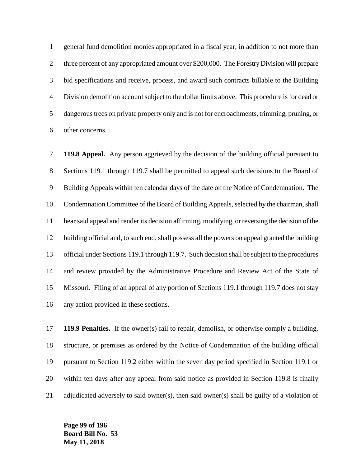general fund demolition monies appropriated in a fiscal year, in addition to not more than three percent of any appropriated amount over \$200,000. The Forestry Division will prepare bid specifications and receive, process, and award such contracts billable to the Building Division demolition account subject to the dollar limits above. This procedure is for dead or dangerous trees on private property only and is not for encroachments, trimming, pruning, or other concerns.

 **119.8 Appeal.** Any person aggrieved by the decision of the building official pursuant to Sections 119.1 through 119.7 shall be permitted to appeal such decisions to the Board of Building Appeals within ten calendar days of the date on the Notice of Condemnation. The Condemnation Committee of the Board of Building Appeals, selected by the chairman, shall hear said appeal and render its decision affirming, modifying, or reversing the decision of the building official and, to such end, shall possess all the powers on appeal granted the building official under Sections 119.1 through 119.7. Such decision shall be subject to the procedures and review provided by the Administrative Procedure and Review Act of the State of Missouri. Filing of an appeal of any portion of Sections 119.1 through 119.7 does not stay any action provided in these sections.

 **119.9 Penalties.** If the owner(s) fail to repair, demolish, or otherwise comply a building, structure, or premises as ordered by the Notice of Condemnation of the building official pursuant to Section 119.2 either within the seven day period specified in Section 119.1 or within ten days after any appeal from said notice as provided in Section 119.8 is finally adjudicated adversely to said owner(s), then said owner(s) shall be guilty of a violation of

**Page 99 of 196 Board Bill No. 53 May 11, 2018**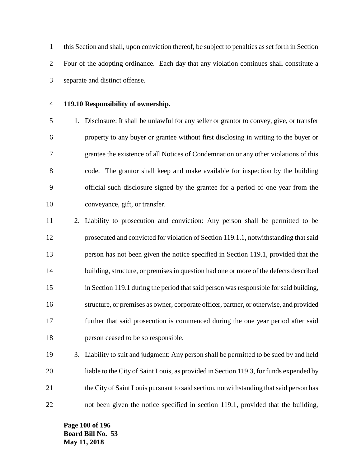this Section and shall, upon conviction thereof, be subject to penalties as set forth in Section Four of the adopting ordinance. Each day that any violation continues shall constitute a separate and distinct offense.

## **119.10 Responsibility of ownership.**

 1. Disclosure: It shall be unlawful for any seller or grantor to convey, give, or transfer property to any buyer or grantee without first disclosing in writing to the buyer or grantee the existence of all Notices of Condemnation or any other violations of this code. The grantor shall keep and make available for inspection by the building official such disclosure signed by the grantee for a period of one year from the conveyance, gift, or transfer.

 2. Liability to prosecution and conviction: Any person shall be permitted to be prosecuted and convicted for violation of Section 119.1.1, notwithstanding that said person has not been given the notice specified in Section 119.1, provided that the building, structure, or premises in question had one or more of the defects described in Section 119.1 during the period that said person was responsible for said building, structure, or premises as owner, corporate officer, partner, or otherwise, and provided further that said prosecution is commenced during the one year period after said person ceased to be so responsible.

 3. Liability to suit and judgment: Any person shall be permitted to be sued by and held liable to the City of Saint Louis, as provided in Section 119.3, for funds expended by the City of Saint Louis pursuant to said section, notwithstanding that said person has not been given the notice specified in section 119.1, provided that the building,

**Page 100 of 196 Board Bill No. 53 May 11, 2018**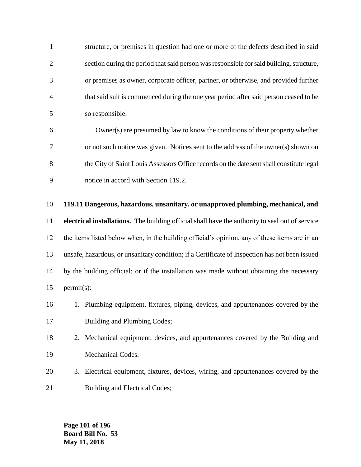structure, or premises in question had one or more of the defects described in said section during the period that said person was responsible for said building, structure, or premises as owner, corporate officer, partner, or otherwise, and provided further that said suit is commenced during the one year period after said person ceased to be so responsible.

 Owner(s) are presumed by law to know the conditions of their property whether or not such notice was given. Notices sent to the address of the owner(s) shown on the City of Saint Louis Assessors Office records on the date sent shall constitute legal notice in accord with Section 119.2.

# **119.11 Dangerous, hazardous, unsanitary, or unapproved plumbing, mechanical, and**

 **electrical installations.** The building official shall have the authority to seal out of service the items listed below when, in the building official's opinion, any of these items are in an unsafe, hazardous, or unsanitary condition; if a Certificate of Inspection has not been issued by the building official; or if the installation was made without obtaining the necessary permit(s):



- 2. Mechanical equipment, devices, and appurtenances covered by the Building and Mechanical Codes.
- 3. Electrical equipment, fixtures, devices, wiring, and appurtenances covered by the 21 Building and Electrical Codes;

**Page 101 of 196 Board Bill No. 53 May 11, 2018**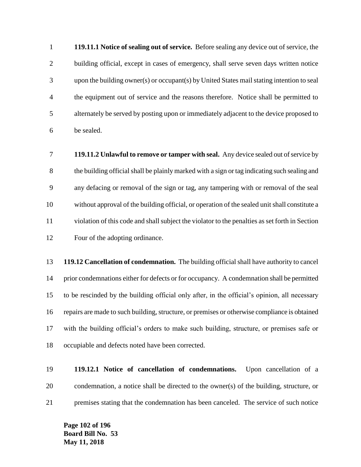**119.11.1 Notice of sealing out of service.** Before sealing any device out of service, the building official, except in cases of emergency, shall serve seven days written notice upon the building owner(s) or occupant(s) by United States mail stating intention to seal the equipment out of service and the reasons therefore. Notice shall be permitted to alternately be served by posting upon or immediately adjacent to the device proposed to be sealed.

 **119.11.2 Unlawful to remove or tamper with seal.** Any device sealed out of service by the building official shall be plainly marked with a sign or tag indicating such sealing and any defacing or removal of the sign or tag, any tampering with or removal of the seal without approval of the building official, or operation of the sealed unit shall constitute a violation of this code and shall subject the violator to the penalties as set forth in Section Four of the adopting ordinance.

 **119.12 Cancellation of condemnation.** The building official shall have authority to cancel prior condemnations either for defects or for occupancy. A condemnation shall be permitted to be rescinded by the building official only after, in the official's opinion, all necessary repairs are made to such building, structure, or premises or otherwise compliance is obtained with the building official's orders to make such building, structure, or premises safe or occupiable and defects noted have been corrected.

 **119.12.1 Notice of cancellation of condemnations.** Upon cancellation of a condemnation, a notice shall be directed to the owner(s) of the building, structure, or premises stating that the condemnation has been canceled. The service of such notice

**Page 102 of 196 Board Bill No. 53 May 11, 2018**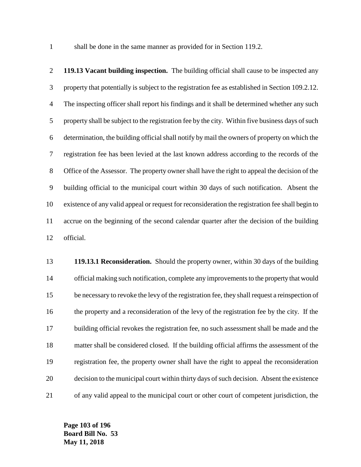1 shall be done in the same manner as provided for in Section 119.2.

 **119.13 Vacant building inspection.** The building official shall cause to be inspected any property that potentially is subject to the registration fee as established in Section 109.2.12. The inspecting officer shall report his findings and it shall be determined whether any such 5 property shall be subject to the registration fee by the city. Within five business days of such determination, the building official shall notify by mail the owners of property on which the registration fee has been levied at the last known address according to the records of the Office of the Assessor. The property owner shall have the right to appeal the decision of the building official to the municipal court within 30 days of such notification. Absent the existence of any valid appeal or request for reconsideration the registration fee shall begin to accrue on the beginning of the second calendar quarter after the decision of the building official.

 **119.13.1 Reconsideration.** Should the property owner, within 30 days of the building official making such notification, complete any improvements to the property that would be necessary to revoke the levy of the registration fee, they shall request a reinspection of the property and a reconsideration of the levy of the registration fee by the city. If the building official revokes the registration fee, no such assessment shall be made and the matter shall be considered closed. If the building official affirms the assessment of the registration fee, the property owner shall have the right to appeal the reconsideration decision to the municipal court within thirty days of such decision. Absent the existence of any valid appeal to the municipal court or other court of competent jurisdiction, the

**Page 103 of 196 Board Bill No. 53 May 11, 2018**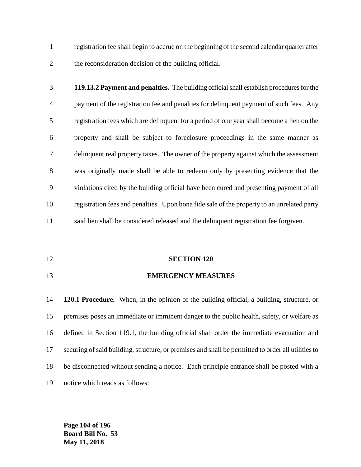registration fee shall begin to accrue on the beginning of the second calendar quarter after the reconsideration decision of the building official.

- **119.13.2 Payment and penalties.** The building official shall establish procedures for the payment of the registration fee and penalties for delinquent payment of such fees. Any registration fees which are delinquent for a period of one year shall become a lien on the property and shall be subject to foreclosure proceedings in the same manner as delinquent real property taxes. The owner of the property against which the assessment was originally made shall be able to redeem only by presenting evidence that the violations cited by the building official have been cured and presenting payment of all registration fees and penalties. Upon bona fide sale of the property to an unrelated party said lien shall be considered released and the delinquent registration fee forgiven.
- **SECTION 120**
- **EMERGENCY MEASURES**

 **120.1 Procedure.** When, in the opinion of the building official, a building, structure, or premises poses an immediate or imminent danger to the public health, safety, or welfare as defined in Section 119.1, the building official shall order the immediate evacuation and securing of said building, structure, or premises and shall be permitted to order all utilities to be disconnected without sending a notice. Each principle entrance shall be posted with a notice which reads as follows:

**Page 104 of 196 Board Bill No. 53 May 11, 2018**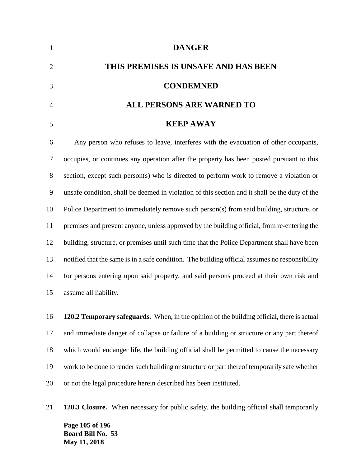| 1              | <b>DANGER</b>                                                                                  |
|----------------|------------------------------------------------------------------------------------------------|
| $\overline{2}$ | THIS PREMISES IS UNSAFE AND HAS BEEN                                                           |
| 3              | <b>CONDEMNED</b>                                                                               |
| $\overline{A}$ | <b>ALL PERSONS ARE WARNED TO</b>                                                               |
| 5              | <b>KEEP AWAY</b>                                                                               |
| 6              | Any person who refuses to leave, interferes with the evacuation of other occupants,            |
| 7              | occupies, or continues any operation after the property has been posted pursuant to this       |
| 8              | section, except such person(s) who is directed to perform work to remove a violation or        |
| 9              | unsafe condition, shall be deemed in violation of this section and it shall be the duty of the |
| 10             | Police Department to immediately remove such person(s) from said building, structure, or       |
| 11             | premises and prevent anyone, unless approved by the building official, from re-entering the    |

 building, structure, or premises until such time that the Police Department shall have been notified that the same is in a safe condition. The building official assumes no responsibility for persons entering upon said property, and said persons proceed at their own risk and assume all liability.

 **120.2 Temporary safeguards.** When, in the opinion of the building official, there is actual and immediate danger of collapse or failure of a building or structure or any part thereof which would endanger life, the building official shall be permitted to cause the necessary work to be done to render such building or structure or part thereof temporarily safe whether or not the legal procedure herein described has been instituted.

**Page 105 of 196 Board Bill No. 53 May 11, 2018 120.3 Closure.** When necessary for public safety, the building official shall temporarily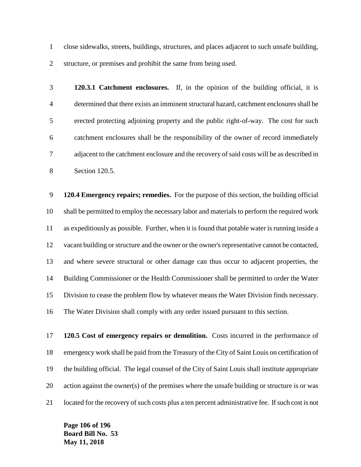close sidewalks, streets, buildings, structures, and places adjacent to such unsafe building, structure, or premises and prohibit the same from being used.

 **120.3.1 Catchment enclosures.** If, in the opinion of the building official, it is determined that there exists an imminent structural hazard, catchment enclosures shall be erected protecting adjoining property and the public right-of-way. The cost for such catchment enclosures shall be the responsibility of the owner of record immediately adjacent to the catchment enclosure and the recovery of said costs will be as described in Section 120.5.

 **120.4 Emergency repairs; remedies.** For the purpose of this section, the building official shall be permitted to employ the necessary labor and materials to perform the required work as expeditiously as possible. Further, when it is found that potable water is running inside a vacant building or structure and the owner or the owner's representative cannot be contacted, and where severe structural or other damage can thus occur to adjacent properties, the Building Commissioner or the Health Commissioner shall be permitted to order the Water Division to cease the problem flow by whatever means the Water Division finds necessary. The Water Division shall comply with any order issued pursuant to this section.

 **120.5 Cost of emergency repairs or demolition.** Costs incurred in the performance of emergency work shall be paid from the Treasury of the City of Saint Louis on certification of the building official. The legal counsel of the City of Saint Louis shall institute appropriate action against the owner(s) of the premises where the unsafe building or structure is or was located for the recovery of such costs plus a ten percent administrative fee. If such cost is not

**Page 106 of 196 Board Bill No. 53 May 11, 2018**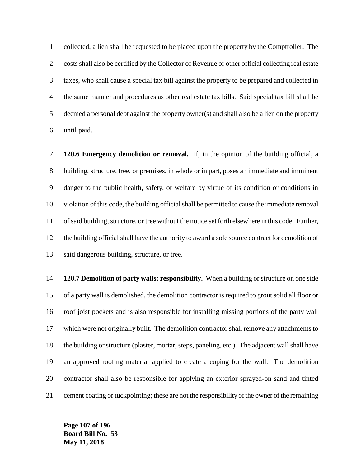collected, a lien shall be requested to be placed upon the property by the Comptroller. The costs shall also be certified by the Collector of Revenue or other official collecting real estate taxes, who shall cause a special tax bill against the property to be prepared and collected in the same manner and procedures as other real estate tax bills. Said special tax bill shall be deemed a personal debt against the property owner(s) and shall also be a lien on the property until paid.

 **120.6 Emergency demolition or removal.** If, in the opinion of the building official, a building, structure, tree, or premises, in whole or in part, poses an immediate and imminent danger to the public health, safety, or welfare by virtue of its condition or conditions in violation of this code, the building official shall be permitted to cause the immediate removal of said building, structure, or tree without the notice set forth elsewhere in this code. Further, the building official shall have the authority to award a sole source contract for demolition of said dangerous building, structure, or tree.

 **120.7 Demolition of party walls; responsibility.** When a building or structure on one side of a party wall is demolished, the demolition contractor is required to grout solid all floor or roof joist pockets and is also responsible for installing missing portions of the party wall which were not originally built. The demolition contractor shall remove any attachments to the building or structure (plaster, mortar, steps, paneling, etc.). The adjacent wall shall have an approved roofing material applied to create a coping for the wall. The demolition contractor shall also be responsible for applying an exterior sprayed-on sand and tinted cement coating or tuckpointing; these are not the responsibility of the owner of the remaining

**Page 107 of 196 Board Bill No. 53 May 11, 2018**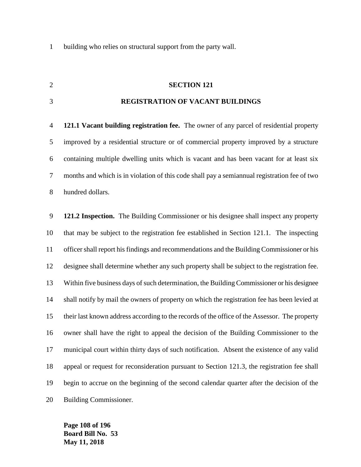building who relies on structural support from the party wall.

### **SECTION 121**

#### **REGISTRATION OF VACANT BUILDINGS**

 **121.1 Vacant building registration fee.** The owner of any parcel of residential property improved by a residential structure or of commercial property improved by a structure containing multiple dwelling units which is vacant and has been vacant for at least six months and which is in violation of this code shall pay a semiannual registration fee of two hundred dollars.

 **121.2 Inspection.** The Building Commissioner or his designee shall inspect any property that may be subject to the registration fee established in Section 121.1. The inspecting officer shall report his findings and recommendations and the Building Commissioner or his designee shall determine whether any such property shall be subject to the registration fee. Within five business days of such determination, the Building Commissioner or his designee shall notify by mail the owners of property on which the registration fee has been levied at their last known address according to the records of the office of the Assessor. The property owner shall have the right to appeal the decision of the Building Commissioner to the municipal court within thirty days of such notification. Absent the existence of any valid appeal or request for reconsideration pursuant to Section 121.3, the registration fee shall begin to accrue on the beginning of the second calendar quarter after the decision of the Building Commissioner.

**Page 108 of 196 Board Bill No. 53 May 11, 2018**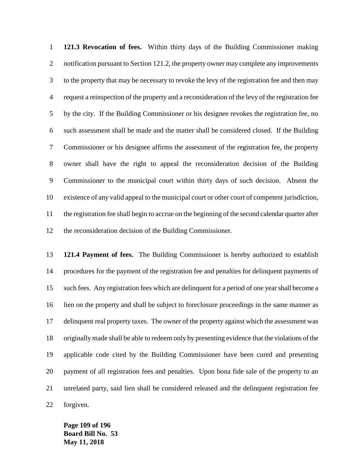**121.3 Revocation of fees.** Within thirty days of the Building Commissioner making 2 notification pursuant to Section 121.2, the property owner may complete any improvements to the property that may be necessary to revoke the levy of the registration fee and then may request a reinspection of the property and a reconsideration of the levy of the registration fee by the city. If the Building Commissioner or his designee revokes the registration fee, no such assessment shall be made and the matter shall be considered closed. If the Building Commissioner or his designee affirms the assessment of the registration fee, the property owner shall have the right to appeal the reconsideration decision of the Building Commissioner to the municipal court within thirty days of such decision. Absent the existence of any valid appeal to the municipal court or other court of competent jurisdiction, the registration fee shall begin to accrue on the beginning of the second calendar quarter after the reconsideration decision of the Building Commissioner.

 **121.4 Payment of fees.** The Building Commissioner is hereby authorized to establish procedures for the payment of the registration fee and penalties for delinquent payments of such fees. Any registration fees which are delinquent for a period of one year shall become a lien on the property and shall be subject to foreclosure proceedings in the same manner as delinquent real property taxes. The owner of the property against which the assessment was originally made shall be able to redeem only by presenting evidence that the violations of the applicable code cited by the Building Commissioner have been cured and presenting payment of all registration fees and penalties. Upon bona fide sale of the property to an unrelated party, said lien shall be considered released and the delinquent registration fee forgiven.

**Page 109 of 196 Board Bill No. 53 May 11, 2018**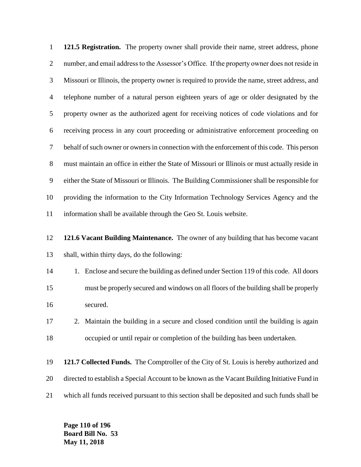**121.5 Registration.** The property owner shall provide their name, street address, phone number, and email address to the Assessor's Office. If the property owner does not reside in Missouri or Illinois, the property owner is required to provide the name, street address, and telephone number of a natural person eighteen years of age or older designated by the property owner as the authorized agent for receiving notices of code violations and for receiving process in any court proceeding or administrative enforcement proceeding on behalf of such owner or owners in connection with the enforcement of this code. This person must maintain an office in either the State of Missouri or Illinois or must actually reside in either the State of Missouri or Illinois. The Building Commissioner shall be responsible for providing the information to the City Information Technology Services Agency and the information shall be available through the Geo St. Louis website.

 **121.6 Vacant Building Maintenance.** The owner of any building that has become vacant shall, within thirty days, do the following:

14 1. Enclose and secure the building as defined under Section 119 of this code. All doors must be properly secured and windows on all floors of the building shall be properly secured.

 2. Maintain the building in a secure and closed condition until the building is again occupied or until repair or completion of the building has been undertaken.

 **121.7 Collected Funds.** The Comptroller of the City of St. Louis is hereby authorized and directed to establish a Special Account to be known as the Vacant Building Initiative Fund in which all funds received pursuant to this section shall be deposited and such funds shall be

**Page 110 of 196 Board Bill No. 53 May 11, 2018**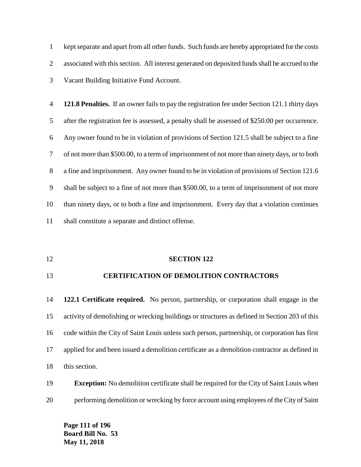kept separate and apart from all other funds. Such funds are hereby appropriated for the costs associated with this section. All interest generated on deposited funds shall be accrued to the Vacant Building Initiative Fund Account.

 **121.8 Penalties.** If an owner fails to pay the registration fee under Section 121.1 thirty days after the registration fee is assessed, a penalty shall be assessed of \$250.00 per occurrence. Any owner found to be in violation of provisions of Section 121.5 shall be subject to a fine of not more than \$500.00, to a term of imprisonment of not more than ninety days, or to both a fine and imprisonment. Any owner found to be in violation of provisions of Section 121.6 shall be subject to a fine of not more than \$500.00, to a term of imprisonment of not more than ninety days, or to both a fine and imprisonment. Every day that a violation continues shall constitute a separate and distinct offense.

#### **SECTION 122**

#### **CERTIFICATION OF DEMOLITION CONTRACTORS**

 **122.1 Certificate required.** No person, partnership, or corporation shall engage in the activity of demolishing or wrecking buildings or structures as defined in Section 203 of this code within the City of Saint Louis unless such person, partnership, or corporation has first applied for and been issued a demolition certificate as a demolition contractor as defined in this section.

## **Exception:** No demolition certificate shall be required for the City of Saint Louis when performing demolition or wrecking by force account using employees of the City of Saint

**Page 111 of 196 Board Bill No. 53 May 11, 2018**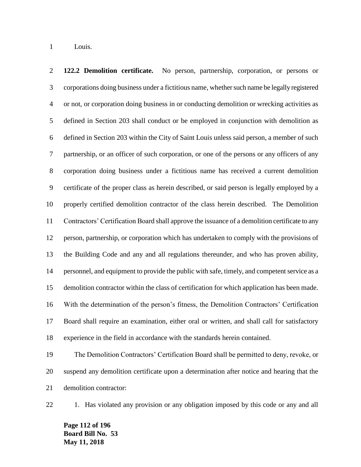Louis.

 **122.2 Demolition certificate.** No person, partnership, corporation, or persons or corporations doing business under a fictitious name, whether such name be legally registered or not, or corporation doing business in or conducting demolition or wrecking activities as defined in Section 203 shall conduct or be employed in conjunction with demolition as defined in Section 203 within the City of Saint Louis unless said person, a member of such partnership, or an officer of such corporation, or one of the persons or any officers of any corporation doing business under a fictitious name has received a current demolition certificate of the proper class as herein described, or said person is legally employed by a properly certified demolition contractor of the class herein described. The Demolition Contractors' Certification Board shall approve the issuance of a demolition certificate to any person, partnership, or corporation which has undertaken to comply with the provisions of the Building Code and any and all regulations thereunder, and who has proven ability, personnel, and equipment to provide the public with safe, timely, and competent service as a demolition contractor within the class of certification for which application has been made. With the determination of the person's fitness, the Demolition Contractors' Certification Board shall require an examination, either oral or written, and shall call for satisfactory experience in the field in accordance with the standards herein contained.

 The Demolition Contractors' Certification Board shall be permitted to deny, revoke, or suspend any demolition certificate upon a determination after notice and hearing that the demolition contractor:

22 1. Has violated any provision or any obligation imposed by this code or any and all

**Page 112 of 196 Board Bill No. 53 May 11, 2018**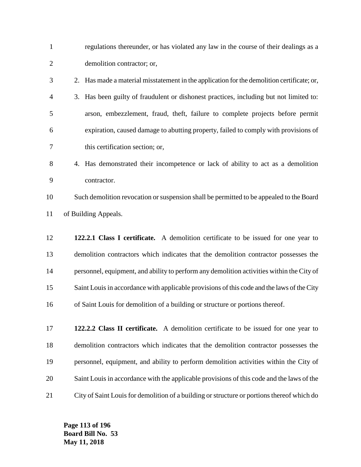| $\mathbf{1}$   | regulations thereunder, or has violated any law in the course of their dealings as a          |
|----------------|-----------------------------------------------------------------------------------------------|
| $\overline{2}$ | demolition contractor; or,                                                                    |
| 3              | Has made a material misstatement in the application for the demolition certificate; or,<br>2. |
| 4              | 3. Has been guilty of fraudulent or dishonest practices, including but not limited to:        |
| 5              | arson, embezzlement, fraud, theft, failure to complete projects before permit                 |
| 6              | expiration, caused damage to abutting property, failed to comply with provisions of           |
| 7              | this certification section; or,                                                               |
| 8              | 4. Has demonstrated their incompetence or lack of ability to act as a demolition              |
| 9              | contractor.                                                                                   |
| 10             | Such demolition revocation or suspension shall be permitted to be appealed to the Board       |
| 11             | of Building Appeals.                                                                          |
| 12             | 122.2.1 Class I certificate. A demolition certificate to be issued for one year to            |
| 13             | demolition contractors which indicates that the demolition contractor possesses the           |
| 14             | personnel, equipment, and ability to perform any demolition activities within the City of     |
| 15             | Saint Louis in accordance with applicable provisions of this code and the laws of the City    |
| 16             | of Saint Louis for demolition of a building or structure or portions thereof.                 |
|                |                                                                                               |
| 17             | 122.2.2 Class II certificate. A demolition certificate to be issued for one year to           |
| 18             | demolition contractors which indicates that the demolition contractor possesses the           |
| 19             | personnel, equipment, and ability to perform demolition activities within the City of         |
| 20             | Saint Louis in accordance with the applicable provisions of this code and the laws of the     |

City of Saint Louis for demolition of a building or structure or portions thereof which do

**Page 113 of 196 Board Bill No. 53 May 11, 2018**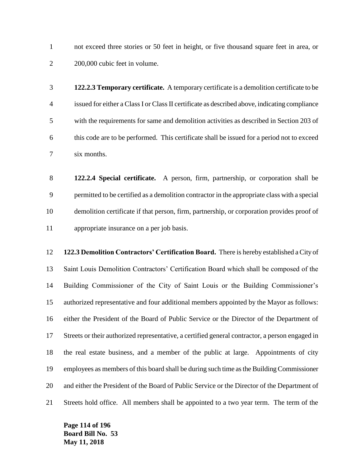not exceed three stories or 50 feet in height, or five thousand square feet in area, or 200,000 cubic feet in volume.

 **122.2.3 Temporary certificate.** A temporary certificate is a demolition certificate to be issued for either a Class I or Class II certificate as described above, indicating compliance with the requirements for same and demolition activities as described in Section 203 of this code are to be performed. This certificate shall be issued for a period not to exceed six months.

 **122.2.4 Special certificate.** A person, firm, partnership, or corporation shall be permitted to be certified as a demolition contractor in the appropriate class with a special demolition certificate if that person, firm, partnership, or corporation provides proof of appropriate insurance on a per job basis.

 **122.3 Demolition Contractors' Certification Board.** There is hereby established a City of Saint Louis Demolition Contractors' Certification Board which shall be composed of the Building Commissioner of the City of Saint Louis or the Building Commissioner's authorized representative and four additional members appointed by the Mayor as follows: either the President of the Board of Public Service or the Director of the Department of Streets or their authorized representative, a certified general contractor, a person engaged in the real estate business, and a member of the public at large. Appointments of city employees as members of this board shall be during such time as the Building Commissioner and either the President of the Board of Public Service or the Director of the Department of Streets hold office. All members shall be appointed to a two year term. The term of the

**Page 114 of 196 Board Bill No. 53 May 11, 2018**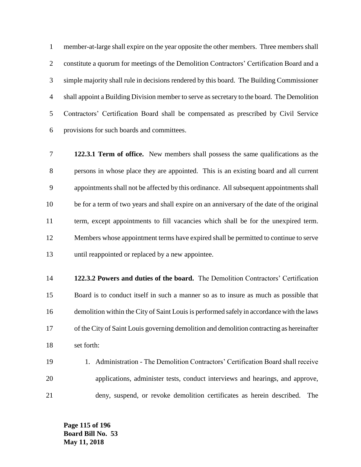member-at-large shall expire on the year opposite the other members. Three members shall constitute a quorum for meetings of the Demolition Contractors' Certification Board and a simple majority shall rule in decisions rendered by this board. The Building Commissioner shall appoint a Building Division member to serve as secretary to the board. The Demolition Contractors' Certification Board shall be compensated as prescribed by Civil Service provisions for such boards and committees.

 **122.3.1 Term of office.** New members shall possess the same qualifications as the persons in whose place they are appointed. This is an existing board and all current appointments shall not be affected by this ordinance. All subsequent appointments shall be for a term of two years and shall expire on an anniversary of the date of the original term, except appointments to fill vacancies which shall be for the unexpired term. Members whose appointment terms have expired shall be permitted to continue to serve until reappointed or replaced by a new appointee.

 **122.3.2 Powers and duties of the board.** The Demolition Contractors' Certification Board is to conduct itself in such a manner so as to insure as much as possible that demolition within the City of Saint Louis is performed safely in accordance with the laws of the City of Saint Louis governing demolition and demolition contracting as hereinafter set forth:

 1. Administration - The Demolition Contractors' Certification Board shall receive applications, administer tests, conduct interviews and hearings, and approve, deny, suspend, or revoke demolition certificates as herein described. The

**Page 115 of 196 Board Bill No. 53 May 11, 2018**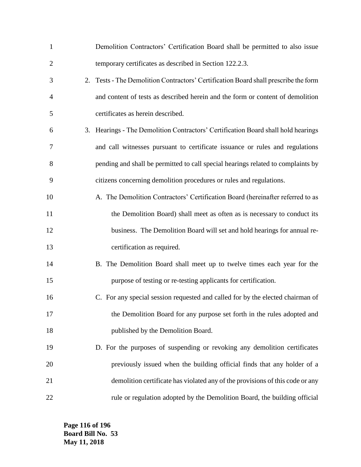| $\mathbf{1}$   | Demolition Contractors' Certification Board shall be permitted to also issue        |
|----------------|-------------------------------------------------------------------------------------|
| $\overline{2}$ | temporary certificates as described in Section 122.2.3.                             |
| 3              | 2. Tests - The Demolition Contractors' Certification Board shall prescribe the form |
| 4              | and content of tests as described herein and the form or content of demolition      |
| 5              | certificates as herein described.                                                   |
| 6              | 3. Hearings - The Demolition Contractors' Certification Board shall hold hearings   |
| 7              | and call witnesses pursuant to certificate issuance or rules and regulations        |
| 8              | pending and shall be permitted to call special hearings related to complaints by    |
| 9              | citizens concerning demolition procedures or rules and regulations.                 |
| 10             | A. The Demolition Contractors' Certification Board (hereinafter referred to as      |
| 11             | the Demolition Board) shall meet as often as is necessary to conduct its            |
| 12             | business. The Demolition Board will set and hold hearings for annual re-            |
| 13             | certification as required.                                                          |
| 14             | B. The Demolition Board shall meet up to twelve times each year for the             |
| 15             | purpose of testing or re-testing applicants for certification.                      |
| 16             | C. For any special session requested and called for by the elected chairman of      |
| 17             | the Demolition Board for any purpose set forth in the rules adopted and             |
| 18             | published by the Demolition Board.                                                  |
| 19             | D. For the purposes of suspending or revoking any demolition certificates           |
| 20             | previously issued when the building official finds that any holder of a             |
| 21             | demolition certificate has violated any of the provisions of this code or any       |
| 22             | rule or regulation adopted by the Demolition Board, the building official           |

**Page 116 of 196 Board Bill No. 53 May 11, 2018**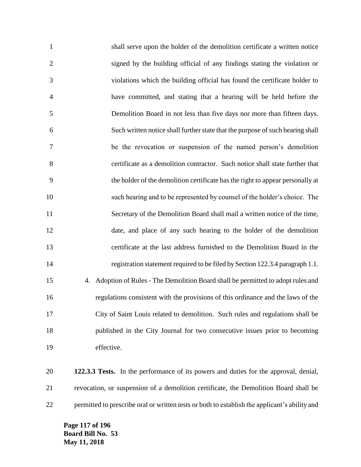shall serve upon the holder of the demolition certificate a written notice signed by the building official of any findings stating the violation or violations which the building official has found the certificate holder to have committed, and stating that a hearing will be held before the Demolition Board in not less than five days nor more than fifteen days. Such written notice shall further state that the purpose of such hearing shall be the revocation or suspension of the named person's demolition certificate as a demolition contractor. Such notice shall state further that the holder of the demolition certificate has the right to appear personally at such hearing and to be represented by counsel of the holder's choice. The Secretary of the Demolition Board shall mail a written notice of the time, date, and place of any such hearing to the holder of the demolition certificate at the last address furnished to the Demolition Board in the registration statement required to be filed by Section 122.3.4 paragraph 1.1. 4. Adoption of Rules - The Demolition Board shall be permitted to adopt rules and regulations consistent with the provisions of this ordinance and the laws of the City of Saint Louis related to demolition. Such rules and regulations shall be published in the City Journal for two consecutive issues prior to becoming effective.

 **122.3.3 Tests.** In the performance of its powers and duties for the approval, denial, revocation, or suspension of a demolition certificate, the Demolition Board shall be permitted to prescribe oral or written tests or both to establish the applicant's ability and

**Page 117 of 196 Board Bill No. 53 May 11, 2018**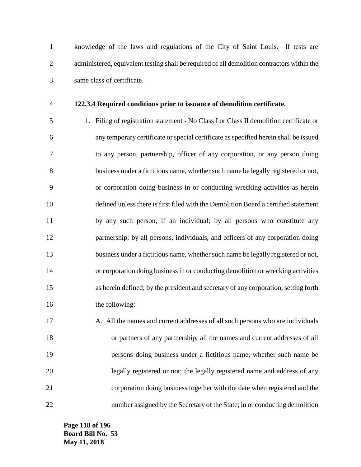knowledge of the laws and regulations of the City of Saint Louis. If tests are administered, equivalent testing shall be required of all demolition contractors within the same class of certificate.

#### **122.3.4 Required conditions prior to issuance of demolition certificate.**

 1. Filing of registration statement - No Class I or Class II demolition certificate or any temporary certificate or special certificate as specified herein shall be issued to any person, partnership, officer of any corporation, or any person doing business under a fictitious name, whether such name be legally registered or not, or corporation doing business in or conducting wrecking activities as herein defined unless there is first filed with the Demolition Board a certified statement by any such person, if an individual; by all persons who constitute any partnership; by all persons, individuals, and officers of any corporation doing business under a fictitious name, whether such name be legally registered or not, or corporation doing business in or conducting demolition or wrecking activities as herein defined; by the president and secretary of any corporation, setting forth 16 the following:

17 A. All the names and current addresses of all such persons who are individuals or partners of any partnership; all the names and current addresses of all persons doing business under a fictitious name, whether such name be legally registered or not; the legally registered name and address of any corporation doing business together with the date when registered and the number assigned by the Secretary of the State; in or conducting demolition

**Page 118 of 196 Board Bill No. 53 May 11, 2018**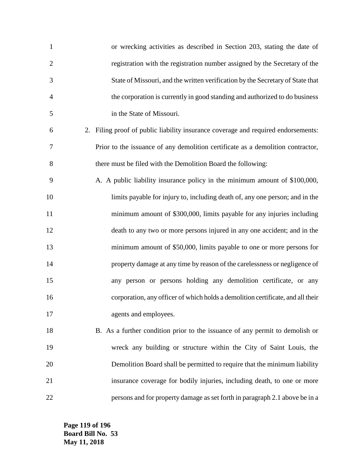| $\mathbf{1}$   | or wrecking activities as described in Section 203, stating the date of           |
|----------------|-----------------------------------------------------------------------------------|
| $\overline{2}$ | registration with the registration number assigned by the Secretary of the        |
| 3              | State of Missouri, and the written verification by the Secretary of State that    |
| 4              | the corporation is currently in good standing and authorized to do business       |
| 5              | in the State of Missouri.                                                         |
| 6              | 2. Filing proof of public liability insurance coverage and required endorsements: |
| 7              | Prior to the issuance of any demolition certificate as a demolition contractor,   |
| 8              | there must be filed with the Demolition Board the following:                      |
| 9              | A. A public liability insurance policy in the minimum amount of \$100,000,        |
| 10             | limits payable for injury to, including death of, any one person; and in the      |
| 11             | minimum amount of \$300,000, limits payable for any injuries including            |
| 12             | death to any two or more persons injured in any one accident; and in the          |
| 13             | minimum amount of \$50,000, limits payable to one or more persons for             |
| 14             | property damage at any time by reason of the carelessness or negligence of        |
| 15             | any person or persons holding any demolition certificate, or any                  |
| 16             | corporation, any officer of which holds a demolition certificate, and all their   |
| 17             | agents and employees.                                                             |
| 18             | B. As a further condition prior to the issuance of any permit to demolish or      |
| 19             | wreck any building or structure within the City of Saint Louis, the               |
| 20             | Demolition Board shall be permitted to require that the minimum liability         |
| 21             | insurance coverage for bodily injuries, including death, to one or more           |
| 22             | persons and for property damage as set forth in paragraph 2.1 above be in a       |

**Page 119 of 196 Board Bill No. 53 May 11, 2018**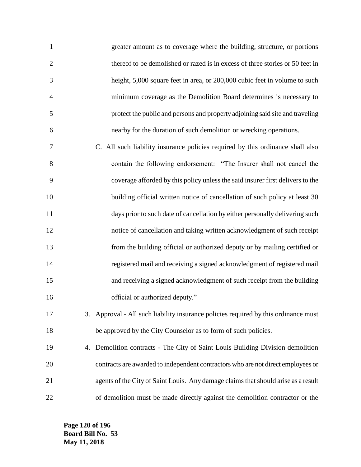| $\mathbf{1}$   | greater amount as to coverage where the building, structure, or portions      |
|----------------|-------------------------------------------------------------------------------|
| 2              | thereof to be demolished or razed is in excess of three stories or 50 feet in |
| 3              | height, 5,000 square feet in area, or 200,000 cubic feet in volume to such    |
| $\overline{4}$ | minimum coverage as the Demolition Board determines is necessary to           |
| 5              | protect the public and persons and property adjoining said site and traveling |
| 6              | nearby for the duration of such demolition or wrecking operations.            |
|                |                                                                               |

 C. All such liability insurance policies required by this ordinance shall also contain the following endorsement: "The Insurer shall not cancel the coverage afforded by this policy unless the said insurer first delivers to the 10 building official written notice of cancellation of such policy at least 30 days prior to such date of cancellation by either personally delivering such notice of cancellation and taking written acknowledgment of such receipt from the building official or authorized deputy or by mailing certified or registered mail and receiving a signed acknowledgment of registered mail and receiving a signed acknowledgment of such receipt from the building 16 official or authorized deputy."

 3. Approval - All such liability insurance policies required by this ordinance must be approved by the City Counselor as to form of such policies.

 4. Demolition contracts - The City of Saint Louis Building Division demolition contracts are awarded to independent contractors who are not direct employees or agents of the City of Saint Louis. Any damage claims that should arise as a result of demolition must be made directly against the demolition contractor or the

**Page 120 of 196 Board Bill No. 53 May 11, 2018**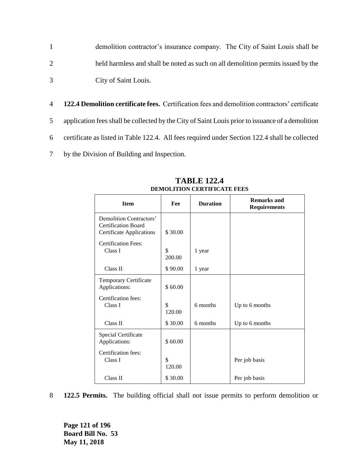- 1 demolition contractor's insurance company. The City of Saint Louis shall be 2 held harmless and shall be noted as such on all demolition permits issued by the 3 City of Saint Louis.
- 4 **122.4 Demolition certificate fees.** Certification fees and demolition contractors' certificate 5 application fees shall be collected by the City of Saint Louis prior to issuance of a demolition 6 certificate as listed in Table 122.4. All fees required under Section 122.4 shall be collected 7 by the Division of Building and Inspection.

| <b>Item</b>                                                                              | Fee          | <b>Duration</b> | <b>Remarks and</b><br><b>Requirements</b> |
|------------------------------------------------------------------------------------------|--------------|-----------------|-------------------------------------------|
| Demolition Contractors'<br><b>Certification Board</b><br><b>Certificate Applications</b> | \$30.00      |                 |                                           |
| <b>Certification Fees:</b><br>Class I                                                    | \$<br>200.00 | 1 year          |                                           |
| Class II                                                                                 | \$90.00      | 1 year          |                                           |
| Temporary Certificate<br>Applications:                                                   | \$60.00      |                 |                                           |
| Certification fees:<br>Class I                                                           | \$<br>120.00 | 6 months        | Up to 6 months                            |
| Class II                                                                                 | \$30.00      | 6 months        | Up to 6 months                            |
| Special Certificate<br>Applications:                                                     | \$60.00      |                 |                                           |
| Certification fees:<br>Class I                                                           | \$<br>120.00 |                 | Per job basis                             |
| Class II                                                                                 | \$30.00      |                 | Per job basis                             |

**TABLE 122.4 DEMOLITION CERTIFICATE FEES**

8 **122.5 Permits.** The building official shall not issue permits to perform demolition or

**Page 121 of 196 Board Bill No. 53 May 11, 2018**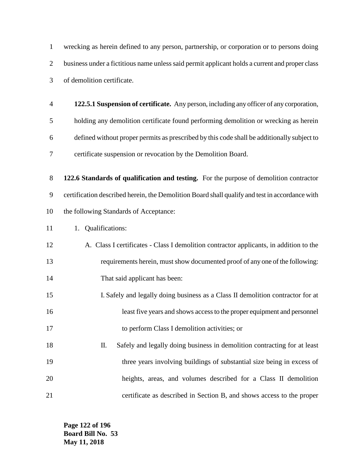wrecking as herein defined to any person, partnership, or corporation or to persons doing business under a fictitious name unless said permit applicant holds a current and proper class of demolition certificate.

 **122.5.1 Suspension of certificate.** Any person, including any officer of any corporation, holding any demolition certificate found performing demolition or wrecking as herein defined without proper permits as prescribed by this code shall be additionally subject to certificate suspension or revocation by the Demolition Board.

 **122.6 Standards of qualification and testing.** For the purpose of demolition contractor certification described herein, the Demolition Board shall qualify and test in accordance with the following Standards of Acceptance:

- 11 1. Qualifications:
- A. Class I certificates Class I demolition contractor applicants, in addition to the requirements herein, must show documented proof of any one of the following: 14 That said applicant has been:
- I. Safely and legally doing business as a Class II demolition contractor for at least five years and shows access to the proper equipment and personnel to perform Class I demolition activities; or
- II. Safely and legally doing business in demolition contracting for at least 19 three years involving buildings of substantial size being in excess of heights, areas, and volumes described for a Class II demolition certificate as described in Section B, and shows access to the proper

**Page 122 of 196 Board Bill No. 53 May 11, 2018**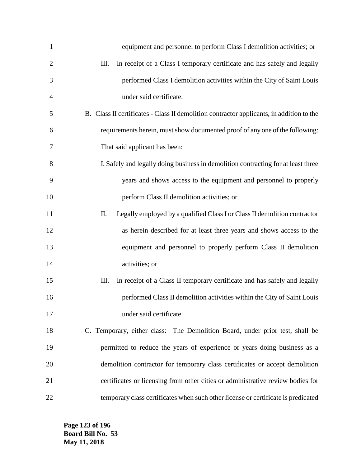| $\mathbf{1}$   | equipment and personnel to perform Class I demolition activities; or                     |
|----------------|------------------------------------------------------------------------------------------|
| $\overline{2}$ | Ш.<br>In receipt of a Class I temporary certificate and has safely and legally           |
| 3              | performed Class I demolition activities within the City of Saint Louis                   |
| 4              | under said certificate.                                                                  |
| 5              | B. Class II certificates - Class II demolition contractor applicants, in addition to the |
| 6              | requirements herein, must show documented proof of any one of the following:             |
| 7              | That said applicant has been:                                                            |
| 8              | I. Safely and legally doing business in demolition contracting for at least three        |
| 9              | years and shows access to the equipment and personnel to properly                        |
| 10             | perform Class II demolition activities; or                                               |
| 11             | Legally employed by a qualified Class I or Class II demolition contractor<br>Π.          |
| 12             | as herein described for at least three years and shows access to the                     |
| 13             | equipment and personnel to properly perform Class II demolition                          |
| 14             | activities; or                                                                           |
| 15             | In receipt of a Class II temporary certificate and has safely and legally<br>Ш.          |
| 16             | performed Class II demolition activities within the City of Saint Louis                  |
| 17             | under said certificate.                                                                  |
| 18             | C. Temporary, either class: The Demolition Board, under prior test, shall be             |
| 19             | permitted to reduce the years of experience or years doing business as a                 |
| 20             | demolition contractor for temporary class certificates or accept demolition              |
| 21             | certificates or licensing from other cities or administrative review bodies for          |
| 22             | temporary class certificates when such other license or certificate is predicated        |

**Page 123 of 196 Board Bill No. 53 May 11, 2018**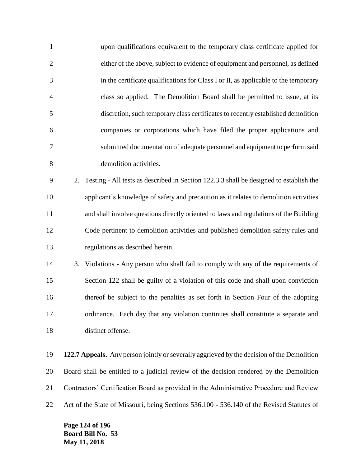| $\mathbf{1}$   | upon qualifications equivalent to the temporary class certificate applied for                |
|----------------|----------------------------------------------------------------------------------------------|
| $\overline{2}$ | either of the above, subject to evidence of equipment and personnel, as defined              |
| 3              | in the certificate qualifications for Class I or II, as applicable to the temporary          |
| 4              | class so applied. The Demolition Board shall be permitted to issue, at its                   |
| 5              | discretion, such temporary class certificates to recently established demolition             |
| 6              | companies or corporations which have filed the proper applications and                       |
| 7              | submitted documentation of adequate personnel and equipment to perform said                  |
| 8              | demolition activities.                                                                       |
| 9              | Testing - All tests as described in Section 122.3.3 shall be designed to establish the<br>2. |
| 10             | applicant's knowledge of safety and precaution as it relates to demolition activities        |
| 11             | and shall involve questions directly oriented to laws and regulations of the Building        |
| 12             | Code pertinent to demolition activities and published demolition safety rules and            |
| 13             | regulations as described herein.                                                             |
| 14             | 3. Violations - Any person who shall fail to comply with any of the requirements of          |
| 15             | Section 122 shall be guilty of a violation of this code and shall upon conviction            |
| 16             | thereof be subject to the penalties as set forth in Section Four of the adopting             |
| 17             | ordinance. Each day that any violation continues shall constitute a separate and             |
| 18             | distinct offense.                                                                            |
| 19             | 122.7 Appeals. Any person jointly or severally aggrieved by the decision of the Demolition   |
| 20             | Board shall be entitled to a judicial review of the decision rendered by the Demolition      |
|                |                                                                                              |

Contractors' Certification Board as provided in the Administrative Procedure and Review

Act of the State of Missouri, being Sections 536.100 - 536.140 of the Revised Statutes of

**Page 124 of 196 Board Bill No. 53 May 11, 2018**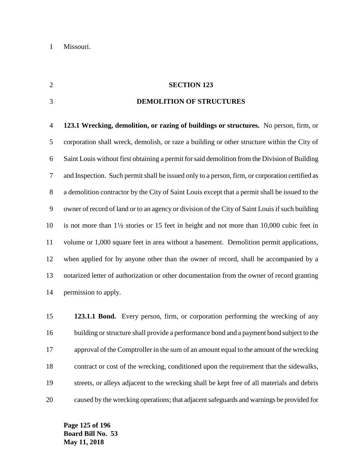#### **SECTION 123**

### **DEMOLITION OF STRUCTURES**

 **123.1 Wrecking, demolition, or razing of buildings or structures.** No person, firm, or corporation shall wreck, demolish, or raze a building or other structure within the City of Saint Louis without first obtaining a permit for said demolition from the Division of Building and Inspection. Such permit shall be issued only to a person, firm, or corporation certified as a demolition contractor by the City of Saint Louis except that a permit shall be issued to the owner of record of land or to an agency or division of the City of Saint Louis if such building 10 is not more than  $1\frac{1}{2}$  stories or 15 feet in height and not more than 10,000 cubic feet in volume or 1,000 square feet in area without a basement. Demolition permit applications, when applied for by anyone other than the owner of record, shall be accompanied by a notarized letter of authorization or other documentation from the owner of record granting permission to apply.

 **123.1.1 Bond.** Every person, firm, or corporation performing the wrecking of any building or structure shall provide a performance bond and a payment bond subject to the approval of the Comptroller in the sum of an amount equal to the amount of the wrecking contract or cost of the wrecking, conditioned upon the requirement that the sidewalks, streets, or alleys adjacent to the wrecking shall be kept free of all materials and debris caused by the wrecking operations; that adjacent safeguards and warnings be provided for

**Page 125 of 196 Board Bill No. 53 May 11, 2018**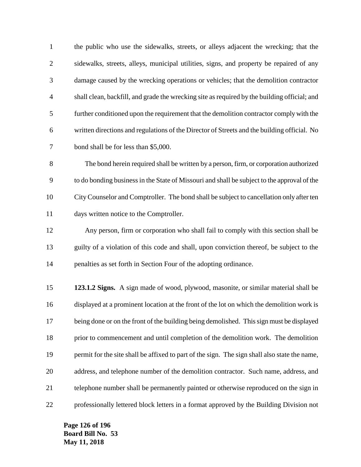| $\mathbf{1}$   | the public who use the sidewalks, streets, or alleys adjacent the wrecking; that the          |
|----------------|-----------------------------------------------------------------------------------------------|
| $\mathbf{2}$   | sidewalks, streets, alleys, municipal utilities, signs, and property be repaired of any       |
| 3              | damage caused by the wrecking operations or vehicles; that the demolition contractor          |
| $\overline{4}$ | shall clean, backfill, and grade the wrecking site as required by the building official; and  |
| 5              | further conditioned upon the requirement that the demolition contractor comply with the       |
| 6              | written directions and regulations of the Director of Streets and the building official. No   |
| 7              | bond shall be for less than \$5,000.                                                          |
| 8              | The bond herein required shall be written by a person, firm, or corporation authorized        |
| 9              | to do bonding business in the State of Missouri and shall be subject to the approval of the   |
| 10             | City Counselor and Comptroller. The bond shall be subject to cancellation only after ten      |
| 11             | days written notice to the Comptroller.                                                       |
| 12             | Any person, firm or corporation who shall fail to comply with this section shall be           |
| 13             | guilty of a violation of this code and shall, upon conviction thereof, be subject to the      |
| 14             | penalties as set forth in Section Four of the adopting ordinance.                             |
| 15             | 123.1.2 Signs. A sign made of wood, plywood, masonite, or similar material shall be           |
| 16             | displayed at a prominent location at the front of the lot on which the demolition work is     |
| 17             | being done or on the front of the building being demolished. This sign must be displayed      |
| 18             | prior to commencement and until completion of the demolition work. The demolition             |
| 19             | permit for the site shall be affixed to part of the sign. The sign shall also state the name, |
| 20             | address, and telephone number of the demolition contractor. Such name, address, and           |
| 21             | telephone number shall be permanently painted or otherwise reproduced on the sign in          |
| 22             | professionally lettered block letters in a format approved by the Building Division not       |

**Page 126 of 196 Board Bill No. 53 May 11, 2018**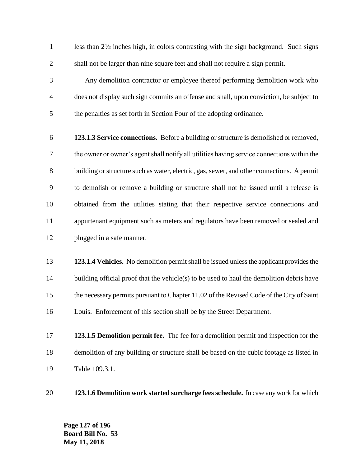1 less than 2<sup>1/2</sup> inches high, in colors contrasting with the sign background. Such signs shall not be larger than nine square feet and shall not require a sign permit.

 Any demolition contractor or employee thereof performing demolition work who does not display such sign commits an offense and shall, upon conviction, be subject to the penalties as set forth in Section Four of the adopting ordinance.

- **123.1.3 Service connections.** Before a building or structure is demolished or removed, the owner or owner's agent shall notify all utilities having service connections within the building or structure such as water, electric, gas, sewer, and other connections. A permit to demolish or remove a building or structure shall not be issued until a release is obtained from the utilities stating that their respective service connections and appurtenant equipment such as meters and regulators have been removed or sealed and plugged in a safe manner.
- **123.1.4 Vehicles.** No demolition permit shall be issued unless the applicant provides the 14 building official proof that the vehicle(s) to be used to haul the demolition debris have the necessary permits pursuant to Chapter 11.02 of the Revised Code of the City of Saint Louis. Enforcement of this section shall be by the Street Department.
- **123.1.5 Demolition permit fee.** The fee for a demolition permit and inspection for the demolition of any building or structure shall be based on the cubic footage as listed in Table 109.3.1.
- **123.1.6 Demolition work started surcharge fees schedule.** In case any work for which

**Page 127 of 196 Board Bill No. 53 May 11, 2018**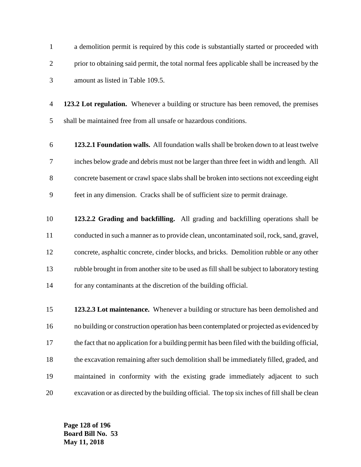a demolition permit is required by this code is substantially started or proceeded with prior to obtaining said permit, the total normal fees applicable shall be increased by the amount as listed in Table 109.5.

 **123.2 Lot regulation.** Whenever a building or structure has been removed, the premises shall be maintained free from all unsafe or hazardous conditions.

- **123.2.1 Foundation walls.** All foundation walls shall be broken down to at least twelve inches below grade and debris must not be larger than three feet in width and length. All concrete basement or crawl space slabs shall be broken into sections not exceeding eight feet in any dimension. Cracks shall be of sufficient size to permit drainage.
- **123.2.2 Grading and backfilling.** All grading and backfilling operations shall be conducted in such a manner as to provide clean, uncontaminated soil, rock, sand, gravel, concrete, asphaltic concrete, cinder blocks, and bricks. Demolition rubble or any other rubble brought in from another site to be used as fill shall be subject to laboratory testing for any contaminants at the discretion of the building official.
- **123.2.3 Lot maintenance.** Whenever a building or structure has been demolished and no building or construction operation has been contemplated or projected as evidenced by the fact that no application for a building permit has been filed with the building official, the excavation remaining after such demolition shall be immediately filled, graded, and maintained in conformity with the existing grade immediately adjacent to such excavation or as directed by the building official. The top six inches of fill shall be clean

**Page 128 of 196 Board Bill No. 53 May 11, 2018**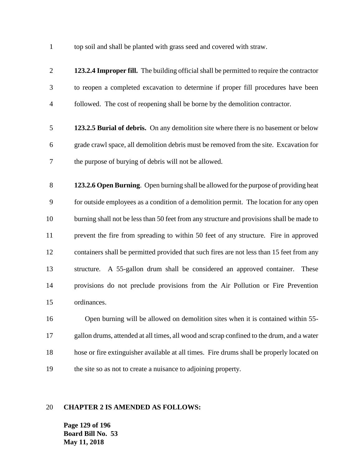top soil and shall be planted with grass seed and covered with straw.

 **123.2.4 Improper fill.** The building official shall be permitted to require the contractor to reopen a completed excavation to determine if proper fill procedures have been followed. The cost of reopening shall be borne by the demolition contractor. **123.2.5 Burial of debris.** On any demolition site where there is no basement or below grade crawl space, all demolition debris must be removed from the site. Excavation for the purpose of burying of debris will not be allowed. **123.2.6 Open Burning**. Open burning shall be allowed for the purpose of providing heat for outside employees as a condition of a demolition permit. The location for any open burning shall not be less than 50 feet from any structure and provisions shall be made to prevent the fire from spreading to within 50 feet of any structure. Fire in approved containers shall be permitted provided that such fires are not less than 15 feet from any structure. A 55-gallon drum shall be considered an approved container. These provisions do not preclude provisions from the Air Pollution or Fire Prevention ordinances. Open burning will be allowed on demolition sites when it is contained within 55- gallon drums, attended at all times, all wood and scrap confined to the drum, and a water hose or fire extinguisher available at all times. Fire drums shall be properly located on the site so as not to create a nuisance to adjoining property.

#### **CHAPTER 2 IS AMENDED AS FOLLOWS:**

**Page 129 of 196 Board Bill No. 53 May 11, 2018**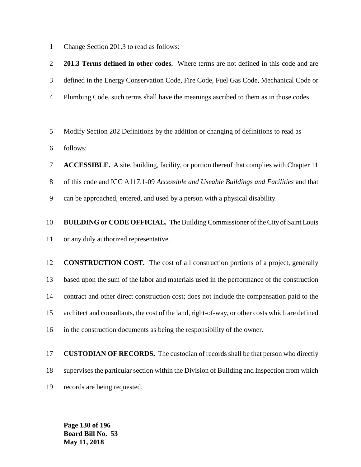Change Section 201.3 to read as follows:

 **201.3 Terms defined in other codes.** Where terms are not defined in this code and are defined in the Energy Conservation Code, Fire Code, Fuel Gas Code, Mechanical Code or Plumbing Code, such terms shall have the meanings ascribed to them as in those codes. Modify Section 202 Definitions by the addition or changing of definitions to read as follows: **ACCESSIBLE.** A site, building, facility, or portion thereof that complies with Chapter 11 of this code and ICC A117.1-09 *Accessible and Useable Buildings and Facilities* and that can be approached, entered, and used by a person with a physical disability. **BUILDING or CODE OFFICIAL.** The Building Commissioner of the City of Saint Louis or any duly authorized representative. **CONSTRUCTION COST.** The cost of all construction portions of a project, generally based upon the sum of the labor and materials used in the performance of the construction contract and other direct construction cost; does not include the compensation paid to the architect and consultants, the cost of the land, right-of-way, or other costs which are defined in the construction documents as being the responsibility of the owner.

 **CUSTODIAN OF RECORDS.** The custodian of records shall be that person who directly supervises the particular section within the Division of Building and Inspection from which records are being requested.

**Page 130 of 196 Board Bill No. 53 May 11, 2018**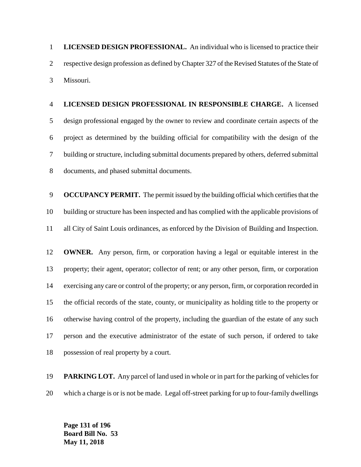**LICENSED DESIGN PROFESSIONAL.** An individual who is licensed to practice their respective design profession as defined by Chapter 327 of the Revised Statutes of the State of Missouri.

 **LICENSED DESIGN PROFESSIONAL IN RESPONSIBLE CHARGE.** A licensed design professional engaged by the owner to review and coordinate certain aspects of the project as determined by the building official for compatibility with the design of the building or structure, including submittal documents prepared by others, deferred submittal documents, and phased submittal documents.

 **OCCUPANCY PERMIT.** The permit issued by the building official which certifies that the building or structure has been inspected and has complied with the applicable provisions of all City of Saint Louis ordinances, as enforced by the Division of Building and Inspection.

 **OWNER.** Any person, firm, or corporation having a legal or equitable interest in the property; their agent, operator; collector of rent; or any other person, firm, or corporation exercising any care or control of the property; or any person, firm, or corporation recorded in the official records of the state, county, or municipality as holding title to the property or otherwise having control of the property, including the guardian of the estate of any such person and the executive administrator of the estate of such person, if ordered to take possession of real property by a court.

 **PARKING LOT.** Any parcel of land used in whole or in part for the parking of vehicles for which a charge is or is not be made. Legal off-street parking for up to four-family dwellings

**Page 131 of 196 Board Bill No. 53 May 11, 2018**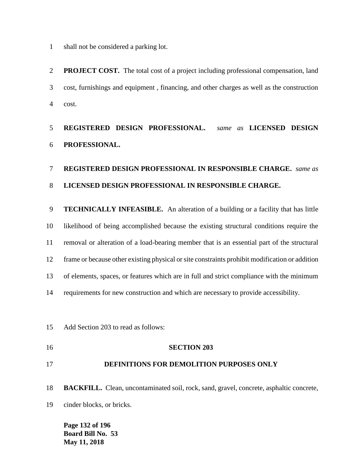shall not be considered a parking lot.

 **PROJECT COST.** The total cost of a project including professional compensation, land cost, furnishings and equipment , financing, and other charges as well as the construction cost.

## **REGISTERED DESIGN PROFESSIONAL.** *same as* **LICENSED DESIGN PROFESSIONAL.**

## **REGISTERED DESIGN PROFESSIONAL IN RESPONSIBLE CHARGE.** *same as*  **LICENSED DESIGN PROFESSIONAL IN RESPONSIBLE CHARGE.**

 **TECHNICALLY INFEASIBLE.** An alteration of a building or a facility that has little likelihood of being accomplished because the existing structural conditions require the removal or alteration of a load-bearing member that is an essential part of the structural frame or because other existing physical or site constraints prohibit modification or addition of elements, spaces, or features which are in full and strict compliance with the minimum requirements for new construction and which are necessary to provide accessibility.

Add Section 203 to read as follows:

## **SECTION 203**

## **DEFINITIONS FOR DEMOLITION PURPOSES ONLY**

**BACKFILL.** Clean, uncontaminated soil, rock, sand, gravel, concrete, asphaltic concrete,

cinder blocks, or bricks.

**Page 132 of 196 Board Bill No. 53 May 11, 2018**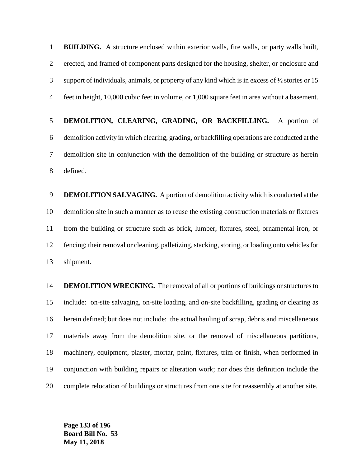**BUILDING.** A structure enclosed within exterior walls, fire walls, or party walls built, erected, and framed of component parts designed for the housing, shelter, or enclosure and support of individuals, animals, or property of any kind which is in excess of ½ stories or 15 feet in height, 10,000 cubic feet in volume, or 1,000 square feet in area without a basement.

 **DEMOLITION, CLEARING, GRADING, OR BACKFILLING.** A portion of demolition activity in which clearing, grading, or backfilling operations are conducted at the demolition site in conjunction with the demolition of the building or structure as herein defined.

 **DEMOLITION SALVAGING.** A portion of demolition activity which is conducted at the demolition site in such a manner as to reuse the existing construction materials or fixtures from the building or structure such as brick, lumber, fixtures, steel, ornamental iron, or fencing; their removal or cleaning, palletizing, stacking, storing, or loading onto vehicles for shipment.

 **DEMOLITION WRECKING.** The removal of all or portions of buildings or structures to include: on-site salvaging, on-site loading, and on-site backfilling, grading or clearing as herein defined; but does not include: the actual hauling of scrap, debris and miscellaneous materials away from the demolition site, or the removal of miscellaneous partitions, machinery, equipment, plaster, mortar, paint, fixtures, trim or finish, when performed in conjunction with building repairs or alteration work; nor does this definition include the complete relocation of buildings or structures from one site for reassembly at another site.

**Page 133 of 196 Board Bill No. 53 May 11, 2018**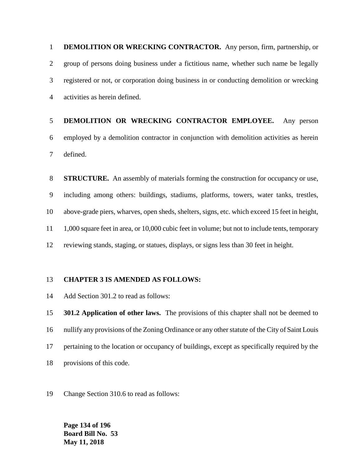**DEMOLITION OR WRECKING CONTRACTOR.** Any person, firm, partnership, or group of persons doing business under a fictitious name, whether such name be legally registered or not, or corporation doing business in or conducting demolition or wrecking activities as herein defined.

# **DEMOLITION OR WRECKING CONTRACTOR EMPLOYEE.** Any person employed by a demolition contractor in conjunction with demolition activities as herein defined.

 **STRUCTURE.** An assembly of materials forming the construction for occupancy or use, including among others: buildings, stadiums, platforms, towers, water tanks, trestles, above-grade piers, wharves, open sheds, shelters, signs, etc. which exceed 15 feet in height, 1,000 square feet in area, or 10,000 cubic feet in volume; but not to include tents, temporary reviewing stands, staging, or statues, displays, or signs less than 30 feet in height.

### **CHAPTER 3 IS AMENDED AS FOLLOWS:**

Add Section 301.2 to read as follows:

 **301.2 Application of other laws.** The provisions of this chapter shall not be deemed to nullify any provisions of the Zoning Ordinance or any other statute of the City of Saint Louis pertaining to the location or occupancy of buildings, except as specifically required by the provisions of this code.

Change Section 310.6 to read as follows:

**Page 134 of 196 Board Bill No. 53 May 11, 2018**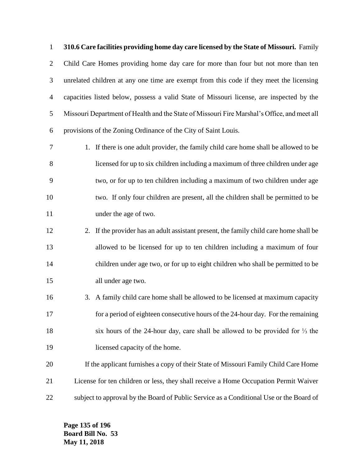**310.6 Care facilities providing home day care licensed by the State of Missouri.** Family Child Care Homes providing home day care for more than four but not more than ten unrelated children at any one time are exempt from this code if they meet the licensing capacities listed below, possess a valid State of Missouri license, are inspected by the Missouri Department of Health and the State of Missouri Fire Marshal's Office, and meet all provisions of the Zoning Ordinance of the City of Saint Louis.

- 1. If there is one adult provider, the family child care home shall be allowed to be licensed for up to six children including a maximum of three children under age two, or for up to ten children including a maximum of two children under age two. If only four children are present, all the children shall be permitted to be under the age of two.
- 2. If the provider has an adult assistant present, the family child care home shall be allowed to be licensed for up to ten children including a maximum of four children under age two, or for up to eight children who shall be permitted to be all under age two.
- 3. A family child care home shall be allowed to be licensed at maximum capacity for a period of eighteen consecutive hours of the 24-hour day. For the remaining six hours of the 24-hour day, care shall be allowed to be provided for ⅓ the licensed capacity of the home.
- If the applicant furnishes a copy of their State of Missouri Family Child Care Home License for ten children or less, they shall receive a Home Occupation Permit Waiver subject to approval by the Board of Public Service as a Conditional Use or the Board of

**Page 135 of 196 Board Bill No. 53 May 11, 2018**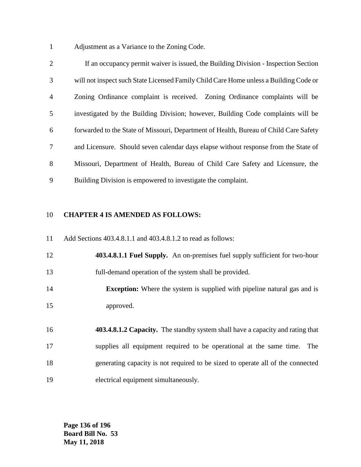Adjustment as a Variance to the Zoning Code.

 If an occupancy permit waiver is issued, the Building Division - Inspection Section will not inspect such State Licensed Family Child Care Home unless a Building Code or Zoning Ordinance complaint is received. Zoning Ordinance complaints will be investigated by the Building Division; however, Building Code complaints will be forwarded to the State of Missouri, Department of Health, Bureau of Child Care Safety and Licensure. Should seven calendar days elapse without response from the State of Missouri, Department of Health, Bureau of Child Care Safety and Licensure, the Building Division is empowered to investigate the complaint.

### **CHAPTER 4 IS AMENDED AS FOLLOWS:**

Add Sections 403.4.8.1.1 and 403.4.8.1.2 to read as follows:

 **403.4.8.1.1 Fuel Supply.** An on-premises fuel supply sufficient for two-hour full-demand operation of the system shall be provided.

 **Exception:** Where the system is supplied with pipeline natural gas and is approved.

 **403.4.8.1.2 Capacity.** The standby system shall have a capacity and rating that supplies all equipment required to be operational at the same time. The generating capacity is not required to be sized to operate all of the connected electrical equipment simultaneously.

**Page 136 of 196 Board Bill No. 53 May 11, 2018**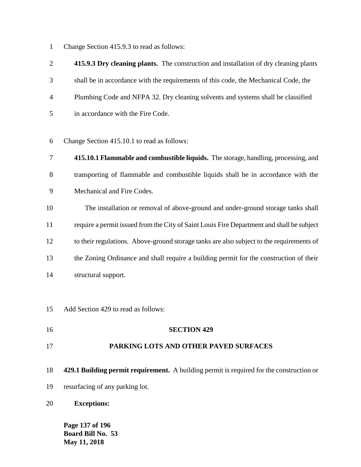Change Section 415.9.3 to read as follows:

 **415.9.3 Dry cleaning plants.** The construction and installation of dry cleaning plants shall be in accordance with the requirements of this code, the Mechanical Code, the Plumbing Code and NFPA 32. Dry cleaning solvents and systems shall be classified in accordance with the Fire Code.

Change Section 415.10.1 to read as follows:

- **415.10.1 Flammable and combustible liquids.** The storage, handling, processing, and transporting of flammable and combustible liquids shall be in accordance with the Mechanical and Fire Codes.
- The installation or removal of above-ground and under-ground storage tanks shall require a permit issued from the City of Saint Louis Fire Department and shall be subject to their regulations. Above-ground storage tanks are also subject to the requirements of the Zoning Ordinance and shall require a building permit for the construction of their structural support.
- Add Section 429 to read as follows:
- **SECTION 429**

### **PARKING LOTS AND OTHER PAVED SURFACES**

- **429.1 Building permit requirement.** A building permit is required for the construction or
- resurfacing of any parking lot.
- **Exceptions:**

**Page 137 of 196 Board Bill No. 53 May 11, 2018**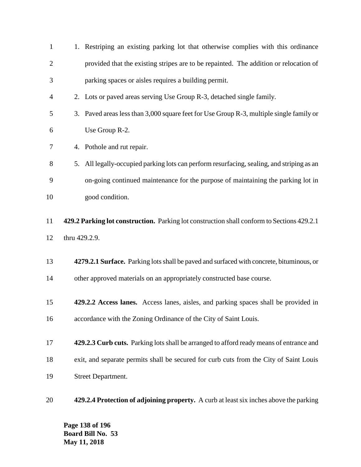| $\mathbf{1}$   |                                                                                          | 1. Restriping an existing parking lot that otherwise complies with this ordinance          |  |  |  |  |
|----------------|------------------------------------------------------------------------------------------|--------------------------------------------------------------------------------------------|--|--|--|--|
| $\overline{2}$ | provided that the existing stripes are to be repainted. The addition or relocation of    |                                                                                            |  |  |  |  |
| 3              | parking spaces or aisles requires a building permit.                                     |                                                                                            |  |  |  |  |
| 4              | 2. Lots or paved areas serving Use Group R-3, detached single family.                    |                                                                                            |  |  |  |  |
| 5              | 3. Paved areas less than 3,000 square feet for Use Group R-3, multiple single family or  |                                                                                            |  |  |  |  |
| 6              |                                                                                          | Use Group R-2.                                                                             |  |  |  |  |
| 7              |                                                                                          | 4. Pothole and rut repair.                                                                 |  |  |  |  |
| 8              | 5.                                                                                       | All legally-occupied parking lots can perform resurfacing, sealing, and striping as an     |  |  |  |  |
| 9              |                                                                                          | on-going continued maintenance for the purpose of maintaining the parking lot in           |  |  |  |  |
| 10             |                                                                                          | good condition.                                                                            |  |  |  |  |
| 11             |                                                                                          | 429.2 Parking lot construction. Parking lot construction shall conform to Sections 429.2.1 |  |  |  |  |
| 12             | thru 429.2.9.                                                                            |                                                                                            |  |  |  |  |
| 13             |                                                                                          |                                                                                            |  |  |  |  |
|                | 4279.2.1 Surface. Parking lots shall be paved and surfaced with concrete, bituminous, or |                                                                                            |  |  |  |  |
| 14             | other approved materials on an appropriately constructed base course.                    |                                                                                            |  |  |  |  |
| 15             |                                                                                          | 429.2.2 Access lanes. Access lanes, aisles, and parking spaces shall be provided in        |  |  |  |  |
| 16             | accordance with the Zoning Ordinance of the City of Saint Louis.                         |                                                                                            |  |  |  |  |
| 17             |                                                                                          | 429.2.3 Curb cuts. Parking lots shall be arranged to afford ready means of entrance and    |  |  |  |  |
| 18             |                                                                                          |                                                                                            |  |  |  |  |
|                |                                                                                          | exit, and separate permits shall be secured for curb cuts from the City of Saint Louis     |  |  |  |  |
| 19             |                                                                                          | <b>Street Department.</b>                                                                  |  |  |  |  |
| 20             |                                                                                          | 429.2.4 Protection of adjoining property. A curb at least six inches above the parking     |  |  |  |  |

**Page 138 of 196 Board Bill No. 53 May 11, 2018**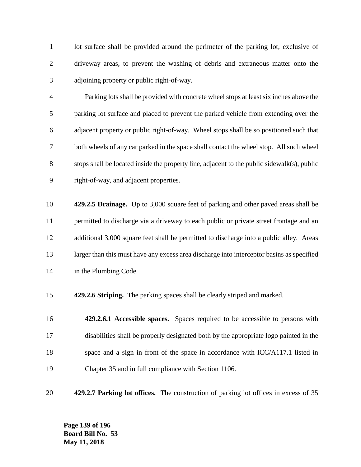1 lot surface shall be provided around the perimeter of the parking lot, exclusive of driveway areas, to prevent the washing of debris and extraneous matter onto the adjoining property or public right-of-way.

 Parking lots shall be provided with concrete wheel stops at least six inches above the parking lot surface and placed to prevent the parked vehicle from extending over the adjacent property or public right-of-way. Wheel stops shall be so positioned such that both wheels of any car parked in the space shall contact the wheel stop. All such wheel stops shall be located inside the property line, adjacent to the public sidewalk(s), public right-of-way, and adjacent properties.

 **429.2.5 Drainage.** Up to 3,000 square feet of parking and other paved areas shall be permitted to discharge via a driveway to each public or private street frontage and an additional 3,000 square feet shall be permitted to discharge into a public alley. Areas 13 larger than this must have any excess area discharge into interceptor basins as specified in the Plumbing Code.

**429.2.6 Striping.** The parking spaces shall be clearly striped and marked.

 **429.2.6.1 Accessible spaces.** Spaces required to be accessible to persons with disabilities shall be properly designated both by the appropriate logo painted in the 18 space and a sign in front of the space in accordance with ICC/A117.1 listed in Chapter 35 and in full compliance with Section 1106.

**429.2.7 Parking lot offices.** The construction of parking lot offices in excess of 35

**Page 139 of 196 Board Bill No. 53 May 11, 2018**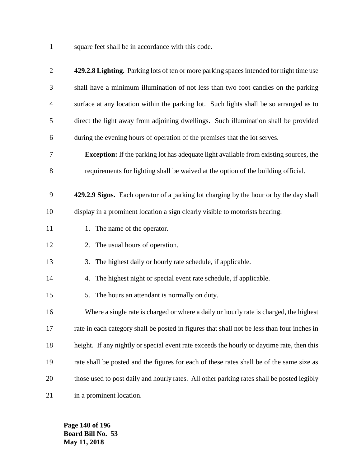square feet shall be in accordance with this code.

| $\mathbf{2}$   | 429.2.8 Lighting. Parking lots of ten or more parking spaces intended for night time use     |
|----------------|----------------------------------------------------------------------------------------------|
| 3              | shall have a minimum illumination of not less than two foot candles on the parking           |
| $\overline{4}$ | surface at any location within the parking lot. Such lights shall be so arranged as to       |
| 5              | direct the light away from adjoining dwellings. Such illumination shall be provided          |
| 6              | during the evening hours of operation of the premises that the lot serves.                   |
| 7              | <b>Exception:</b> If the parking lot has adequate light available from existing sources, the |
| $8\,$          | requirements for lighting shall be waived at the option of the building official.            |
| 9              | 429.2.9 Signs. Each operator of a parking lot charging by the hour or by the day shall       |
| 10             | display in a prominent location a sign clearly visible to motorists bearing:                 |
| 11             | 1. The name of the operator.                                                                 |
| 12             | 2. The usual hours of operation.                                                             |
| 13             | The highest daily or hourly rate schedule, if applicable.<br>3.                              |
| 14             | 4. The highest night or special event rate schedule, if applicable.                          |
| 15             | The hours an attendant is normally on duty.<br>5.                                            |
| 16             | Where a single rate is charged or where a daily or hourly rate is charged, the highest       |
| 17             | rate in each category shall be posted in figures that shall not be less than four inches in  |
| 18             | height. If any nightly or special event rate exceeds the hourly or daytime rate, then this   |
| 19             | rate shall be posted and the figures for each of these rates shall be of the same size as    |
| 20             | those used to post daily and hourly rates. All other parking rates shall be posted legibly   |
| 21             | in a prominent location.                                                                     |

**Page 140 of 196 Board Bill No. 53 May 11, 2018**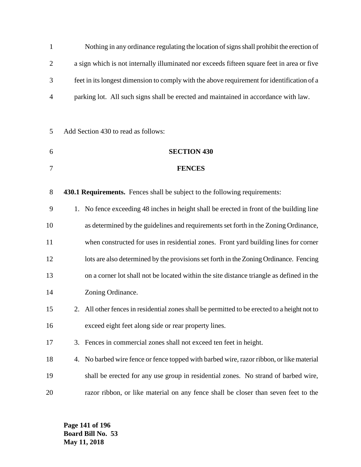| $\mathbf{1}$   | Nothing in any ordinance regulating the location of signs shall prohibit the erection of   |                                                                                              |  |  |
|----------------|--------------------------------------------------------------------------------------------|----------------------------------------------------------------------------------------------|--|--|
| $\overline{2}$ |                                                                                            | a sign which is not internally illuminated nor exceeds fifteen square feet in area or five   |  |  |
| 3              | feet in its longest dimension to comply with the above requirement for identification of a |                                                                                              |  |  |
| $\overline{4}$ |                                                                                            | parking lot. All such signs shall be erected and maintained in accordance with law.          |  |  |
|                |                                                                                            |                                                                                              |  |  |
| 5              |                                                                                            | Add Section 430 to read as follows:                                                          |  |  |
| 6              |                                                                                            | <b>SECTION 430</b>                                                                           |  |  |
| 7              |                                                                                            | <b>FENCES</b>                                                                                |  |  |
| 8              |                                                                                            | 430.1 Requirements. Fences shall be subject to the following requirements:                   |  |  |
| 9              | 1.                                                                                         | No fence exceeding 48 inches in height shall be erected in front of the building line        |  |  |
| 10             |                                                                                            | as determined by the guidelines and requirements set forth in the Zoning Ordinance,          |  |  |
| 11             |                                                                                            | when constructed for uses in residential zones. Front yard building lines for corner         |  |  |
| 12             |                                                                                            | lots are also determined by the provisions set forth in the Zoning Ordinance. Fencing        |  |  |
| 13             | on a corner lot shall not be located within the site distance triangle as defined in the   |                                                                                              |  |  |
| 14             |                                                                                            | Zoning Ordinance.                                                                            |  |  |
| 15             |                                                                                            | 2. All other fences in residential zones shall be permitted to be erected to a height not to |  |  |
| 16             |                                                                                            | exceed eight feet along side or rear property lines.                                         |  |  |
| 17             | 3.                                                                                         | Fences in commercial zones shall not exceed ten feet in height.                              |  |  |
| 18             | 4.                                                                                         | No barbed wire fence or fence topped with barbed wire, razor ribbon, or like material        |  |  |
| 19             |                                                                                            | shall be erected for any use group in residential zones. No strand of barbed wire,           |  |  |
| 20             |                                                                                            | razor ribbon, or like material on any fence shall be closer than seven feet to the           |  |  |

**Page 141 of 196 Board Bill No. 53 May 11, 2018**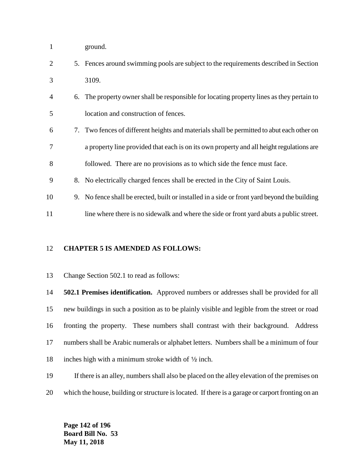- ground.
- 5. Fences around swimming pools are subject to the requirements described in Section 3109.
- 6. The property owner shall be responsible for locating property lines as they pertain to location and construction of fences.
- 7. Two fences of different heights and materials shall be permitted to abut each other on a property line provided that each is on its own property and all height regulations are followed. There are no provisions as to which side the fence must face.
- 8. No electrically charged fences shall be erected in the City of Saint Louis.
- 9. No fence shall be erected, built or installed in a side or front yard beyond the building
- 11 line where there is no sidewalk and where the side or front yard abuts a public street.

#### **CHAPTER 5 IS AMENDED AS FOLLOWS:**

Change Section 502.1 to read as follows:

 **502.1 Premises identification.** Approved numbers or addresses shall be provided for all new buildings in such a position as to be plainly visible and legible from the street or road fronting the property. These numbers shall contrast with their background. Address numbers shall be Arabic numerals or alphabet letters. Numbers shall be a minimum of four 18 inches high with a minimum stroke width of  $\frac{1}{2}$  inch.

- If there is an alley, numbers shall also be placed on the alley elevation of the premises on
- which the house, building or structure is located. If there is a garage or carport fronting on an

**Page 142 of 196 Board Bill No. 53 May 11, 2018**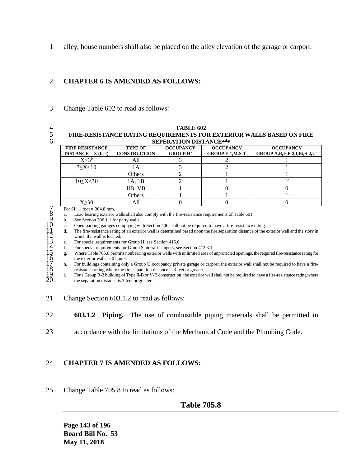1 alley, house numbers shall also be placed on the alley elevation of the garage or carport.

## 2 **CHAPTER 6 IS AMENDED AS FOLLOWS:**

3 Change Table 602 to read as follows:

- 
- 

#### 4 **TABLE 602** 5 **FIRE-RESISTANCE RATING REQUIREMENTS FOR EXTERIOR WALLS BASED ON FIRE SEPERATION DISTANCEa,d,g** 6

| <u>SEI EIVITION DISTINVER</u>                   |                                       |                                                |                                                      |                                                                    |  |  |  |
|-------------------------------------------------|---------------------------------------|------------------------------------------------|------------------------------------------------------|--------------------------------------------------------------------|--|--|--|
| <b>FIRE RESISTANCE</b><br>$DISTANCE = X (feet)$ | <b>TYPE OF</b><br><b>CONSTRUCTION</b> | <b>OCCUPANCY</b><br><b>GROUP H<sup>e</sup></b> | <b>OCCUPANCY</b><br>GROUP $F-1, M, S-1$ <sup>f</sup> | <b>OCCUPANCY</b><br>GROUP A, B, E, F-2, I, Ri, S-2, U <sup>h</sup> |  |  |  |
| X <sub>3<sub>b</sub></sub>                      | All                                   |                                                |                                                      |                                                                    |  |  |  |
| $3 \le X < 10$                                  | IА                                    |                                                |                                                      |                                                                    |  |  |  |
|                                                 | Others                                |                                                |                                                      |                                                                    |  |  |  |
| 10 < X < 30                                     | 1A, 1B                                |                                                |                                                      |                                                                    |  |  |  |
|                                                 | IIB, VB                               |                                                |                                                      |                                                                    |  |  |  |
|                                                 | Others                                |                                                |                                                      | ιc                                                                 |  |  |  |
| Y>30                                            | All                                   |                                                |                                                      |                                                                    |  |  |  |

8 a. Load bearing exterior walls shall also comply with the fire-resistance requirements of Table 601.

b. See Section 706.1.1 for party walls.

10 c. Open parking garages complying with Section 406 shall not be required to have a fire-resistance rating.

11 d. The fire-resistance rating of an exterior wall is determined based upon the fire separation distance of the exterior wall and the story in which the wall is located.

e. For special requirements for Group H, see Section 415.6.<br>f. For special requirements for Group S aircraft hangers, see

For special requirements for Group S aircraft hangers, see Section 412.3.1.

7 For SI: 1 foot = 304.8 mm.<br>
8 a. Load bearing exterior<br>
9 b. See Section 706.1.1 for Containstance Section 706.1.1 for Copen parking garages<br>
11 c. Open parking garages<br>
11 c. For special requirement<br>
14 f. For special 15 g. Where Table 705.8 permits nonbearing exterior walls with unlimited area of unprotected openings, the required fire-resistance rating for the exterior walls is 0 hours.

17 h. For buildings containing only a Group U occupancy private garage or carport, the exterior wall shall not be required to have a fire-18 resistance rating where the fire separation distance is 3 feet or greater.<br>
18 For a Group R-3 building of Type II-B or V-B construction, the exterior

For a Group R-3 building of Type II-B or V-B construction, the exterior wall shall not be required to have a fire-resistance rating where the separation distance is 3 feet or greater.

- 21 Change Section 603.1.2 to read as follows:
- 22 **603.1.2 Piping.** The use of combustible piping materials shall be permitted in
- 23 accordance with the limitations of the Mechanical Code and the Plumbing Code.

## 24 **CHAPTER 7 IS AMENDED AS FOLLOWS:**

25 Change Table 705.8 to read as follows:

## **Table 705.8**

**Page 143 of 196 Board Bill No. 53 May 11, 2018**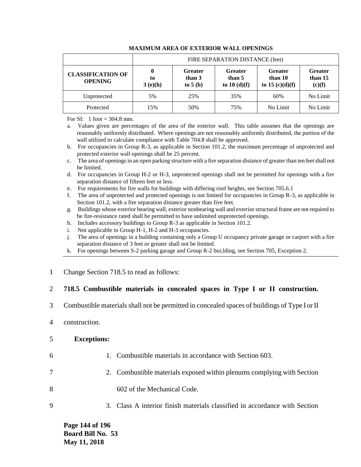|                                            | FIRE SEPARATION DISTANCE (feet) |                                       |                                           |                                                |                                     |
|--------------------------------------------|---------------------------------|---------------------------------------|-------------------------------------------|------------------------------------------------|-------------------------------------|
| <b>CLASSIFICATION OF</b><br><b>OPENING</b> | 0<br>to<br>3(e)(h)              | <b>Greater</b><br>than 3<br>to $5(b)$ | <b>Greater</b><br>than 5<br>to $10(d)(f)$ | <b>Greater</b><br>than 10<br>to 15 $(c)(d)(f)$ | <b>Greater</b><br>than 15<br>(c)(f) |
| Unprotected                                | 5%                              | 25%                                   | 35%                                       | 60%                                            | No Limit                            |
| Protected                                  | 15%                             | 50%                                   | 75%                                       | No Limit                                       | No Limit                            |

#### **MAXIMUM AREA OF EXTERIOR WALL OPENINGS**

For SI: 1 foot  $=$  304.8 mm.

a. Values given are percentages of the area of the exterior wall. This table assumes that the openings are reasonably uniformly distributed. Where openings are not reasonably uniformly distributed, the portion of the wall utilized to calculate compliance with Table 704.8 shall be approved.

- b. For occupancies in Group R-3, as applicable in Section 101.2, the maximum percentage of unprotected and protected exterior wall openings shall be 25 percent.
- c. The area of openings in an open parking structure with a fire separation distance of greater than ten feet shall not be limited.
- d. For occupancies in Group H-2 or H-3, unprotected openings shall not be permitted for openings with a fire separation distance of fifteen feet or less.
- e. For requirements for fire walls for buildings with differing roof heights, see Section 705.6.1

f. The area of unprotected and protected openings is not limited for occupancies in Group R-3, as applicable in Section 101.2, with a fire separation distance greater than five feet.

- g. Buildings whose exterior bearing wall, exterior nonbearing wall and exterior structural frame are not required to be fire-resistance rated shall be permitted to have unlimited unprotected openings.
- h. Includes accessory buildings to Group R-3 as applicable in Section 101.2.
- i. Not applicable to Group H-1, H-2 and H-3 occupancies.
- j. The area of openings in a building containing only a Group U occupancy private garage or carport with a fire separation distance of 3 feet or greater shall not be limited.
- k. For openings between S-2 parking garage and Group R-2 bui;lding, see Section 705, Exception 2.
- 1 Change Section 718.5 to read as follows:

### 2 **718.5 Combustible materials in concealed spaces in Type I or II construction.**

- 3 Combustible materials shall not be permitted in concealed spaces of buildings of Type I or II
- 4 construction.

#### 5 **Exceptions:**

- 
- 6 1. Combustible materials in accordance with Section 603.
- 7 2. Combustible materials exposed within plenums complying with Section
- 8 602 of the Mechanical Code.
- 9 3. Class A interior finish materials classified in accordance with Section

**Page 144 of 196 Board Bill No. 53 May 11, 2018**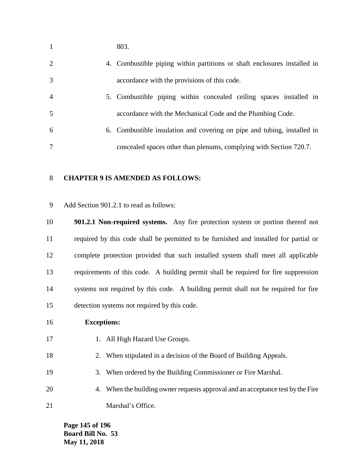| $\mathbf{1}$   | 803.                                                                     |
|----------------|--------------------------------------------------------------------------|
| 2              | 4. Combustible piping within partitions or shaft enclosures installed in |
| 3              | accordance with the provisions of this code.                             |
| $\overline{4}$ | 5. Combustible piping within concealed ceiling spaces installed in       |
| 5              | accordance with the Mechanical Code and the Plumbing Code.               |
| 6              | 6. Combustible insulation and covering on pipe and tubing, installed in  |
| 7              | concealed spaces other than plenums, complying with Section 720.7.       |

### **CHAPTER 9 IS AMENDED AS FOLLOWS:**

Add Section 901.2.1 to read as follows:

 **901.2.1 Non-required systems.** Any fire protection system or portion thereof not required by this code shall be permitted to be furnished and installed for partial or complete protection provided that such installed system shall meet all applicable requirements of this code. A building permit shall be required for fire suppression systems not required by this code. A building permit shall not be required for fire detection systems not required by this code.

### **Exceptions:**

- 17 1. All High Hazard Use Groups.
- 2. When stipulated in a decision of the Board of Building Appeals.
- 3. When ordered by the Building Commissioner or Fire Marshal.
- 4. When the building owner requests approval and an acceptance test by the Fire 21 Marshal's Office.

**Page 145 of 196 Board Bill No. 53 May 11, 2018**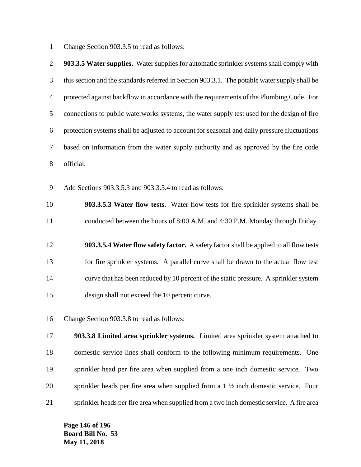Change Section 903.3.5 to read as follows:

| $\overline{2}$ | 903.3.5 Water supplies. Water supplies for automatic sprinkler systems shall comply with       |
|----------------|------------------------------------------------------------------------------------------------|
| 3              | this section and the standards referred in Section 903.3.1. The potable water supply shall be  |
| $\overline{4}$ | protected against backflow in accordance with the requirements of the Plumbing Code. For       |
| 5              | connections to public waterworks systems, the water supply test used for the design of fire    |
| 6              | protection systems shall be adjusted to account for seasonal and daily pressure fluctuations   |
| 7              | based on information from the water supply authority and as approved by the fire code          |
| 8              | official.                                                                                      |
| $\mathbf{9}$   | Add Sections 903.3.5.3 and 903.3.5.4 to read as follows:                                       |
| 10             | 903.3.5.3 Water flow tests. Water flow tests for fire sprinkler systems shall be               |
| 11             | conducted between the hours of 8:00 A.M. and 4:30 P.M. Monday through Friday.                  |
| 12             | 903.3.5.4 Water flow safety factor. A safety factor shall be applied to all flow tests         |
| 13             | for fire sprinkler systems. A parallel curve shall be drawn to the actual flow test            |
| 14             | curve that has been reduced by 10 percent of the static pressure. A sprinkler system           |
| 15             | design shall not exceed the 10 percent curve.                                                  |
| 16             | Change Section 903.3.8 to read as follows:                                                     |
| 17             | 903.3.8 Limited area sprinkler systems. Limited area sprinkler system attached to              |
| 18             | domestic service lines shall conform to the following minimum requirements. One                |
| 19             | sprinkler head per fire area when supplied from a one inch domestic service. Two               |
| 20             | sprinkler heads per fire area when supplied from a $1 \frac{1}{2}$ inch domestic service. Four |
| 21             | sprinkler heads per fire area when supplied from a two inch domestic service. A fire area      |

**Page 146 of 196 Board Bill No. 53 May 11, 2018**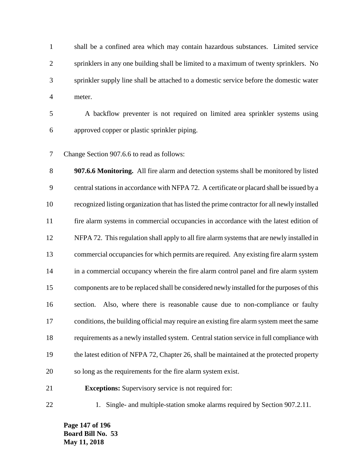shall be a confined area which may contain hazardous substances. Limited service sprinklers in any one building shall be limited to a maximum of twenty sprinklers. No sprinkler supply line shall be attached to a domestic service before the domestic water meter.

 A backflow preventer is not required on limited area sprinkler systems using approved copper or plastic sprinkler piping.

Change Section 907.6.6 to read as follows:

 **907.6.6 Monitoring.** All fire alarm and detection systems shall be monitored by listed central stations in accordance with NFPA 72. A certificate or placard shall be issued by a recognized listing organization that has listed the prime contractor for all newly installed fire alarm systems in commercial occupancies in accordance with the latest edition of NFPA 72. This regulation shall apply to all fire alarm systems that are newly installed in commercial occupancies for which permits are required. Any existing fire alarm system in a commercial occupancy wherein the fire alarm control panel and fire alarm system components are to be replaced shall be considered newly installed for the purposes of this section. Also, where there is reasonable cause due to non-compliance or faulty conditions, the building official may require an existing fire alarm system meet the same requirements as a newly installed system. Central station service in full compliance with the latest edition of NFPA 72, Chapter 26, shall be maintained at the protected property so long as the requirements for the fire alarm system exist.

1. Single- and multiple-station smoke alarms required by Section 907.2.11.

**Page 147 of 196 Board Bill No. 53 May 11, 2018**

**Exceptions:** Supervisory service is not required for: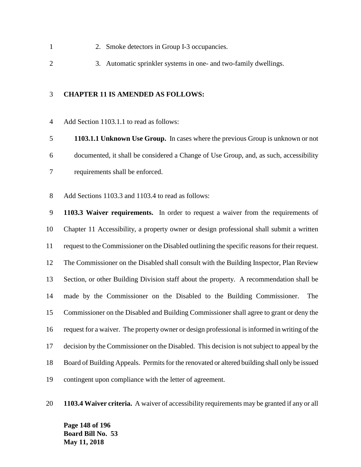- 2. Smoke detectors in Group I-3 occupancies.
- 3. Automatic sprinkler systems in one- and two-family dwellings.

### **CHAPTER 11 IS AMENDED AS FOLLOWS:**

Add Section 1103.1.1 to read as follows:

 **1103.1.1 Unknown Use Group.** In cases where the previous Group is unknown or not documented, it shall be considered a Change of Use Group, and, as such, accessibility requirements shall be enforced.

Add Sections 1103.3 and 1103.4 to read as follows:

 **1103.3 Waiver requirements.** In order to request a waiver from the requirements of Chapter 11 Accessibility, a property owner or design professional shall submit a written request to the Commissioner on the Disabled outlining the specific reasons for their request. The Commissioner on the Disabled shall consult with the Building Inspector, Plan Review Section, or other Building Division staff about the property. A recommendation shall be made by the Commissioner on the Disabled to the Building Commissioner. The Commissioner on the Disabled and Building Commissioner shall agree to grant or deny the request for a waiver. The property owner or design professional is informed in writing of the decision by the Commissioner on the Disabled. This decision is not subject to appeal by the Board of Building Appeals. Permits for the renovated or altered building shall only be issued contingent upon compliance with the letter of agreement.

**1103.4 Waiver criteria.** A waiver of accessibility requirements may be granted if any or all

**Page 148 of 196 Board Bill No. 53 May 11, 2018**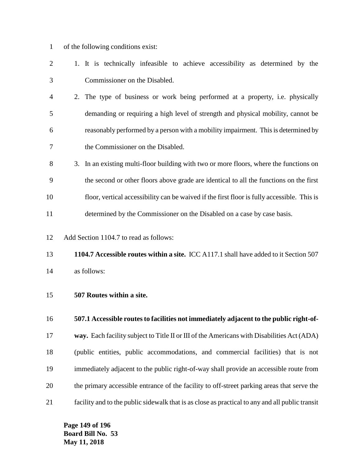- of the following conditions exist:
- 1. It is technically infeasible to achieve accessibility as determined by the Commissioner on the Disabled.
- 2. The type of business or work being performed at a property, i.e. physically demanding or requiring a high level of strength and physical mobility, cannot be reasonably performed by a person with a mobility impairment. This is determined by the Commissioner on the Disabled.
- 3. In an existing multi-floor building with two or more floors, where the functions on the second or other floors above grade are identical to all the functions on the first floor, vertical accessibility can be waived if the first floor is fully accessible. This is determined by the Commissioner on the Disabled on a case by case basis.
- Add Section 1104.7 to read as follows:
- **1104.7 Accessible routes within a site.** ICC A117.1 shall have added to it Section 507 as follows:
- **507 Routes within a site.**
- **507.1 Accessible routes to facilities not immediately adjacent to the public right-of-**
- **way.** Each facility subject to Title II or III of the Americans with Disabilities Act (ADA)
- (public entities, public accommodations, and commercial facilities) that is not immediately adjacent to the public right-of-way shall provide an accessible route from the primary accessible entrance of the facility to off-street parking areas that serve the facility and to the public sidewalk that is as close as practical to any and all public transit

**Page 149 of 196 Board Bill No. 53 May 11, 2018**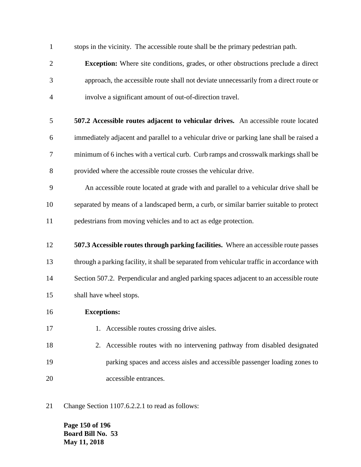stops in the vicinity. The accessible route shall be the primary pedestrian path.

- **Exception:** Where site conditions, grades, or other obstructions preclude a direct approach, the accessible route shall not deviate unnecessarily from a direct route or involve a significant amount of out-of-direction travel.
- **507.2 Accessible routes adjacent to vehicular drives.** An accessible route located immediately adjacent and parallel to a vehicular drive or parking lane shall be raised a minimum of 6 inches with a vertical curb. Curb ramps and crosswalk markings shall be provided where the accessible route crosses the vehicular drive.
- An accessible route located at grade with and parallel to a vehicular drive shall be separated by means of a landscaped berm, a curb, or similar barrier suitable to protect pedestrians from moving vehicles and to act as edge protection.
- **507.3 Accessible routes through parking facilities.** Where an accessible route passes through a parking facility, it shall be separated from vehicular traffic in accordance with 14 Section 507.2. Perpendicular and angled parking spaces adjacent to an accessible route shall have wheel stops.
- **Exceptions:**
- 17 1. Accessible routes crossing drive aisles.
- 2. Accessible routes with no intervening pathway from disabled designated parking spaces and access aisles and accessible passenger loading zones to accessible entrances.
- Change Section 1107.6.2.2.1 to read as follows:

**Page 150 of 196 Board Bill No. 53 May 11, 2018**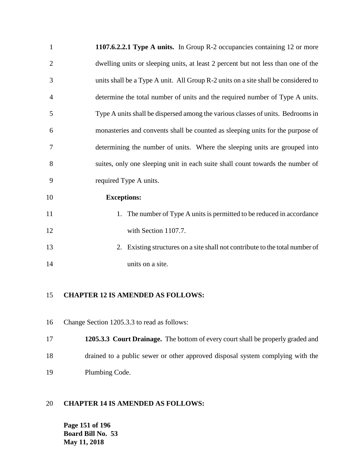| $\mathbf{1}$   | 1107.6.2.2.1 Type A units. In Group R-2 occupancies containing 12 or more          |
|----------------|------------------------------------------------------------------------------------|
| 2              | dwelling units or sleeping units, at least 2 percent but not less than one of the  |
| 3              | units shall be a Type A unit. All Group R-2 units on a site shall be considered to |
| $\overline{4}$ | determine the total number of units and the required number of Type A units.       |
| 5              | Type A units shall be dispersed among the various classes of units. Bedrooms in    |
| 6              | monasteries and convents shall be counted as sleeping units for the purpose of     |
| 7              | determining the number of units. Where the sleeping units are grouped into         |
| 8              | suites, only one sleeping unit in each suite shall count towards the number of     |
| 9              | required Type A units.                                                             |
| 10             | <b>Exceptions:</b>                                                                 |
| 11             | 1. The number of Type A units is permitted to be reduced in accordance             |
| 12             | with Section 1107.7.                                                               |
| 13             | Existing structures on a site shall not contribute to the total number of<br>2.    |
|                |                                                                                    |

14 units on a site.

# **CHAPTER 12 IS AMENDED AS FOLLOWS:**

- Change Section 1205.3.3 to read as follows:
- **1205.3.3 Court Drainage.** The bottom of every court shall be properly graded and drained to a public sewer or other approved disposal system complying with the Plumbing Code.

# **CHAPTER 14 IS AMENDED AS FOLLOWS:**

**Page 151 of 196 Board Bill No. 53 May 11, 2018**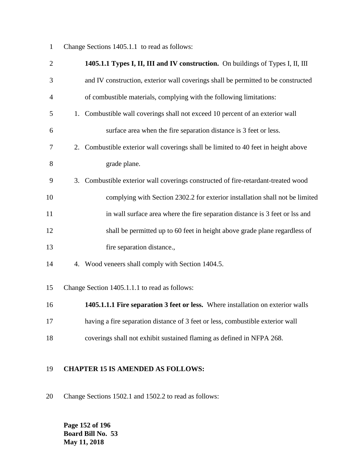Change Sections 1405.1.1 to read as follows:

| $\overline{2}$ | 1405.1.1 Types I, II, III and IV construction. On buildings of Types I, II, III      |
|----------------|--------------------------------------------------------------------------------------|
| 3              | and IV construction, exterior wall coverings shall be permitted to be constructed    |
| $\overline{4}$ | of combustible materials, complying with the following limitations:                  |
| 5              | Combustible wall coverings shall not exceed 10 percent of an exterior wall<br>1.     |
| 6              | surface area when the fire separation distance is 3 feet or less.                    |
| 7              | 2. Combustible exterior wall coverings shall be limited to 40 feet in height above   |
| 8              | grade plane.                                                                         |
| 9              | Combustible exterior wall coverings constructed of fire-retardant-treated wood<br>3. |
| 10             | complying with Section 2302.2 for exterior installation shall not be limited         |
| 11             | in wall surface area where the fire separation distance is 3 feet or lss and         |
| 12             | shall be permitted up to 60 feet in height above grade plane regardless of           |
| 13             | fire separation distance.,                                                           |
| 14             | 4. Wood veneers shall comply with Section 1404.5.                                    |
| 15             | Change Section 1405.1.1.1 to read as follows:                                        |
| 16             | 1405.1.1.1 Fire separation 3 feet or less. Where installation on exterior walls      |
| 17             | having a fire separation distance of 3 feet or less, combustible exterior wall       |
| 18             | coverings shall not exhibit sustained flaming as defined in NFPA 268.                |
|                |                                                                                      |

# **CHAPTER 15 IS AMENDED AS FOLLOWS:**

Change Sections 1502.1 and 1502.2 to read as follows:

**Page 152 of 196 Board Bill No. 53 May 11, 2018**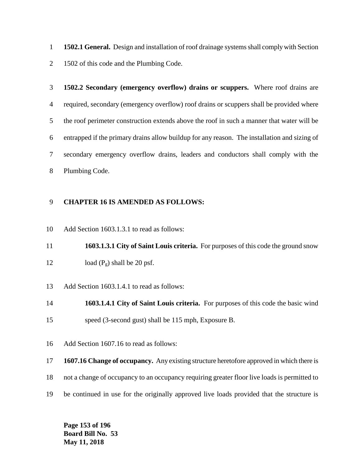**1502.1 General.** Design and installation of roof drainage systems shall comply with Section 1502 of this code and the Plumbing Code.

 **1502.2 Secondary (emergency overflow) drains or scuppers.** Where roof drains are required, secondary (emergency overflow) roof drains or scuppers shall be provided where the roof perimeter construction extends above the roof in such a manner that water will be entrapped if the primary drains allow buildup for any reason. The installation and sizing of secondary emergency overflow drains, leaders and conductors shall comply with the Plumbing Code.

### **CHAPTER 16 IS AMENDED AS FOLLOWS:**

Add Section 1603.1.3.1 to read as follows:

 **1603.1.3.1 City of Saint Louis criteria.** For purposes of this code the ground snow 12 load  $(P_g)$  shall be 20 psf.

Add Section 1603.1.4.1 to read as follows:

 **1603.1.4.1 City of Saint Louis criteria.** For purposes of this code the basic wind speed (3-second gust) shall be 115 mph, Exposure B.

Add Section 1607.16 to read as follows:

**1607.16 Change of occupancy.** Any existing structure heretofore approved in which there is

- not a change of occupancy to an occupancy requiring greater floor live loads is permitted to
- be continued in use for the originally approved live loads provided that the structure is

**Page 153 of 196 Board Bill No. 53 May 11, 2018**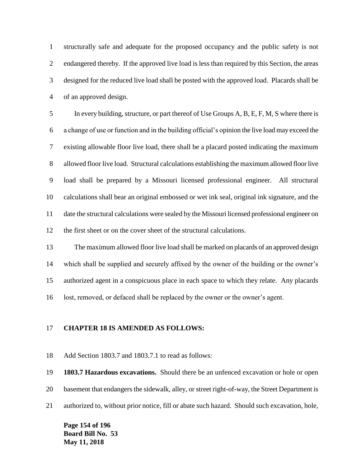structurally safe and adequate for the proposed occupancy and the public safety is not endangered thereby. If the approved live load is less than required by this Section, the areas designed for the reduced live load shall be posted with the approved load. Placards shall be of an approved design.

 In every building, structure, or part thereof of Use Groups A, B, E, F, M, S where there is a change of use or function and in the building official's opinion the live load may exceed the existing allowable floor live load, there shall be a placard posted indicating the maximum allowed floor live load. Structural calculations establishing the maximum allowed floor live load shall be prepared by a Missouri licensed professional engineer. All structural calculations shall bear an original embossed or wet ink seal, original ink signature, and the date the structural calculations were sealed by the Missouri licensed professional engineer on the first sheet or on the cover sheet of the structural calculations.

 The maximum allowed floor live load shall be marked on placards of an approved design which shall be supplied and securely affixed by the owner of the building or the owner's authorized agent in a conspicuous place in each space to which they relate. Any placards lost, removed, or defaced shall be replaced by the owner or the owner's agent.

### **CHAPTER 18 IS AMENDED AS FOLLOWS:**

Add Section 1803.7 and 1803.7.1 to read as follows:

**1803.7 Hazardous excavations.** Should there be an unfenced excavation or hole or open

basement that endangers the sidewalk, alley, or street right-of-way, the Street Department is

authorized to, without prior notice, fill or abate such hazard. Should such excavation, hole,

**Page 154 of 196 Board Bill No. 53 May 11, 2018**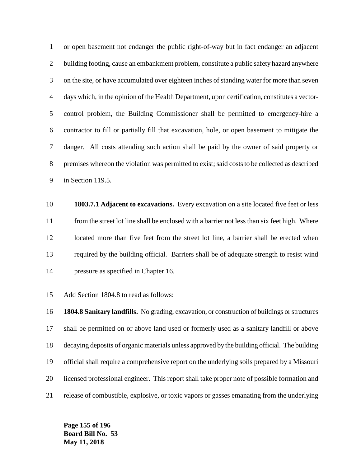or open basement not endanger the public right-of-way but in fact endanger an adjacent building footing, cause an embankment problem, constitute a public safety hazard anywhere on the site, or have accumulated over eighteen inches of standing water for more than seven days which, in the opinion of the Health Department, upon certification, constitutes a vector- control problem, the Building Commissioner shall be permitted to emergency-hire a contractor to fill or partially fill that excavation, hole, or open basement to mitigate the danger. All costs attending such action shall be paid by the owner of said property or premises whereon the violation was permitted to exist; said costs to be collected as described in Section 119.5.

 **1803.7.1 Adjacent to excavations.** Every excavation on a site located five feet or less from the street lot line shall be enclosed with a barrier not less than six feet high. Where located more than five feet from the street lot line, a barrier shall be erected when required by the building official. Barriers shall be of adequate strength to resist wind pressure as specified in Chapter 16.

Add Section 1804.8 to read as follows:

 **1804.8 Sanitary landfills.** No grading, excavation, or construction of buildings or structures shall be permitted on or above land used or formerly used as a sanitary landfill or above decaying deposits of organic materials unless approved by the building official. The building official shall require a comprehensive report on the underlying soils prepared by a Missouri licensed professional engineer. This report shall take proper note of possible formation and release of combustible, explosive, or toxic vapors or gasses emanating from the underlying

**Page 155 of 196 Board Bill No. 53 May 11, 2018**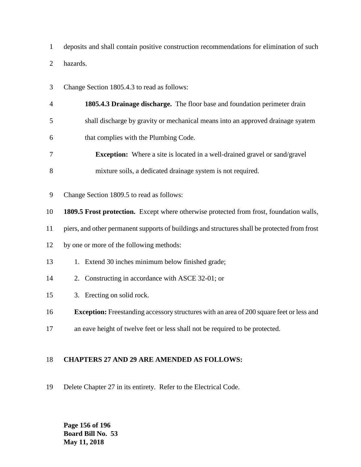deposits and shall contain positive construction recommendations for elimination of such hazards.

- Change Section 1805.4.3 to read as follows:
- **1805.4.3 Drainage discharge.** The floor base and foundation perimeter drain shall discharge by gravity or mechanical means into an approved drainage syatem
- that complies with the Plumbing Code.
- **Exception:** Where a site is located in a well-drained gravel or sand/gravel
- mixture soils, a dedicated drainage system is not required.
- Change Section 1809.5 to read as follows:
- **1809.5 Frost protection.** Except where otherwise protected from frost, foundation walls,
- piers, and other permanent supports of buildings and structures shall be protected from frost
- by one or more of the following methods:
- 1. Extend 30 inches minimum below finished grade;
- 2. Constructing in accordance with ASCE 32-01; or
- 3. Erecting on solid rock.
- **Exception:** Freestanding accessory structures with an area of 200 square feet or less and
- an eave height of twelve feet or less shall not be required to be protected.

# **CHAPTERS 27 AND 29 ARE AMENDED AS FOLLOWS:**

Delete Chapter 27 in its entirety. Refer to the Electrical Code.

**Page 156 of 196 Board Bill No. 53 May 11, 2018**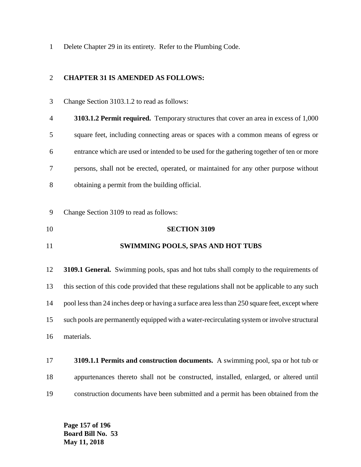Delete Chapter 29 in its entirety. Refer to the Plumbing Code.

### **CHAPTER 31 IS AMENDED AS FOLLOWS:**

- Change Section 3103.1.2 to read as follows: **3103.1.2 Permit required.** Temporary structures that cover an area in excess of 1,000 square feet, including connecting areas or spaces with a common means of egress or entrance which are used or intended to be used for the gathering together of ten or more persons, shall not be erected, operated, or maintained for any other purpose without obtaining a permit from the building official. Change Section 3109 to read as follows: **SECTION 3109 SWIMMING POOLS, SPAS AND HOT TUBS 3109.1 General.** Swimming pools, spas and hot tubs shall comply to the requirements of this section of this code provided that these regulations shall not be applicable to any such pool less than 24 inches deep or having a surface area less than 250 square feet, except where such pools are permanently equipped with a water-recirculating system or involve structural materials.
- **3109.1.1 Permits and construction documents.** A swimming pool, spa or hot tub or appurtenances thereto shall not be constructed, installed, enlarged, or altered until construction documents have been submitted and a permit has been obtained from the

**Page 157 of 196 Board Bill No. 53 May 11, 2018**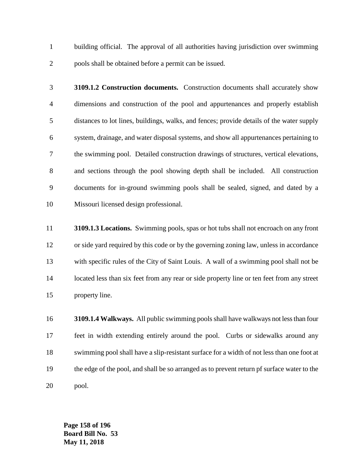building official. The approval of all authorities having jurisdiction over swimming pools shall be obtained before a permit can be issued.

- **3109.1.2 Construction documents.** Construction documents shall accurately show dimensions and construction of the pool and appurtenances and properly establish distances to lot lines, buildings, walks, and fences; provide details of the water supply system, drainage, and water disposal systems, and show all appurtenances pertaining to the swimming pool. Detailed construction drawings of structures, vertical elevations, and sections through the pool showing depth shall be included. All construction documents for in-ground swimming pools shall be sealed, signed, and dated by a Missouri licensed design professional.
- **3109.1.3 Locations.** Swimming pools, spas or hot tubs shall not encroach on any front or side yard required by this code or by the governing zoning law, unless in accordance with specific rules of the City of Saint Louis. A wall of a swimming pool shall not be 14 located less than six feet from any rear or side property line or ten feet from any street property line.
- **3109.1.4 Walkways.** All public swimming pools shall have walkways not less than four feet in width extending entirely around the pool. Curbs or sidewalks around any swimming pool shall have a slip-resistant surface for a width of not less than one foot at the edge of the pool, and shall be so arranged as to prevent return pf surface water to the pool.

**Page 158 of 196 Board Bill No. 53 May 11, 2018**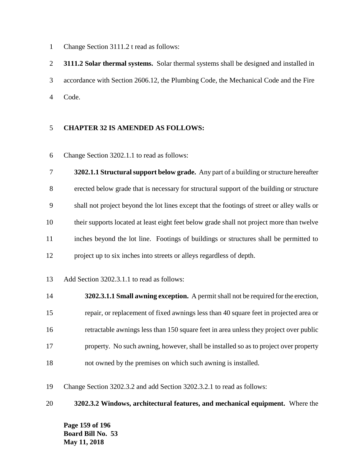Change Section 3111.2 t read as follows:

 **3111.2 Solar thermal systems.** Solar thermal systems shall be designed and installed in accordance with Section 2606.12, the Plumbing Code, the Mechanical Code and the Fire Code.

### **CHAPTER 32 IS AMENDED AS FOLLOWS:**

Change Section 3202.1.1 to read as follows:

 **3202.1.1 Structural support below grade.** Any part of a building or structure hereafter erected below grade that is necessary for structural support of the building or structure shall not project beyond the lot lines except that the footings of street or alley walls or their supports located at least eight feet below grade shall not project more than twelve inches beyond the lot line. Footings of buildings or structures shall be permitted to project up to six inches into streets or alleys regardless of depth.

- Add Section 3202.3.1.1 to read as follows:
- **3202.3.1.1 Small awning exception.** A permit shall not be required for the erection, repair, or replacement of fixed awnings less than 40 square feet in projected area or retractable awnings less than 150 square feet in area unless they project over public property. No such awning, however, shall be installed so as to project over property not owned by the premises on which such awning is installed.

Change Section 3202.3.2 and add Section 3202.3.2.1 to read as follows:

**3202.3.2 Windows, architectural features, and mechanical equipment.** Where the

**Page 159 of 196 Board Bill No. 53 May 11, 2018**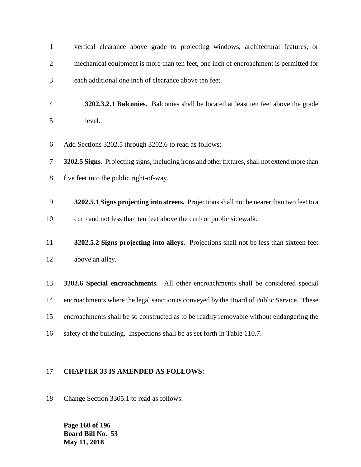| $\mathbf{1}$   | vertical clearance above grade to projecting windows, architectural features, or               |
|----------------|------------------------------------------------------------------------------------------------|
| $\overline{c}$ | mechanical equipment is more than ten feet, one inch of encroachment is permitted for          |
| 3              | each additional one inch of clearance above ten feet.                                          |
| $\overline{4}$ | 3202.3.2.1 Balconies. Balconies shall be located at least ten feet above the grade             |
| 5              | level.                                                                                         |
| 6              | Add Sections 3202.5 through 3202.6 to read as follows:                                         |
| 7              | 3202.5 Signs. Projecting signs, including irons and other fixtures, shall not extend more than |
| 8              | five feet into the public right-of-way.                                                        |
| 9              | 3202.5.1 Signs projecting into streets. Projections shall not be nearer than two feet to a     |
| 10             | curb and not less than ten feet above the curb or public sidewalk.                             |
| 11             | 3202.5.2 Signs projecting into alleys. Projections shall not be less than sixteen feet         |
| 12             | above an alley.                                                                                |
| 13             | 3202.6 Special encroachments. All other encroachments shall be considered special              |
| 14             | encroachments where the legal sanction is conveyed by the Board of Public Service. These       |
| 15             | encroachments shall be so constructed as to be readily removable without endangering the       |
| 16             | safety of the building. Inspections shall be as set forth in Table 110.7.                      |
|                |                                                                                                |

# **CHAPTER 33 IS AMENDED AS FOLLOWS:**

Change Section 3305.1 to read as follows:

**Page 160 of 196 Board Bill No. 53 May 11, 2018**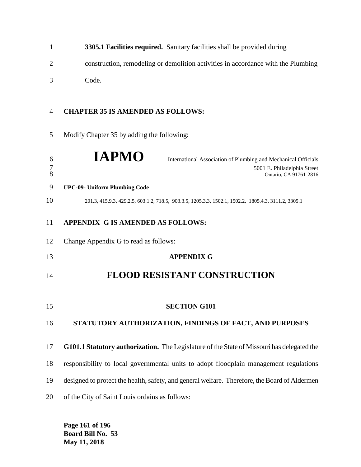|   | 3305.1 Facilities required. Sanitary facilities shall be provided during          |
|---|-----------------------------------------------------------------------------------|
|   | construction, remodeling or demolition activities in accordance with the Plumbing |
| 3 | Code.                                                                             |

# **CHAPTER 35 IS AMENDED AS FOLLOWS:**

Modify Chapter 35 by adding the following:

| 6<br>$\overline{7}$<br>8 | <b>IAPMO</b><br>International Association of Plumbing and Mechanical Officials<br>5001 E. Philadelphia Street<br>Ontario, CA 91761-2816 |
|--------------------------|-----------------------------------------------------------------------------------------------------------------------------------------|
| 9                        | <b>UPC-09- Uniform Plumbing Code</b>                                                                                                    |
| 10                       | 201.3, 415.9.3, 429.2.5, 603.1.2, 718.5, 903.3.5, 1205.3.3, 1502.1, 1502.2, 1805.4.3, 3111.2, 3305.1                                    |
| 11                       | APPENDIX G IS AMENDED AS FOLLOWS:                                                                                                       |
| 12                       | Change Appendix G to read as follows:                                                                                                   |
| 13                       | <b>APPENDIX G</b>                                                                                                                       |
| 14                       | <b>FLOOD RESISTANT CONSTRUCTION</b>                                                                                                     |
| 15                       | <b>SECTION G101</b>                                                                                                                     |
| 16                       | STATUTORY AUTHORIZATION, FINDINGS OF FACT, AND PURPOSES                                                                                 |
| 17                       | G101.1 Statutory authorization. The Legislature of the State of Missouri has delegated the                                              |
| 18                       | responsibility to local governmental units to adopt floodplain management regulations                                                   |
| 19                       | designed to protect the health, safety, and general welfare. Therefore, the Board of Aldermen                                           |
| 20                       | of the City of Saint Louis ordains as follows:                                                                                          |

**Page 161 of 196 Board Bill No. 53 May 11, 2018**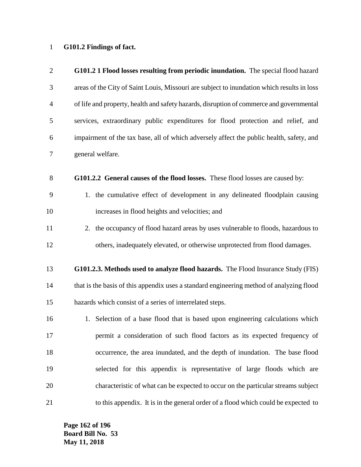# **G101.2 Findings of fact.**

| $\overline{2}$ | G101.2 1 Flood losses resulting from periodic inundation. The special flood hazard         |
|----------------|--------------------------------------------------------------------------------------------|
| 3              | areas of the City of Saint Louis, Missouri are subject to inundation which results in loss |
| $\overline{4}$ | of life and property, health and safety hazards, disruption of commerce and governmental   |
| 5              | services, extraordinary public expenditures for flood protection and relief, and           |
| 6              | impairment of the tax base, all of which adversely affect the public health, safety, and   |
| $\tau$         | general welfare.                                                                           |
| $8\phantom{1}$ | G101.2.2 General causes of the flood losses. These flood losses are caused by:             |
| 9              | 1. the cumulative effect of development in any delineated floodplain causing               |
| 10             | increases in flood heights and velocities; and                                             |
| 11             | 2. the occupancy of flood hazard areas by uses vulnerable to floods, hazardous to          |
| 12             | others, inadequately elevated, or otherwise unprotected from flood damages.                |
| 13             | G101.2.3. Methods used to analyze flood hazards. The Flood Insurance Study (FIS)           |
| 14             | that is the basis of this appendix uses a standard engineering method of analyzing flood   |
| 15             | hazards which consist of a series of interrelated steps.                                   |
| 16             | 1. Selection of a base flood that is based upon engineering calculations which             |
| 17             | permit a consideration of such flood factors as its expected frequency of                  |
| 18             | occurrence, the area inundated, and the depth of inundation. The base flood                |
| 19             | selected for this appendix is representative of large floods which are                     |
| 20             | characteristic of what can be expected to occur on the particular streams subject          |
| 21             | to this appendix. It is in the general order of a flood which could be expected to         |

**Page 162 of 196 Board Bill No. 53 May 11, 2018**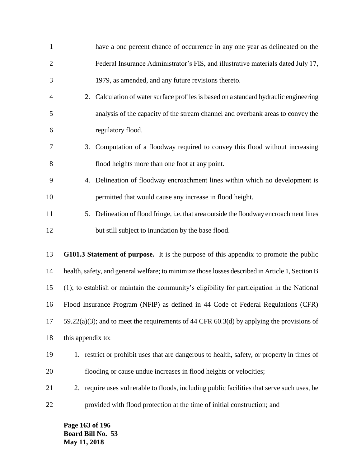| $\mathbf{1}$   |                   | have a one percent chance of occurrence in any one year as delineated on the                    |
|----------------|-------------------|-------------------------------------------------------------------------------------------------|
| $\overline{2}$ |                   | Federal Insurance Administrator's FIS, and illustrative materials dated July 17,                |
| 3              |                   | 1979, as amended, and any future revisions thereto.                                             |
| 4              |                   | 2. Calculation of water surface profiles is based on a standard hydraulic engineering           |
| 5              |                   | analysis of the capacity of the stream channel and overbank areas to convey the                 |
| 6              |                   | regulatory flood.                                                                               |
| 7              |                   | 3. Computation of a floodway required to convey this flood without increasing                   |
| 8              |                   | flood heights more than one foot at any point.                                                  |
| 9              |                   | 4. Delineation of floodway encroachment lines within which no development is                    |
| 10             |                   | permitted that would cause any increase in flood height.                                        |
| 11             |                   | 5. Delineation of flood fringe, i.e. that area outside the floodway encroachment lines          |
| 12             |                   | but still subject to inundation by the base flood.                                              |
| 13             |                   | G101.3 Statement of purpose. It is the purpose of this appendix to promote the public           |
| 14             |                   | health, safety, and general welfare; to minimize those losses described in Article 1, Section B |
| 15             |                   | (1); to establish or maintain the community's eligibility for participation in the National     |
| 16             |                   | Flood Insurance Program (NFIP) as defined in 44 Code of Federal Regulations (CFR)               |
| 17             |                   | 59.22(a)(3); and to meet the requirements of 44 CFR 60.3(d) by applying the provisions of       |
| 18             | this appendix to: |                                                                                                 |
| 19             |                   | 1. restrict or prohibit uses that are dangerous to health, safety, or property in times of      |
| 20             |                   | flooding or cause undue increases in flood heights or velocities;                               |
| 21             |                   | 2. require uses vulnerable to floods, including public facilities that serve such uses, be      |
| 22             |                   | provided with flood protection at the time of initial construction; and                         |

**Page 163 of 196 Board Bill No. 53 May 11, 2018**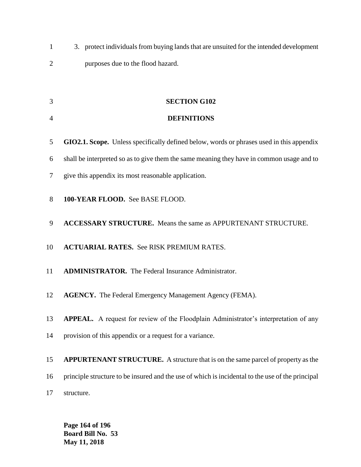3. protect individuals from buying lands that are unsuited for the intended development purposes due to the flood hazard.

**SECTION G102**

| $\overline{4}$ | <b>DEFINITIONS</b>                                                                               |
|----------------|--------------------------------------------------------------------------------------------------|
| 5              | GIO2.1. Scope. Unless specifically defined below, words or phrases used in this appendix         |
| 6              | shall be interpreted so as to give them the same meaning they have in common usage and to        |
| 7              | give this appendix its most reasonable application.                                              |
| 8              | 100-YEAR FLOOD. See BASE FLOOD.                                                                  |
| 9              | <b>ACCESSARY STRUCTURE.</b> Means the same as APPURTENANT STRUCTURE.                             |
| 10             | <b>ACTUARIAL RATES.</b> See RISK PREMIUM RATES.                                                  |
| 11             | <b>ADMINISTRATOR.</b> The Federal Insurance Administrator.                                       |
| 12             | <b>AGENCY.</b> The Federal Emergency Management Agency (FEMA).                                   |
| 13             | APPEAL. A request for review of the Floodplain Administrator's interpretation of any             |
| 14             | provision of this appendix or a request for a variance.                                          |
| 15             | <b>APPURTENANT STRUCTURE.</b> A structure that is on the same parcel of property as the          |
| 16             | principle structure to be insured and the use of which is incidental to the use of the principal |
| 17             | structure.                                                                                       |

**Page 164 of 196 Board Bill No. 53 May 11, 2018**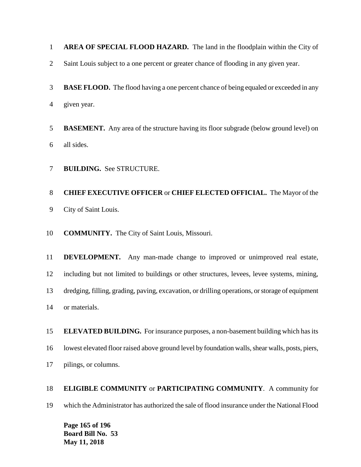**AREA OF SPECIAL FLOOD HAZARD.** The land in the floodplain within the City of

- Saint Louis subject to a one percent or greater chance of flooding in any given year.
- **BASE FLOOD.** The flood having a one percent chance of being equaled or exceeded in any given year.
- **BASEMENT.** Any area of the structure having its floor subgrade (below ground level) on all sides.
- **BUILDING.** See STRUCTURE.

# **CHIEF EXECUTIVE OFFICER** or **CHIEF ELECTED OFFICIAL.** The Mayor of the City of Saint Louis.

**COMMUNITY.** The City of Saint Louis, Missouri.

 **DEVELOPMENT.** Any man-made change to improved or unimproved real estate, including but not limited to buildings or other structures, levees, levee systems, mining, dredging, filling, grading, paving, excavation, or drilling operations, or storage of equipment or materials.

 **ELEVATED BUILDING.** For insurance purposes, a non-basement building which has its lowest elevated floor raised above ground level by foundation walls, shear walls, posts, piers, pilings, or columns.

 **ELIGIBLE COMMUNITY** or **PARTICIPATING COMMUNITY**. A community for which the Administrator has authorized the sale of flood insurance under the National Flood

**Page 165 of 196 Board Bill No. 53 May 11, 2018**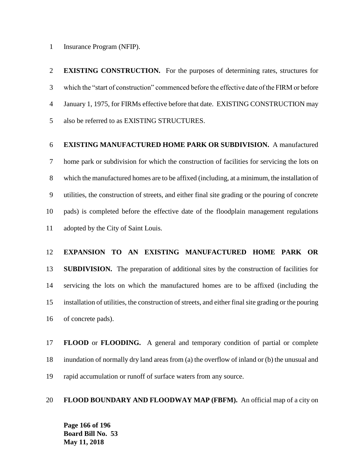Insurance Program (NFIP).

 **EXISTING CONSTRUCTION.** For the purposes of determining rates, structures for which the "start of construction" commenced before the effective date of the FIRM or before January 1, 1975, for FIRMs effective before that date. EXISTING CONSTRUCTION may also be referred to as EXISTING STRUCTURES.

# **EXISTING MANUFACTURED HOME PARK OR SUBDIVISION.** A manufactured

 home park or subdivision for which the construction of facilities for servicing the lots on which the manufactured homes are to be affixed (including, at a minimum, the installation of utilities, the construction of streets, and either final site grading or the pouring of concrete pads) is completed before the effective date of the floodplain management regulations adopted by the City of Saint Louis.

### **EXPANSION TO AN EXISTING MANUFACTURED HOME PARK OR**

 **SUBDIVISION.** The preparation of additional sites by the construction of facilities for servicing the lots on which the manufactured homes are to be affixed (including the installation of utilities, the construction of streets, and either final site grading or the pouring of concrete pads).

 **FLOOD** or **FLOODING.** A general and temporary condition of partial or complete inundation of normally dry land areas from (a) the overflow of inland or (b) the unusual and rapid accumulation or runoff of surface waters from any source.

### **FLOOD BOUNDARY AND FLOODWAY MAP (FBFM).** An official map of a city on

**Page 166 of 196 Board Bill No. 53 May 11, 2018**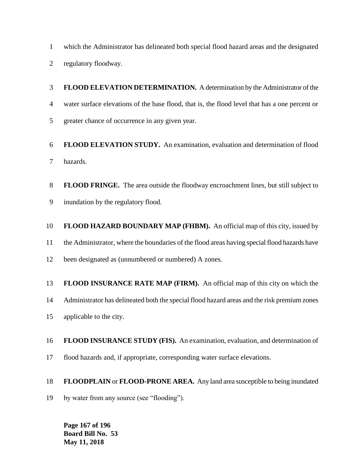which the Administrator has delineated both special flood hazard areas and the designated

regulatory floodway.

 **FLOOD ELEVATION DETERMINATION.** A determination by the Administrator of the water surface elevations of the base flood, that is, the flood level that has a one percent or greater chance of occurrence in any given year.

 **FLOOD ELEVATION STUDY.** An examination, evaluation and determination of flood hazards.

 **FLOOD FRINGE.** The area outside the floodway encroachment lines, but still subject to inundation by the regulatory flood.

**FLOOD HAZARD BOUNDARY MAP (FHBM).** An official map of this city, issued by

the Administrator, where the boundaries of the flood areas having special flood hazards have

12 been designated as (unnumbered or numbered) A zones.

**FLOOD INSURANCE RATE MAP (FIRM).** An official map of this city on which the

Administrator has delineated both the special flood hazard areas and the risk premium zones

applicable to the city.

 **FLOOD INSURANCE STUDY (FIS).** An examination, evaluation, and determination of flood hazards and, if appropriate, corresponding water surface elevations.

# **FLOODPLAIN** or **FLOOD-PRONE AREA.** Any land area susceptible to being inundated

by water from any source (see "flooding").

**Page 167 of 196 Board Bill No. 53 May 11, 2018**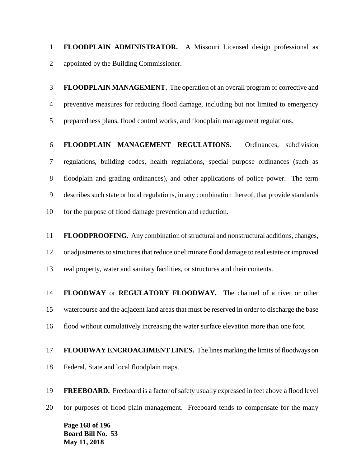**FLOODPLAIN ADMINISTRATOR.** A Missouri Licensed design professional as appointed by the Building Commissioner.

 **FLOODPLAIN MANAGEMENT.** The operation of an overall program of corrective and preventive measures for reducing flood damage, including but not limited to emergency preparedness plans, flood control works, and floodplain management regulations.

 **FLOODPLAIN MANAGEMENT REGULATIONS.** Ordinances, subdivision regulations, building codes, health regulations, special purpose ordinances (such as floodplain and grading ordinances), and other applications of police power. The term describes such state or local regulations, in any combination thereof, that provide standards for the purpose of flood damage prevention and reduction.

 **FLOODPROOFING.** Any combination of structural and nonstructural additions, changes, or adjustments to structures that reduce or eliminate flood damage to real estate or improved real property, water and sanitary facilities, or structures and their contents.

 **FLOODWAY** or **REGULATORY FLOODWAY.** The channel of a river or other watercourse and the adjacent land areas that must be reserved in order to discharge the base flood without cumulatively increasing the water surface elevation more than one foot.

 **FLOODWAY ENCROACHMENT LINES.** The lines marking the limits of floodways on Federal, State and local floodplain maps.

**Page 168 of 196 FREEBOARD.** Freeboard is a factor of safety usually expressed in feet above a flood level for purposes of flood plain management. Freeboard tends to compensate for the many

**Board Bill No. 53 May 11, 2018**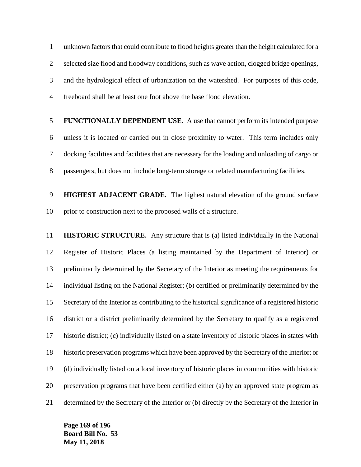unknown factors that could contribute to flood heights greater than the height calculated for a selected size flood and floodway conditions, such as wave action, clogged bridge openings, and the hydrological effect of urbanization on the watershed. For purposes of this code, freeboard shall be at least one foot above the base flood elevation.

 **FUNCTIONALLY DEPENDENT USE.** A use that cannot perform its intended purpose unless it is located or carried out in close proximity to water. This term includes only docking facilities and facilities that are necessary for the loading and unloading of cargo or passengers, but does not include long-term storage or related manufacturing facilities.

 **HIGHEST ADJACENT GRADE.** The highest natural elevation of the ground surface prior to construction next to the proposed walls of a structure.

 **HISTORIC STRUCTURE.** Any structure that is (a) listed individually in the National Register of Historic Places (a listing maintained by the Department of Interior) or preliminarily determined by the Secretary of the Interior as meeting the requirements for individual listing on the National Register; (b) certified or preliminarily determined by the Secretary of the Interior as contributing to the historical significance of a registered historic district or a district preliminarily determined by the Secretary to qualify as a registered historic district; (c) individually listed on a state inventory of historic places in states with historic preservation programs which have been approved by the Secretary of the Interior; or (d) individually listed on a local inventory of historic places in communities with historic preservation programs that have been certified either (a) by an approved state program as determined by the Secretary of the Interior or (b) directly by the Secretary of the Interior in

**Page 169 of 196 Board Bill No. 53 May 11, 2018**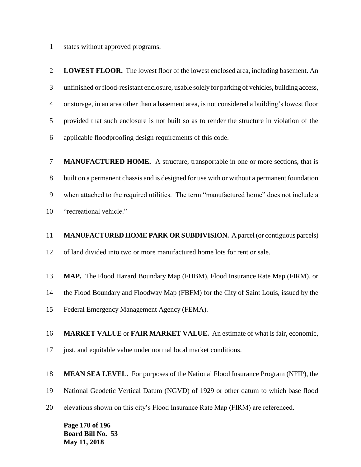states without approved programs.

 **LOWEST FLOOR.** The lowest floor of the lowest enclosed area, including basement. An unfinished or flood-resistant enclosure, usable solely for parking of vehicles, building access, or storage, in an area other than a basement area, is not considered a building's lowest floor provided that such enclosure is not built so as to render the structure in violation of the applicable floodproofing design requirements of this code.

 **MANUFACTURED HOME.** A structure, transportable in one or more sections, that is built on a permanent chassis and is designed for use with or without a permanent foundation when attached to the required utilities. The term "manufactured home" does not include a "recreational vehicle."

 **MANUFACTURED HOME PARK OR SUBDIVISION.** A parcel (or contiguous parcels) of land divided into two or more manufactured home lots for rent or sale.

**MAP.** The Flood Hazard Boundary Map (FHBM), Flood Insurance Rate Map (FIRM), or

the Flood Boundary and Floodway Map (FBFM) for the City of Saint Louis, issued by the

Federal Emergency Management Agency (FEMA).

**MARKET VALUE** or **FAIR MARKET VALUE.** An estimate of what is fair, economic,

just, and equitable value under normal local market conditions.

**MEAN SEA LEVEL.** For purposes of the National Flood Insurance Program (NFIP), the

National Geodetic Vertical Datum (NGVD) of 1929 or other datum to which base flood

elevations shown on this city's Flood Insurance Rate Map (FIRM) are referenced.

**Page 170 of 196 Board Bill No. 53 May 11, 2018**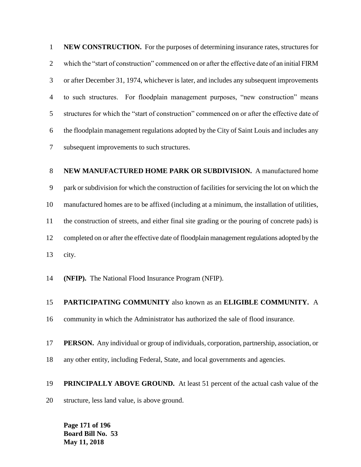**NEW CONSTRUCTION.** For the purposes of determining insurance rates, structures for which the "start of construction" commenced on or after the effective date of an initial FIRM or after December 31, 1974, whichever is later, and includes any subsequent improvements to such structures. For floodplain management purposes, "new construction" means structures for which the "start of construction" commenced on or after the effective date of the floodplain management regulations adopted by the City of Saint Louis and includes any subsequent improvements to such structures.

# **NEW MANUFACTURED HOME PARK OR SUBDIVISION.** A manufactured home park or subdivision for which the construction of facilities for servicing the lot on which the manufactured homes are to be affixed (including at a minimum, the installation of utilities, the construction of streets, and either final site grading or the pouring of concrete pads) is completed on or after the effective date of floodplain management regulations adopted by the city.

**(NFIP).** The National Flood Insurance Program (NFIP).

# **PARTICIPATING COMMUNITY** also known as an **ELIGIBLE COMMUNITY.** A

community in which the Administrator has authorized the sale of flood insurance.

### **PERSON.** Any individual or group of individuals, corporation, partnership, association, or

any other entity, including Federal, State, and local governments and agencies.

# **PRINCIPALLY ABOVE GROUND.** At least 51 percent of the actual cash value of the

structure, less land value, is above ground.

**Page 171 of 196 Board Bill No. 53 May 11, 2018**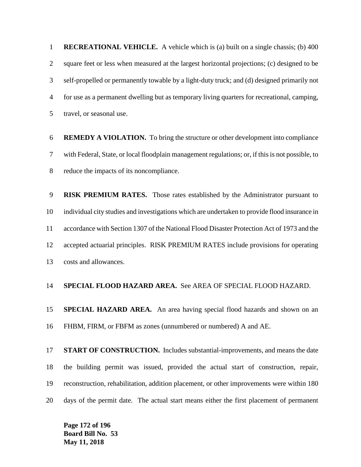**RECREATIONAL VEHICLE.** A vehicle which is (a) built on a single chassis; (b) 400 square feet or less when measured at the largest horizontal projections; (c) designed to be self-propelled or permanently towable by a light-duty truck; and (d) designed primarily not for use as a permanent dwelling but as temporary living quarters for recreational, camping, travel, or seasonal use.

 **REMEDY A VIOLATION.** To bring the structure or other development into compliance with Federal, State, or local floodplain management regulations; or, if this is not possible, to reduce the impacts of its noncompliance.

 **RISK PREMIUM RATES.** Those rates established by the Administrator pursuant to individual city studies and investigations which are undertaken to provide flood insurance in accordance with Section 1307 of the National Flood Disaster Protection Act of 1973 and the accepted actuarial principles. RISK PREMIUM RATES include provisions for operating costs and allowances.

### **SPECIAL FLOOD HAZARD AREA.** See AREA OF SPECIAL FLOOD HAZARD.

 **SPECIAL HAZARD AREA.** An area having special flood hazards and shown on an FHBM, FIRM, or FBFM as zones (unnumbered or numbered) A and AE.

 **START OF CONSTRUCTION.** Includes substantial-improvements, and means the date the building permit was issued, provided the actual start of construction, repair, reconstruction, rehabilitation, addition placement, or other improvements were within 180 days of the permit date. The actual start means either the first placement of permanent

**Page 172 of 196 Board Bill No. 53 May 11, 2018**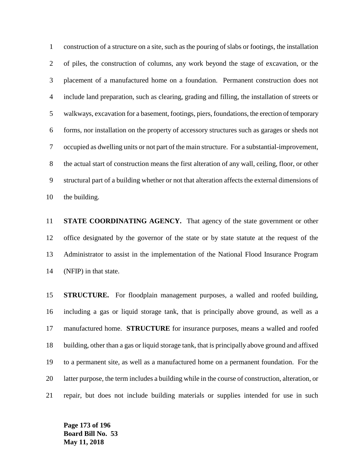construction of a structure on a site, such as the pouring of slabs or footings, the installation of piles, the construction of columns, any work beyond the stage of excavation, or the placement of a manufactured home on a foundation. Permanent construction does not include land preparation, such as clearing, grading and filling, the installation of streets or walkways, excavation for a basement, footings, piers, foundations, the erection of temporary forms, nor installation on the property of accessory structures such as garages or sheds not occupied as dwelling units or not part of the main structure. For a substantial-improvement, the actual start of construction means the first alteration of any wall, ceiling, floor, or other structural part of a building whether or not that alteration affects the external dimensions of the building.

 **STATE COORDINATING AGENCY.** That agency of the state government or other office designated by the governor of the state or by state statute at the request of the Administrator to assist in the implementation of the National Flood Insurance Program (NFIP) in that state.

 **STRUCTURE.** For floodplain management purposes, a walled and roofed building, including a gas or liquid storage tank, that is principally above ground, as well as a manufactured home. **STRUCTURE** for insurance purposes, means a walled and roofed building, other than a gas or liquid storage tank, that is principally above ground and affixed to a permanent site, as well as a manufactured home on a permanent foundation. For the latter purpose, the term includes a building while in the course of construction, alteration, or repair, but does not include building materials or supplies intended for use in such

**Page 173 of 196 Board Bill No. 53 May 11, 2018**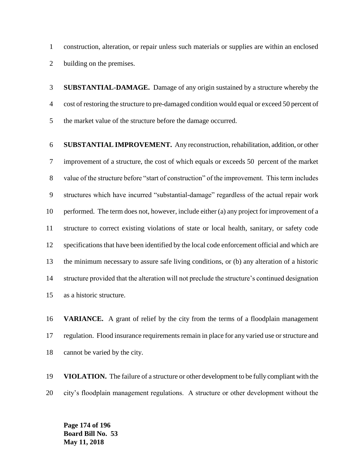construction, alteration, or repair unless such materials or supplies are within an enclosed building on the premises.

 **SUBSTANTIAL-DAMAGE.** Damage of any origin sustained by a structure whereby the cost of restoring the structure to pre-damaged condition would equal or exceed 50 percent of the market value of the structure before the damage occurred.

 **SUBSTANTIAL IMPROVEMENT.** Any reconstruction, rehabilitation, addition, or other improvement of a structure, the cost of which equals or exceeds 50 percent of the market value of the structure before "start of construction" of the improvement. This term includes structures which have incurred "substantial-damage" regardless of the actual repair work performed. The term does not, however, include either (a) any project for improvement of a structure to correct existing violations of state or local health, sanitary, or safety code specifications that have been identified by the local code enforcement official and which are the minimum necessary to assure safe living conditions, or (b) any alteration of a historic structure provided that the alteration will not preclude the structure's continued designation as a historic structure.

 **VARIANCE.** A grant of relief by the city from the terms of a floodplain management regulation. Flood insurance requirements remain in place for any varied use or structure and cannot be varied by the city.

 **VIOLATION.** The failure of a structure or other development to be fully compliant with the city's floodplain management regulations. A structure or other development without the

**Page 174 of 196 Board Bill No. 53 May 11, 2018**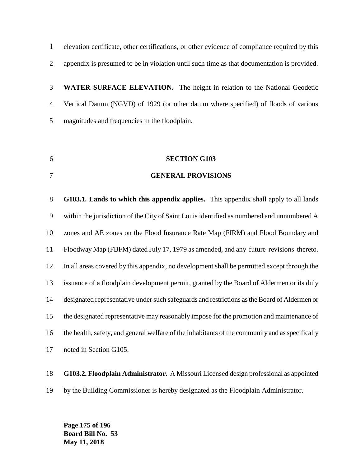elevation certificate, other certifications, or other evidence of compliance required by this appendix is presumed to be in violation until such time as that documentation is provided.

 **WATER SURFACE ELEVATION.** The height in relation to the National Geodetic Vertical Datum (NGVD) of 1929 (or other datum where specified) of floods of various magnitudes and frequencies in the floodplain.

**SECTION G103**

### **GENERAL PROVISIONS**

 **G103.1. Lands to which this appendix applies.** This appendix shall apply to all lands within the jurisdiction of the City of Saint Louis identified as numbered and unnumbered A zones and AE zones on the Flood Insurance Rate Map (FIRM) and Flood Boundary and Floodway Map (FBFM) dated July 17, 1979 as amended, and any future revisions thereto. In all areas covered by this appendix, no development shall be permitted except through the issuance of a floodplain development permit, granted by the Board of Aldermen or its duly designated representative under such safeguards and restrictions as the Board of Aldermen or the designated representative may reasonably impose for the promotion and maintenance of the health, safety, and general welfare of the inhabitants of the community and as specifically noted in Section G105.

**G103.2. Floodplain Administrator.** A Missouri Licensed design professional as appointed

by the Building Commissioner is hereby designated as the Floodplain Administrator.

**Page 175 of 196 Board Bill No. 53 May 11, 2018**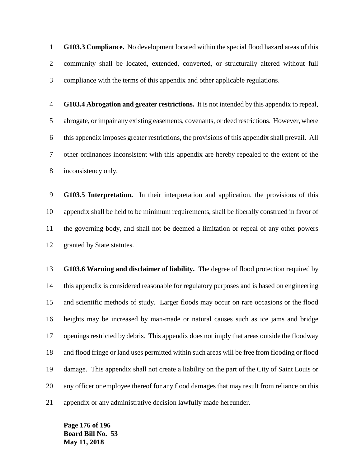**G103.3 Compliance.** No development located within the special flood hazard areas of this community shall be located, extended, converted, or structurally altered without full compliance with the terms of this appendix and other applicable regulations.

 **G103.4 Abrogation and greater restrictions.** It is not intended by this appendix to repeal, abrogate, or impair any existing easements, covenants, or deed restrictions. However, where this appendix imposes greater restrictions, the provisions of this appendix shall prevail. All other ordinances inconsistent with this appendix are hereby repealed to the extent of the inconsistency only.

 **G103.5 Interpretation.** In their interpretation and application, the provisions of this appendix shall be held to be minimum requirements, shall be liberally construed in favor of the governing body, and shall not be deemed a limitation or repeal of any other powers granted by State statutes.

 **G103.6 Warning and disclaimer of liability.** The degree of flood protection required by this appendix is considered reasonable for regulatory purposes and is based on engineering and scientific methods of study. Larger floods may occur on rare occasions or the flood heights may be increased by man-made or natural causes such as ice jams and bridge openings restricted by debris. This appendix does not imply that areas outside the floodway and flood fringe or land uses permitted within such areas will be free from flooding or flood damage. This appendix shall not create a liability on the part of the City of Saint Louis or any officer or employee thereof for any flood damages that may result from reliance on this appendix or any administrative decision lawfully made hereunder.

**Page 176 of 196 Board Bill No. 53 May 11, 2018**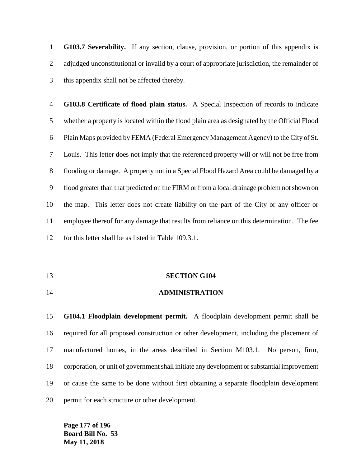**G103.7 Severability.** If any section, clause, provision, or portion of this appendix is adjudged unconstitutional or invalid by a court of appropriate jurisdiction, the remainder of this appendix shall not be affected thereby.

 **G103.8 Certificate of flood plain status.** A Special Inspection of records to indicate whether a property is located within the flood plain area as designated by the Official Flood Plain Maps provided by FEMA (Federal Emergency Management Agency) to the City of St. Louis. This letter does not imply that the referenced property will or will not be free from flooding or damage. A property not in a Special Flood Hazard Area could be damaged by a flood greater than that predicted on the FIRM or from a local drainage problem not shown on the map. This letter does not create liability on the part of the City or any officer or employee thereof for any damage that results from reliance on this determination. The fee for this letter shall be as listed in Table 109.3.1.

#### **SECTION G104**

**ADMINISTRATION**

 **G104.1 Floodplain development permit.** A floodplain development permit shall be required for all proposed construction or other development, including the placement of manufactured homes, in the areas described in Section M103.1. No person, firm, corporation, or unit of government shall initiate any development or substantial improvement or cause the same to be done without first obtaining a separate floodplain development permit for each structure or other development.

**Page 177 of 196 Board Bill No. 53 May 11, 2018**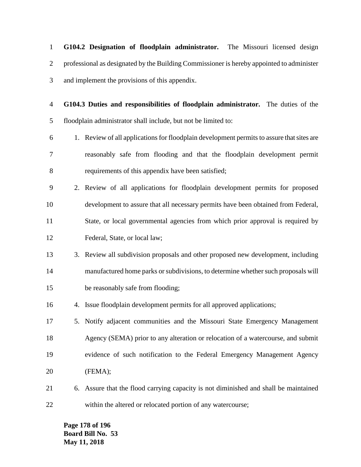**G104.2 Designation of floodplain administrator.** The Missouri licensed design professional as designated by the Building Commissioner is hereby appointed to administer and implement the provisions of this appendix.

 **G104.3 Duties and responsibilities of floodplain administrator.** The duties of the floodplain administrator shall include, but not be limited to:

- 1. Review of all applications for floodplain development permits to assure that sites are reasonably safe from flooding and that the floodplain development permit requirements of this appendix have been satisfied;
- 2. Review of all applications for floodplain development permits for proposed development to assure that all necessary permits have been obtained from Federal, State, or local governmental agencies from which prior approval is required by Federal, State, or local law;
- 3. Review all subdivision proposals and other proposed new development, including manufactured home parks or subdivisions, to determine whether such proposals will be reasonably safe from flooding;
- 4. Issue floodplain development permits for all approved applications;
- 5. Notify adjacent communities and the Missouri State Emergency Management Agency (SEMA) prior to any alteration or relocation of a watercourse, and submit evidence of such notification to the Federal Emergency Management Agency (FEMA);
- 6. Assure that the flood carrying capacity is not diminished and shall be maintained within the altered or relocated portion of any watercourse;

**Page 178 of 196 Board Bill No. 53 May 11, 2018**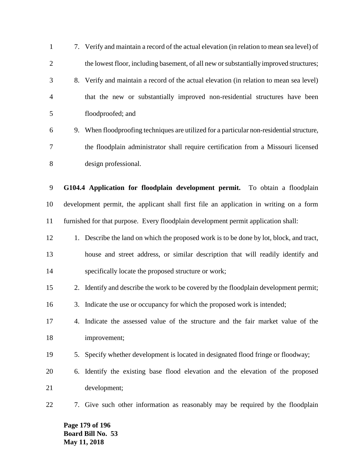7. Verify and maintain a record of the actual elevation (in relation to mean sea level) of 2 the lowest floor, including basement, of all new or substantially improved structures; 8. Verify and maintain a record of the actual elevation (in relation to mean sea level) that the new or substantially improved non-residential structures have been floodproofed; and 9. When floodproofing techniques are utilized for a particular non-residential structure, the floodplain administrator shall require certification from a Missouri licensed design professional. **G104.4 Application for floodplain development permit.** To obtain a floodplain development permit, the applicant shall first file an application in writing on a form furnished for that purpose. Every floodplain development permit application shall: 12 1. Describe the land on which the proposed work is to be done by lot, block, and tract, house and street address, or similar description that will readily identify and specifically locate the proposed structure or work; 2. Identify and describe the work to be covered by the floodplain development permit; 3. Indicate the use or occupancy for which the proposed work is intended; 4. Indicate the assessed value of the structure and the fair market value of the improvement; 5. Specify whether development is located in designated flood fringe or floodway; 6. Identify the existing base flood elevation and the elevation of the proposed development; 7. Give such other information as reasonably may be required by the floodplain

**Page 179 of 196 Board Bill No. 53 May 11, 2018**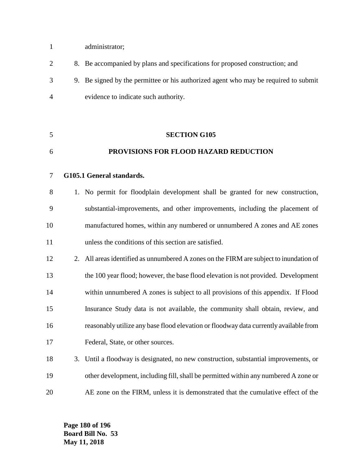- administrator;
- 8. Be accompanied by plans and specifications for proposed construction; and 9. Be signed by the permittee or his authorized agent who may be required to submit evidence to indicate such authority.
- **PROVISIONS FOR FLOOD HAZARD REDUCTION G105.1 General standards.**

**SECTION G105**

- 1. No permit for floodplain development shall be granted for new construction, substantial-improvements, and other improvements, including the placement of manufactured homes, within any numbered or unnumbered A zones and AE zones unless the conditions of this section are satisfied.
- 12 2. All areas identified as unnumbered A zones on the FIRM are subject to inundation of the 100 year flood; however, the base flood elevation is not provided. Development within unnumbered A zones is subject to all provisions of this appendix. If Flood Insurance Study data is not available, the community shall obtain, review, and reasonably utilize any base flood elevation or floodway data currently available from Federal, State, or other sources.
- 3. Until a floodway is designated, no new construction, substantial improvements, or other development, including fill, shall be permitted within any numbered A zone or AE zone on the FIRM, unless it is demonstrated that the cumulative effect of the

**Page 180 of 196 Board Bill No. 53 May 11, 2018**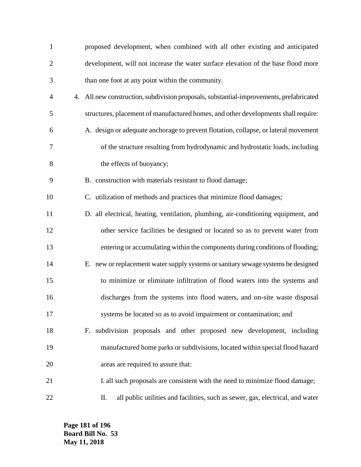| $\mathbf{1}$   | proposed development, when combined with all other existing and anticipated             |
|----------------|-----------------------------------------------------------------------------------------|
| $\overline{2}$ | development, will not increase the water surface elevation of the base flood more       |
| 3              | than one foot at any point within the community.                                        |
| 4              | 4. All new construction, subdivision proposals, substantial-improvements, prefabricated |
| 5              | structures, placement of manufactured homes, and other developments shall require:      |
| 6              | A. design or adequate anchorage to prevent flotation, collapse, or lateral movement     |
| 7              | of the structure resulting from hydrodynamic and hydrostatic loads, including           |
| 8              | the effects of buoyancy;                                                                |
| 9              | B. construction with materials resistant to flood damage;                               |
| 10             | C. utilization of methods and practices that minimize flood damages;                    |
| 11             | D. all electrical, heating, ventilation, plumbing, air-conditioning equipment, and      |
| 12             | other service facilities be designed or located so as to prevent water from             |
| 13             | entering or accumulating within the components during conditions of flooding;           |
| 14             | E. new or replacement water supply systems or sanitary sewage systems be designed       |
| 15             | to minimize or eliminate infiltration of flood waters into the systems and              |
| 16             | discharges from the systems into flood waters, and on-site waste disposal               |
| 17             | systems be located so as to avoid impairment or contamination; and                      |
| 18             | F. subdivision proposals and other proposed new development, including                  |
| 19             | manufactured home parks or subdivisions, located within special flood hazard            |
| 20             | areas are required to assure that:                                                      |
| 21             | I. all such proposals are consistent with the need to minimize flood damage;            |
| 22             | all public utilities and facilities, such as sewer, gas, electrical, and water<br>П.    |

**Page 181 of 196 Board Bill No. 53 May 11, 2018**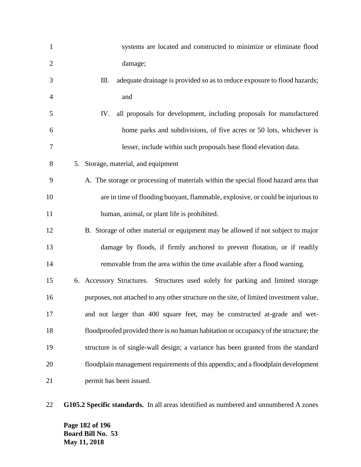| $\mathbf{1}$   | systems are located and constructed to minimize or eliminate flood                      |
|----------------|-----------------------------------------------------------------------------------------|
| $\mathfrak{2}$ | damage;                                                                                 |
| 3              | Ш.<br>adequate drainage is provided so as to reduce exposure to flood hazards;          |
| 4              | and                                                                                     |
| 5              | all proposals for development, including proposals for manufactured<br>IV.              |
| 6              | home parks and subdivisions, of five acres or 50 lots, whichever is                     |
| 7              | lesser, include within such proposals base flood elevation data.                        |
| 8              | 5. Storage, material, and equipment                                                     |
| 9              | A. The storage or processing of materials within the special flood hazard area that     |
| 10             | are in time of flooding buoyant, flammable, explosive, or could be injurious to         |
| 11             | human, animal, or plant life is prohibited.                                             |
| 12             | B. Storage of other material or equipment may be allowed if not subject to major        |
| 13             | damage by floods, if firmly anchored to prevent flotation, or if readily                |
| 14             | removable from the area within the time available after a flood warning.                |
| 15             | 6. Accessory Structures. Structures used solely for parking and limited storage         |
| 16             | purposes, not attached to any other structure on the site, of limited investment value, |
| 17             | and not larger than 400 square feet, may be constructed at-grade and wet-               |
| 18             | floodproofed provided there is no human habitation or occupancy of the structure; the   |
| 19             | structure is of single-wall design; a variance has been granted from the standard       |
| 20             | floodplain management requirements of this appendix; and a floodplain development       |
| 21             | permit has been issued.                                                                 |

**G105.2 Specific standards.** In all areas identified as numbered and unnumbered A zones

**Page 182 of 196 Board Bill No. 53 May 11, 2018**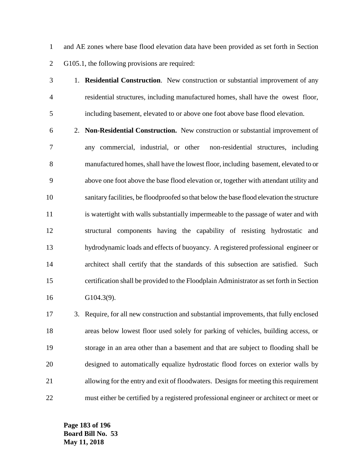and AE zones where base flood elevation data have been provided as set forth in Section G105.1, the following provisions are required:

 1. **Residential Construction**. New construction or substantial improvement of any residential structures, including manufactured homes, shall have the owest floor, including basement, elevated to or above one foot above base flood elevation.

 2. **Non-Residential Construction.** New construction or substantial improvement of any commercial, industrial, or other non-residential structures, including manufactured homes, shall have the lowest floor, including basement, elevated to or above one foot above the base flood elevation or, together with attendant utility and sanitary facilities, be floodproofed so that below the base flood elevation the structure is watertight with walls substantially impermeable to the passage of water and with structural components having the capability of resisting hydrostatic and hydrodynamic loads and effects of buoyancy. A registered professional engineer or architect shall certify that the standards of this subsection are satisfied. Such certification shall be provided to the Floodplain Administrator as set forth in Section G104.3(9).

 3. Require, for all new construction and substantial improvements, that fully enclosed areas below lowest floor used solely for parking of vehicles, building access, or storage in an area other than a basement and that are subject to flooding shall be designed to automatically equalize hydrostatic flood forces on exterior walls by allowing for the entry and exit of floodwaters. Designs for meeting this requirement must either be certified by a registered professional engineer or architect or meet or

**Page 183 of 196 Board Bill No. 53 May 11, 2018**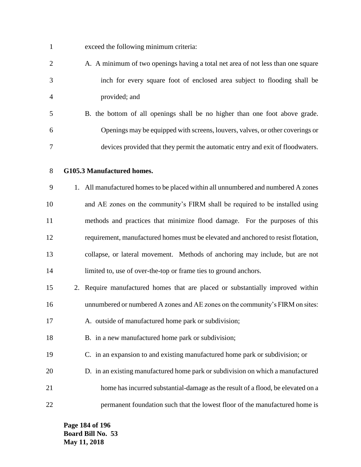| $\mathbf{1}$   | exceed the following minimum criteria:                                             |
|----------------|------------------------------------------------------------------------------------|
| $\overline{2}$ | A. A minimum of two openings having a total net area of not less than one square   |
| 3              | inch for every square foot of enclosed area subject to flooding shall be           |
| 4              | provided; and                                                                      |
| 5              | B. the bottom of all openings shall be no higher than one foot above grade.        |
| 6              | Openings may be equipped with screens, louvers, valves, or other coverings or      |
| 7              | devices provided that they permit the automatic entry and exit of floodwaters.     |
| 8              | G105.3 Manufactured homes.                                                         |
| 9              | 1. All manufactured homes to be placed within all unnumbered and numbered A zones  |
| 10             | and AE zones on the community's FIRM shall be required to be installed using       |
| 11             | methods and practices that minimize flood damage. For the purposes of this         |
| 12             | requirement, manufactured homes must be elevated and anchored to resist flotation, |
| 13             | collapse, or lateral movement. Methods of anchoring may include, but are not       |
| 14             | limited to, use of over-the-top or frame ties to ground anchors.                   |
| 15             | 2. Require manufactured homes that are placed or substantially improved within     |
| 16             | unnumbered or numbered A zones and AE zones on the community's FIRM on sites:      |
| 17             | A. outside of manufactured home park or subdivision;                               |
| 18             | B. in a new manufactured home park or subdivision;                                 |
| 19             | C. in an expansion to and existing manufactured home park or subdivision; or       |
| 20             | D. in an existing manufactured home park or subdivision on which a manufactured    |
| 21             | home has incurred substantial-damage as the result of a flood, be elevated on a    |
| 22             | permanent foundation such that the lowest floor of the manufactured home is        |

**Page 184 of 196 Board Bill No. 53 May 11, 2018**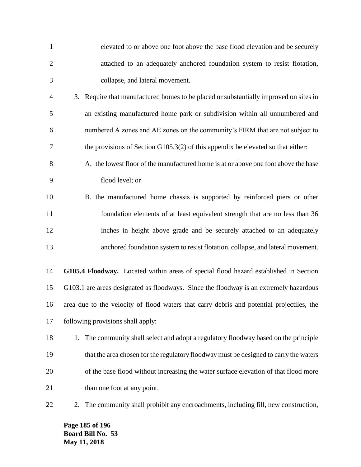| $\mathbf{1}$   | elevated to or above one foot above the base flood elevation and be securely              |
|----------------|-------------------------------------------------------------------------------------------|
| $\overline{2}$ | attached to an adequately anchored foundation system to resist flotation,                 |
| 3              | collapse, and lateral movement.                                                           |
| $\overline{4}$ | 3. Require that manufactured homes to be placed or substantially improved on sites in     |
| 5              | an existing manufactured home park or subdivision within all unnumbered and               |
| 6              | numbered A zones and AE zones on the community's FIRM that are not subject to             |
| 7              | the provisions of Section G105.3(2) of this appendix be elevated so that either:          |
| 8              | A. the lowest floor of the manufactured home is at or above one foot above the base       |
| 9              | flood level; or                                                                           |
| 10             | B. the manufactured home chassis is supported by reinforced piers or other                |
| 11             | foundation elements of at least equivalent strength that are no less than 36              |
| 12             | inches in height above grade and be securely attached to an adequately                    |
| 13             | anchored foundation system to resist flotation, collapse, and lateral movement.           |
| 14             | G105.4 Floodway. Located within areas of special flood hazard established in Section      |
| 15             | G103.1 are areas designated as floodways. Since the floodway is an extremely hazardous    |
| 16             | area due to the velocity of flood waters that carry debris and potential projectiles, the |
| 17             | following provisions shall apply:                                                         |
| 18             | The community shall select and adopt a regulatory floodway based on the principle<br>1.   |
| 19             | that the area chosen for the regulatory floodway must be designed to carry the waters     |
| 20             | of the base flood without increasing the water surface elevation of that flood more       |
| 21             | than one foot at any point.                                                               |
| 22             | The community shall prohibit any encroachments, including fill, new construction,<br>2.   |

**Page 185 of 196 Board Bill No. 53 May 11, 2018**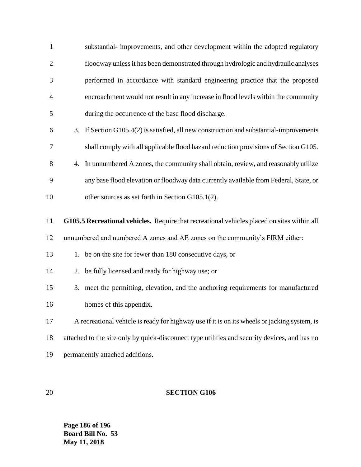| $\mathbf{1}$   | substantial- improvements, and other development within the adopted regulatory                |
|----------------|-----------------------------------------------------------------------------------------------|
| $\overline{2}$ | floodway unless it has been demonstrated through hydrologic and hydraulic analyses            |
| 3              | performed in accordance with standard engineering practice that the proposed                  |
| 4              | encroachment would not result in any increase in flood levels within the community            |
| 5              | during the occurrence of the base flood discharge.                                            |
| 6              | 3. If Section G105.4(2) is satisfied, all new construction and substantial-improvements       |
| 7              | shall comply with all applicable flood hazard reduction provisions of Section G105.           |
| 8              | In unnumbered A zones, the community shall obtain, review, and reasonably utilize<br>4.       |
| 9              | any base flood elevation or floodway data currently available from Federal, State, or         |
| 10             | other sources as set forth in Section G105.1(2).                                              |
| 11             | G105.5 Recreational vehicles. Require that recreational vehicles placed on sites within all   |
| 12             | unnumbered and numbered A zones and AE zones on the community's FIRM either:                  |
| 13             | be on the site for fewer than 180 consecutive days, or<br>1.                                  |
| 14             | 2. be fully licensed and ready for highway use; or                                            |
| 15             | 3. meet the permitting, elevation, and the anchoring requirements for manufactured            |
| 16             | homes of this appendix.                                                                       |
| 17             | A recreational vehicle is ready for highway use if it is on its wheels or jacking system, is  |
| 18             | attached to the site only by quick-disconnect type utilities and security devices, and has no |
|                |                                                                                               |

permanently attached additions.

# **SECTION G106**

**Page 186 of 196 Board Bill No. 53 May 11, 2018**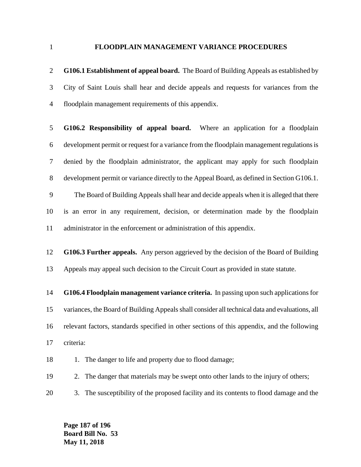### **FLOODPLAIN MANAGEMENT VARIANCE PROCEDURES**

 **G106.1 Establishment of appeal board.** The Board of Building Appeals as established by City of Saint Louis shall hear and decide appeals and requests for variances from the floodplain management requirements of this appendix.

 **G106.2 Responsibility of appeal board.** Where an application for a floodplain development permit or request for a variance from the floodplain management regulations is denied by the floodplain administrator, the applicant may apply for such floodplain development permit or variance directly to the Appeal Board, as defined in Section G106.1. The Board of Building Appeals shall hear and decide appeals when it is alleged that there

 is an error in any requirement, decision, or determination made by the floodplain administrator in the enforcement or administration of this appendix.

 **G106.3 Further appeals.** Any person aggrieved by the decision of the Board of Building Appeals may appeal such decision to the Circuit Court as provided in state statute.

 **G106.4 Floodplain management variance criteria.** In passing upon such applications for variances, the Board of Building Appeals shall consider all technical data and evaluations, all relevant factors, standards specified in other sections of this appendix, and the following criteria:

18 1. The danger to life and property due to flood damage;

2. The danger that materials may be swept onto other lands to the injury of others;

3. The susceptibility of the proposed facility and its contents to flood damage and the

**Page 187 of 196 Board Bill No. 53 May 11, 2018**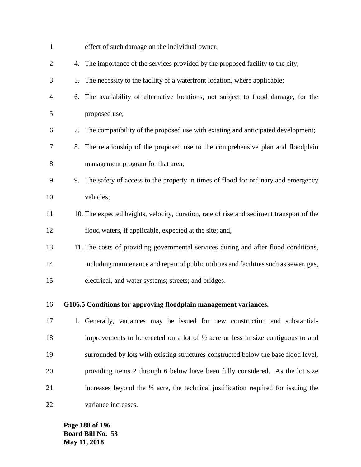| $\mathbf{1}$   |    | effect of such damage on the individual owner;                                                |
|----------------|----|-----------------------------------------------------------------------------------------------|
| $\overline{c}$ | 4. | The importance of the services provided by the proposed facility to the city;                 |
| 3              | 5. | The necessity to the facility of a waterfront location, where applicable;                     |
| 4              | 6. | The availability of alternative locations, not subject to flood damage, for the               |
| 5              |    | proposed use;                                                                                 |
| 6              | 7. | The compatibility of the proposed use with existing and anticipated development;              |
| 7              | 8. | The relationship of the proposed use to the comprehensive plan and floodplain                 |
| 8              |    | management program for that area;                                                             |
| 9              |    | 9. The safety of access to the property in times of flood for ordinary and emergency          |
| 10             |    | vehicles;                                                                                     |
| 11             |    | 10. The expected heights, velocity, duration, rate of rise and sediment transport of the      |
| 12             |    | flood waters, if applicable, expected at the site; and,                                       |
| 13             |    | 11. The costs of providing governmental services during and after flood conditions,           |
| 14             |    | including maintenance and repair of public utilities and facilities such as sewer, gas,       |
| 15             |    | electrical, and water systems; streets; and bridges.                                          |
| 16             |    | G106.5 Conditions for approving floodplain management variances.                              |
| 17             |    | 1. Generally, variances may be issued for new construction and substantial-                   |
| 18             |    | improvements to be erected on a lot of $\frac{1}{2}$ acre or less in size contiguous to and   |
| 19             |    | surrounded by lots with existing structures constructed below the base flood level,           |
| 20             |    | providing items 2 through 6 below have been fully considered. As the lot size                 |
| 21             |    | increases beyond the $\frac{1}{2}$ acre, the technical justification required for issuing the |
|                |    |                                                                                               |

variance increases.

**Page 188 of 196 Board Bill No. 53 May 11, 2018**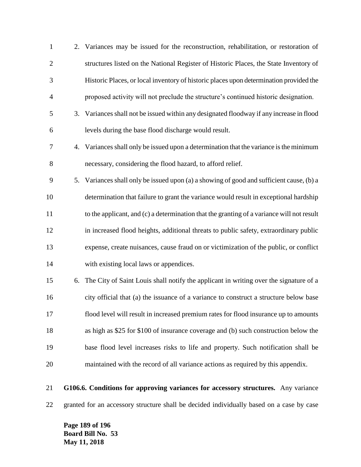| $\mathbf{1}$   |    | 2. Variances may be issued for the reconstruction, rehabilitation, or restoration of      |
|----------------|----|-------------------------------------------------------------------------------------------|
| $\overline{2}$ |    | structures listed on the National Register of Historic Places, the State Inventory of     |
| 3              |    | Historic Places, or local inventory of historic places upon determination provided the    |
| $\overline{4}$ |    | proposed activity will not preclude the structure's continued historic designation.       |
| 5              | 3. | Variances shall not be issued within any designated floodway if any increase in flood     |
| 6              |    | levels during the base flood discharge would result.                                      |
| 7              |    | 4. Variances shall only be issued upon a determination that the variance is the minimum   |
| 8              |    | necessary, considering the flood hazard, to afford relief.                                |
| 9              |    | 5. Variances shall only be issued upon (a) a showing of good and sufficient cause, (b) a  |
| 10             |    | determination that failure to grant the variance would result in exceptional hardship     |
| 11             |    | to the applicant, and (c) a determination that the granting of a variance will not result |
| 12             |    | in increased flood heights, additional threats to public safety, extraordinary public     |
| 13             |    | expense, create nuisances, cause fraud on or victimization of the public, or conflict     |
| 14             |    | with existing local laws or appendices.                                                   |
| 15             | 6. | The City of Saint Louis shall notify the applicant in writing over the signature of a     |
| 16             |    | city official that (a) the issuance of a variance to construct a structure below base     |
| 17             |    | flood level will result in increased premium rates for flood insurance up to amounts      |
| 18             |    | as high as \$25 for \$100 of insurance coverage and (b) such construction below the       |
| 19             |    | base flood level increases risks to life and property. Such notification shall be         |
| 20             |    | maintained with the record of all variance actions as required by this appendix.          |
|                |    |                                                                                           |

 **G106.6. Conditions for approving variances for accessory structures.** Any variance granted for an accessory structure shall be decided individually based on a case by case

**Page 189 of 196 Board Bill No. 53 May 11, 2018**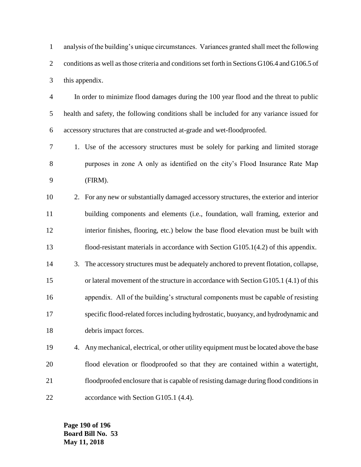analysis of the building's unique circumstances. Variances granted shall meet the following conditions as well as those criteria and conditions set forth in Sections G106.4 and G106.5 of this appendix.

 In order to minimize flood damages during the 100 year flood and the threat to public health and safety, the following conditions shall be included for any variance issued for accessory structures that are constructed at-grade and wet-floodproofed.

 1. Use of the accessory structures must be solely for parking and limited storage purposes in zone A only as identified on the city's Flood Insurance Rate Map (FIRM).

 2. For any new or substantially damaged accessory structures, the exterior and interior building components and elements (i.e., foundation, wall framing, exterior and interior finishes, flooring, etc.) below the base flood elevation must be built with flood-resistant materials in accordance with Section G105.1(4.2) of this appendix.

- 3. The accessory structures must be adequately anchored to prevent flotation, collapse, or lateral movement of the structure in accordance with Section G105.1 (4.1) of this appendix. All of the building's structural components must be capable of resisting specific flood-related forces including hydrostatic, buoyancy, and hydrodynamic and debris impact forces.
- 4. Any mechanical, electrical, or other utility equipment must be located above the base flood elevation or floodproofed so that they are contained within a watertight, floodproofed enclosure that is capable of resisting damage during flood conditions in 22 accordance with Section G105.1 (4.4).

**Page 190 of 196 Board Bill No. 53 May 11, 2018**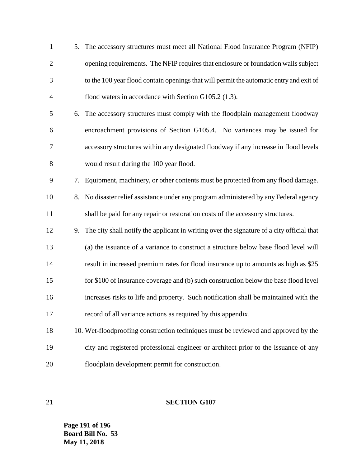| $\mathbf{1}$   |    | 5. The accessory structures must meet all National Flood Insurance Program (NFIP)            |
|----------------|----|----------------------------------------------------------------------------------------------|
| $\overline{2}$ |    | opening requirements. The NFIP requires that enclosure or foundation walls subject           |
| 3              |    | to the 100 year flood contain openings that will permit the automatic entry and exit of      |
| $\overline{4}$ |    | flood waters in accordance with Section G105.2 (1.3).                                        |
| 5              |    | 6. The accessory structures must comply with the floodplain management floodway              |
| 6              |    | encroachment provisions of Section G105.4. No variances may be issued for                    |
| 7              |    | accessory structures within any designated floodway if any increase in flood levels          |
| $8\,$          |    | would result during the 100 year flood.                                                      |
| 9              | 7. | Equipment, machinery, or other contents must be protected from any flood damage.             |
| 10             | 8. | No disaster relief assistance under any program administered by any Federal agency           |
| 11             |    | shall be paid for any repair or restoration costs of the accessory structures.               |
| 12             |    | 9. The city shall notify the applicant in writing over the signature of a city official that |
| 13             |    | (a) the issuance of a variance to construct a structure below base flood level will          |
| 14             |    | result in increased premium rates for flood insurance up to amounts as high as \$25          |
| 15             |    | for \$100 of insurance coverage and (b) such construction below the base flood level         |
| 16             |    | increases risks to life and property. Such notification shall be maintained with the         |
| 17             |    | record of all variance actions as required by this appendix.                                 |
| 18             |    | 10. Wet-floodproofing construction techniques must be reviewed and approved by the           |
| 19             |    | city and registered professional engineer or architect prior to the issuance of any          |
| 20             |    | floodplain development permit for construction.                                              |

# **SECTION G107**

**Page 191 of 196 Board Bill No. 53 May 11, 2018**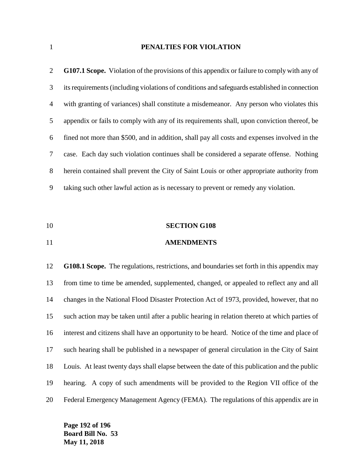## **PENALTIES FOR VIOLATION**

| 2              | <b>G107.1 Scope.</b> Violation of the provisions of this appendix or failure to comply with any of |
|----------------|----------------------------------------------------------------------------------------------------|
| 3              | its requirements (including violations of conditions and safeguards established in connection      |
| $\overline{4}$ | with granting of variances) shall constitute a misdemeanor. Any person who violates this           |
| 5              | appendix or fails to comply with any of its requirements shall, upon conviction thereof, be        |
| 6              | fined not more than \$500, and in addition, shall pay all costs and expenses involved in the       |
| 7              | case. Each day such violation continues shall be considered a separate offense. Nothing            |
| 8              | herein contained shall prevent the City of Saint Louis or other appropriate authority from         |
| 9              | taking such other lawful action as is necessary to prevent or remedy any violation.                |

- **SECTION G108**
- **AMENDMENTS**

 **G108.1 Scope.** The regulations, restrictions, and boundaries set forth in this appendix may from time to time be amended, supplemented, changed, or appealed to reflect any and all changes in the National Flood Disaster Protection Act of 1973, provided, however, that no such action may be taken until after a public hearing in relation thereto at which parties of interest and citizens shall have an opportunity to be heard. Notice of the time and place of such hearing shall be published in a newspaper of general circulation in the City of Saint Louis. At least twenty days shall elapse between the date of this publication and the public hearing. A copy of such amendments will be provided to the Region VII office of the Federal Emergency Management Agency (FEMA). The regulations of this appendix are in

**Page 192 of 196 Board Bill No. 53 May 11, 2018**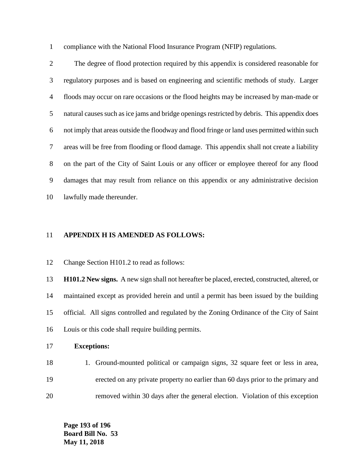compliance with the National Flood Insurance Program (NFIP) regulations.

 The degree of flood protection required by this appendix is considered reasonable for regulatory purposes and is based on engineering and scientific methods of study. Larger floods may occur on rare occasions or the flood heights may be increased by man-made or natural causes such as ice jams and bridge openings restricted by debris. This appendix does not imply that areas outside the floodway and flood fringe or land uses permitted within such areas will be free from flooding or flood damage. This appendix shall not create a liability on the part of the City of Saint Louis or any officer or employee thereof for any flood damages that may result from reliance on this appendix or any administrative decision lawfully made thereunder.

### **APPENDIX H IS AMENDED AS FOLLOWS:**

Change Section H101.2 to read as follows:

 **H101.2 New signs.** A new sign shall not hereafter be placed, erected, constructed, altered, or maintained except as provided herein and until a permit has been issued by the building official. All signs controlled and regulated by the Zoning Ordinance of the City of Saint Louis or this code shall require building permits.

#### **Exceptions:**

18 18 1. Ground-mounted political or campaign signs, 32 square feet or less in area, erected on any private property no earlier than 60 days prior to the primary and removed within 30 days after the general election. Violation of this exception

**Page 193 of 196 Board Bill No. 53 May 11, 2018**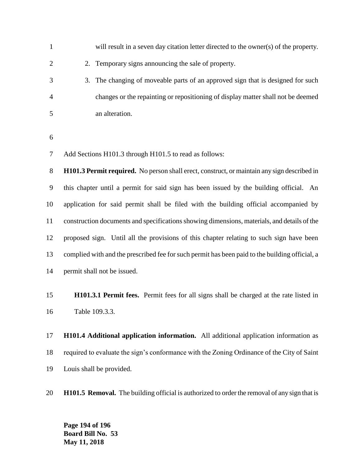| 1              | will result in a seven day citation letter directed to the owner(s) of the property.               |
|----------------|----------------------------------------------------------------------------------------------------|
| 2              | 2. Temporary signs announcing the sale of property.                                                |
| 3              | 3. The changing of moveable parts of an approved sign that is designed for such                    |
| $\overline{4}$ | changes or the repainting or repositioning of display matter shall not be deemed                   |
| 5              | an alteration.                                                                                     |
|                |                                                                                                    |
| 6              |                                                                                                    |
| 7              | Add Sections H101.3 through H101.5 to read as follows:                                             |
| 8              | <b>H101.3 Permit required.</b> No person shall erect, construct, or maintain any sign described in |
| 9              | this chapter until a permit for said sign has been issued by the building official. An             |
| 10             | application for said permit shall be filed with the building official accompanied by               |

**H101.3.1 Permit fees.** Permit fees for all signs shall be charged at the rate listed in

construction documents and specifications showing dimensions, materials, and details of the

proposed sign. Until all the provisions of this chapter relating to such sign have been

complied with and the prescribed fee for such permit has been paid to the building official, a

Table 109.3.3.

permit shall not be issued.

 **H101.4 Additional application information.** All additional application information as required to evaluate the sign's conformance with the Zoning Ordinance of the City of Saint Louis shall be provided.

**H101.5 Removal.** The building official is authorized to order the removal of any sign that is

**Page 194 of 196 Board Bill No. 53 May 11, 2018**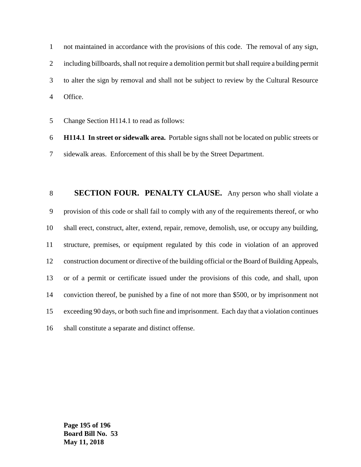not maintained in accordance with the provisions of this code. The removal of any sign, including billboards, shall not require a demolition permit but shall require a building permit to alter the sign by removal and shall not be subject to review by the Cultural Resource Office.

Change Section H114.1 to read as follows:

 **H114.1 In street or sidewalk area.** Portable signs shall not be located on public streets or sidewalk areas. Enforcement of this shall be by the Street Department.

 **SECTION FOUR. PENALTY CLAUSE.** Any person who shall violate a provision of this code or shall fail to comply with any of the requirements thereof, or who shall erect, construct, alter, extend, repair, remove, demolish, use, or occupy any building, structure, premises, or equipment regulated by this code in violation of an approved construction document or directive of the building official or the Board of Building Appeals, or of a permit or certificate issued under the provisions of this code, and shall, upon conviction thereof, be punished by a fine of not more than \$500, or by imprisonment not exceeding 90 days, or both such fine and imprisonment. Each day that a violation continues shall constitute a separate and distinct offense.

**Page 195 of 196 Board Bill No. 53 May 11, 2018**